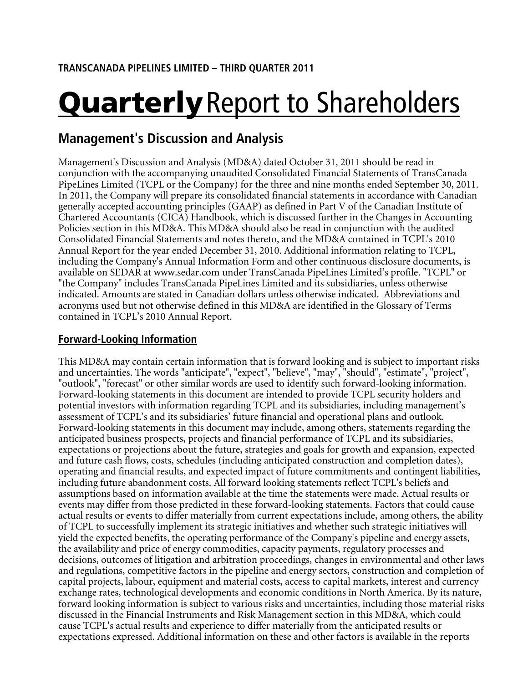# **Quarterly** Report to Shareholders

## **Management's Discussion and Analysis**

Management's Discussion and Analysis (MD&A) dated October 31, 2011 should be read in conjunction with the accompanying unaudited Consolidated Financial Statements of TransCanada PipeLines Limited (TCPL or the Company) for the three and nine months ended September 30, 2011. In 2011, the Company will prepare its consolidated financial statements in accordance with Canadian generally accepted accounting principles (GAAP) as defined in Part V of the Canadian Institute of Chartered Accountants (CICA) Handbook, which is discussed further in the Changes in Accounting Policies section in this MD&A. This MD&A should also be read in conjunction with the audited Consolidated Financial Statements and notes thereto, and the MD&A contained in TCPL's 2010 Annual Report for the year ended December 31, 2010. Additional information relating to TCPL, including the Company's Annual Information Form and other continuous disclosure documents, is available on SEDAR at www.sedar.com under TransCanada PipeLines Limited's profile. "TCPL" or "the Company" includes TransCanada PipeLines Limited and its subsidiaries, unless otherwise indicated. Amounts are stated in Canadian dollars unless otherwise indicated. Abbreviations and acronyms used but not otherwise defined in this MD&A are identified in the Glossary of Terms contained in TCPL's 2010 Annual Report.

## **Forward-Looking Information**

This MD&A may contain certain information that is forward looking and is subject to important risks and uncertainties. The words "anticipate", "expect", "believe", "may", "should", "estimate", "project", "outlook", "forecast" or other similar words are used to identify such forward-looking information. Forward-looking statements in this document are intended to provide TCPL security holders and potential investors with information regarding TCPL and its subsidiaries, including management's assessment of TCPL's and its subsidiaries' future financial and operational plans and outlook. Forward-looking statements in this document may include, among others, statements regarding the anticipated business prospects, projects and financial performance of TCPL and its subsidiaries, expectations or projections about the future, strategies and goals for growth and expansion, expected and future cash flows, costs, schedules (including anticipated construction and completion dates), operating and financial results, and expected impact of future commitments and contingent liabilities, including future abandonment costs. All forward looking statements reflect TCPL's beliefs and assumptions based on information available at the time the statements were made. Actual results or events may differ from those predicted in these forward-looking statements. Factors that could cause actual results or events to differ materially from current expectations include, among others, the ability of TCPL to successfully implement its strategic initiatives and whether such strategic initiatives will yield the expected benefits, the operating performance of the Company's pipeline and energy assets, the availability and price of energy commodities, capacity payments, regulatory processes and decisions, outcomes of litigation and arbitration proceedings, changes in environmental and other laws and regulations, competitive factors in the pipeline and energy sectors, construction and completion of capital projects, labour, equipment and material costs, access to capital markets, interest and currency exchange rates, technological developments and economic conditions in North America. By its nature, forward looking information is subject to various risks and uncertainties, including those material risks discussed in the Financial Instruments and Risk Management section in this MD&A, which could cause TCPL's actual results and experience to differ materially from the anticipated results or expectations expressed. Additional information on these and other factors is available in the reports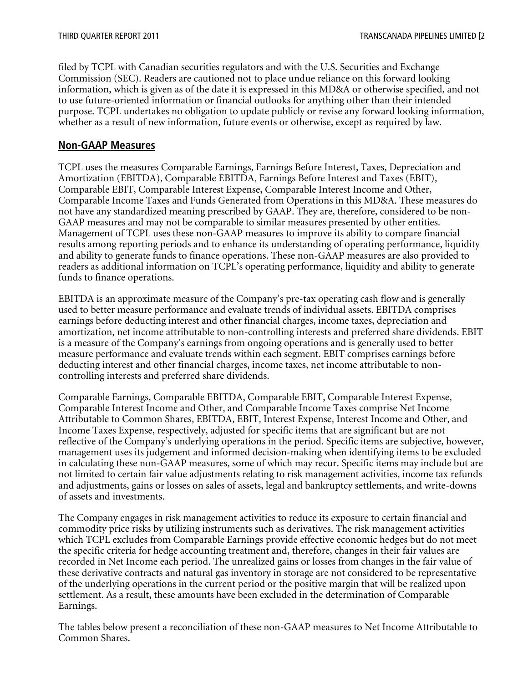filed by TCPL with Canadian securities regulators and with the U.S. Securities and Exchange Commission (SEC). Readers are cautioned not to place undue reliance on this forward looking information, which is given as of the date it is expressed in this MD&A or otherwise specified, and not to use future-oriented information or financial outlooks for anything other than their intended purpose. TCPL undertakes no obligation to update publicly or revise any forward looking information, whether as a result of new information, future events or otherwise, except as required by law.

## **Non-GAAP Measures**

TCPL uses the measures Comparable Earnings, Earnings Before Interest, Taxes, Depreciation and Amortization (EBITDA), Comparable EBITDA, Earnings Before Interest and Taxes (EBIT), Comparable EBIT, Comparable Interest Expense, Comparable Interest Income and Other, Comparable Income Taxes and Funds Generated from Operations in this MD&A. These measures do not have any standardized meaning prescribed by GAAP. They are, therefore, considered to be non-GAAP measures and may not be comparable to similar measures presented by other entities. Management of TCPL uses these non-GAAP measures to improve its ability to compare financial results among reporting periods and to enhance its understanding of operating performance, liquidity and ability to generate funds to finance operations. These non-GAAP measures are also provided to readers as additional information on TCPL's operating performance, liquidity and ability to generate funds to finance operations.

EBITDA is an approximate measure of the Company's pre-tax operating cash flow and is generally used to better measure performance and evaluate trends of individual assets. EBITDA comprises earnings before deducting interest and other financial charges, income taxes, depreciation and amortization, net income attributable to non-controlling interests and preferred share dividends. EBIT is a measure of the Company's earnings from ongoing operations and is generally used to better measure performance and evaluate trends within each segment. EBIT comprises earnings before deducting interest and other financial charges, income taxes, net income attributable to noncontrolling interests and preferred share dividends.

Comparable Earnings, Comparable EBITDA, Comparable EBIT, Comparable Interest Expense, Comparable Interest Income and Other, and Comparable Income Taxes comprise Net Income Attributable to Common Shares, EBITDA, EBIT, Interest Expense, Interest Income and Other, and Income Taxes Expense, respectively, adjusted for specific items that are significant but are not reflective of the Company's underlying operations in the period. Specific items are subjective, however, management uses its judgement and informed decision-making when identifying items to be excluded in calculating these non-GAAP measures, some of which may recur. Specific items may include but are not limited to certain fair value adjustments relating to risk management activities, income tax refunds and adjustments, gains or losses on sales of assets, legal and bankruptcy settlements, and write-downs of assets and investments.

The Company engages in risk management activities to reduce its exposure to certain financial and commodity price risks by utilizing instruments such as derivatives. The risk management activities which TCPL excludes from Comparable Earnings provide effective economic hedges but do not meet the specific criteria for hedge accounting treatment and, therefore, changes in their fair values are recorded in Net Income each period. The unrealized gains or losses from changes in the fair value of these derivative contracts and natural gas inventory in storage are not considered to be representative of the underlying operations in the current period or the positive margin that will be realized upon settlement. As a result, these amounts have been excluded in the determination of Comparable Earnings.

The tables below present a reconciliation of these non-GAAP measures to Net Income Attributable to Common Shares.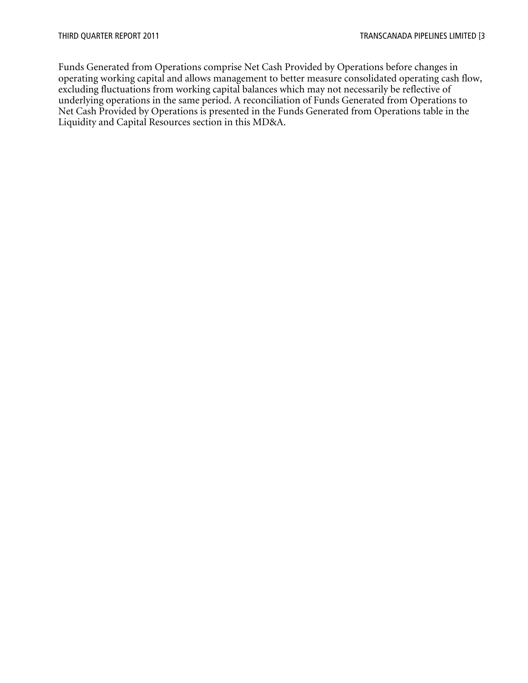Funds Generated from Operations comprise Net Cash Provided by Operations before changes in operating working capital and allows management to better measure consolidated operating cash flow, excluding fluctuations from working capital balances which may not necessarily be reflective of underlying operations in the same period. A reconciliation of Funds Generated from Operations to Net Cash Provided by Operations is presented in the Funds Generated from Operations table in the Liquidity and Capital Resources section in this MD&A.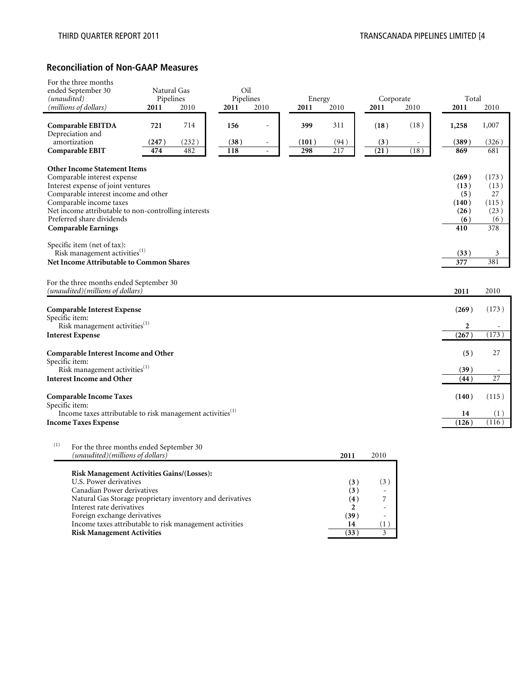#### **Reconciliation of Non-GAAP Measures**

| For the three months<br>ended September 30<br>(unaudited)                                                                                                                                                                                                                                                                     | Natural Gas<br>Pipelines                                                                                                                                                  | Oil<br>Pipelines | Energy                                                    | Corporate                                                                                 | Total                                               |                                                    |
|-------------------------------------------------------------------------------------------------------------------------------------------------------------------------------------------------------------------------------------------------------------------------------------------------------------------------------|---------------------------------------------------------------------------------------------------------------------------------------------------------------------------|------------------|-----------------------------------------------------------|-------------------------------------------------------------------------------------------|-----------------------------------------------------|----------------------------------------------------|
| (millions of dollars)                                                                                                                                                                                                                                                                                                         | 2011<br>2010                                                                                                                                                              | 2010<br>2011     | 2010<br>2011                                              | 2010<br>2011                                                                              | 2011                                                | 2010                                               |
| Comparable EBITDA<br>Depreciation and                                                                                                                                                                                                                                                                                         | 714<br>721                                                                                                                                                                | 156              | 311<br>399                                                | (18)<br>(18)                                                                              | 1,258                                               | 1,007                                              |
| amortization<br>Comparable EBIT                                                                                                                                                                                                                                                                                               | (247)<br>(232)<br>474<br>482                                                                                                                                              | (38)<br>118      | (101)<br>(94)<br>217<br>298                               | (3)<br>(21)<br>(18)                                                                       | (389)<br>869                                        | (326)<br>681                                       |
| <b>Other Income Statement Items</b><br>Comparable interest expense<br>Interest expense of joint ventures<br>Comparable interest income and other<br>Comparable income taxes<br>Net income attributable to non-controlling interests<br>Preferred share dividends<br><b>Comparable Earnings</b><br>Specific item (net of tax): |                                                                                                                                                                           |                  |                                                           |                                                                                           | (269)<br>(13)<br>(5)<br>(140)<br>(26)<br>(6)<br>410 | (173)<br>(13)<br>27<br>(115)<br>(23)<br>(6)<br>378 |
| Risk management activities <sup>(1)</sup>                                                                                                                                                                                                                                                                                     |                                                                                                                                                                           |                  |                                                           |                                                                                           | (33)                                                | 3                                                  |
| Net Income Attributable to Common Shares                                                                                                                                                                                                                                                                                      |                                                                                                                                                                           |                  |                                                           |                                                                                           | 377                                                 | 381                                                |
| For the three months ended September 30<br>(unaudited)(millions of dollars)                                                                                                                                                                                                                                                   |                                                                                                                                                                           |                  |                                                           |                                                                                           | 2011                                                | 2010                                               |
| <b>Comparable Interest Expense</b><br>Specific item:                                                                                                                                                                                                                                                                          |                                                                                                                                                                           |                  |                                                           |                                                                                           | (269)                                               | (173)                                              |
| Risk management activities <sup>(1)</sup><br><b>Interest Expense</b>                                                                                                                                                                                                                                                          |                                                                                                                                                                           |                  |                                                           |                                                                                           | 2<br>(267)                                          | (173)                                              |
|                                                                                                                                                                                                                                                                                                                               |                                                                                                                                                                           |                  |                                                           |                                                                                           |                                                     |                                                    |
| Comparable Interest Income and Other<br>Specific item:<br>Risk management activities <sup>(1)</sup>                                                                                                                                                                                                                           |                                                                                                                                                                           |                  |                                                           |                                                                                           | (5)                                                 | $27\,$                                             |
| <b>Interest Income and Other</b>                                                                                                                                                                                                                                                                                              |                                                                                                                                                                           |                  |                                                           |                                                                                           | (39)<br>(44)                                        | 27                                                 |
| <b>Comparable Income Taxes</b>                                                                                                                                                                                                                                                                                                |                                                                                                                                                                           |                  |                                                           |                                                                                           | (140)                                               | (115)                                              |
| Specific item:<br>Income taxes attributable to risk management activities <sup>(1)</sup>                                                                                                                                                                                                                                      |                                                                                                                                                                           |                  |                                                           |                                                                                           | 14                                                  | (1)                                                |
| <b>Income Taxes Expense</b>                                                                                                                                                                                                                                                                                                   |                                                                                                                                                                           |                  |                                                           |                                                                                           | (126)                                               | (116)                                              |
| (1)<br>$(unaudited)$ (millions of dollars)                                                                                                                                                                                                                                                                                    | For the three months ended September 30                                                                                                                                   |                  | 2011                                                      | 2010                                                                                      |                                                     |                                                    |
| U.S. Power derivatives<br>Canadian Power derivatives<br>Interest rate derivatives<br>Foreign exchange derivatives<br><b>Risk Management Activities</b>                                                                                                                                                                        | <b>Risk Management Activities Gains/(Losses):</b><br>Natural Gas Storage proprietary inventory and derivatives<br>Income taxes attributable to risk management activities |                  | (3)<br>(3)<br>(4)<br>2<br>(39)<br>14<br>$\overline{(33)}$ | (3)<br>$\overline{\phantom{a}}$<br>7<br>$\bar{ }$<br>$\overline{\phantom{a}}$<br>(1)<br>3 |                                                     |                                                    |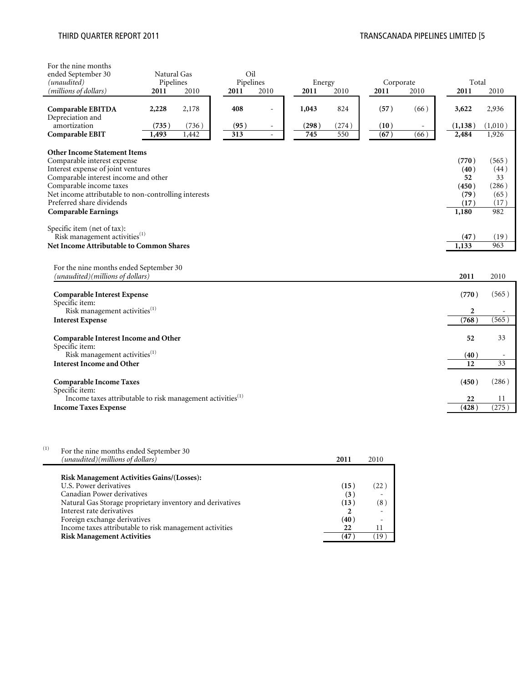| For the nine months<br>ended September 30<br>(unaudited)<br>(millions of dollars)                                                                                                                                                   | Natural Gas<br>Pipelines<br>2011 | 2010  | Oil<br>Pipelines<br>2011 | 2010           | Energy<br>2011 | 2010  | Corporate<br>2011 | 2010 | Total<br>2011                        | 2010                                 |
|-------------------------------------------------------------------------------------------------------------------------------------------------------------------------------------------------------------------------------------|----------------------------------|-------|--------------------------|----------------|----------------|-------|-------------------|------|--------------------------------------|--------------------------------------|
| <b>Comparable EBITDA</b><br>Depreciation and                                                                                                                                                                                        | 2,228                            | 2,178 | 408                      | $\equiv$       | 1,043          | 824   | (57)              | (66) | 3,622                                | 2,936                                |
| amortization                                                                                                                                                                                                                        | (735)                            | (736) | (95)                     |                | (298)          | (274) | (10)              |      | (1,138)                              | (1,010)                              |
| Comparable EBIT                                                                                                                                                                                                                     | 1,493                            | 1,442 | 313                      | $\overline{a}$ | 745            | 550   | (67)              | (66) | 2,484                                | 1,926                                |
| <b>Other Income Statement Items</b><br>Comparable interest expense<br>Interest expense of joint ventures<br>Comparable interest income and other<br>Comparable income taxes<br>Net income attributable to non-controlling interests |                                  |       |                          |                |                |       |                   |      | (770)<br>(40)<br>52<br>(450)<br>(79) | (565)<br>(44)<br>33<br>(286)<br>(65) |
| Preferred share dividends<br><b>Comparable Earnings</b>                                                                                                                                                                             |                                  |       |                          |                |                |       |                   |      | (17)<br>1,180                        | (17)<br>982                          |
| Specific item (net of tax):<br>Risk management activities <sup>(1)</sup><br>Net Income Attributable to Common Shares                                                                                                                |                                  |       |                          |                |                |       |                   |      | (47)<br>1,133                        | (19)<br>963                          |
| For the nine months ended September 30<br>(unaudited)(millions of dollars)                                                                                                                                                          |                                  |       |                          |                |                |       |                   |      | 2011                                 | 2010                                 |
| <b>Comparable Interest Expense</b><br>Specific item:                                                                                                                                                                                |                                  |       |                          |                |                |       |                   |      | (770)                                | (565)                                |
| Risk management activities <sup>(1)</sup>                                                                                                                                                                                           |                                  |       |                          |                |                |       |                   |      | $\boldsymbol{2}$                     |                                      |
| <b>Interest Expense</b>                                                                                                                                                                                                             |                                  |       |                          |                |                |       |                   |      | (768)                                | (565)                                |
| Comparable Interest Income and Other<br>Specific item:                                                                                                                                                                              |                                  |       |                          |                |                |       |                   |      | 52                                   | 33                                   |
| Risk management activities <sup>(1)</sup>                                                                                                                                                                                           |                                  |       |                          |                |                |       |                   |      | (40)                                 |                                      |
| <b>Interest Income and Other</b>                                                                                                                                                                                                    |                                  |       |                          |                |                |       |                   |      | 12                                   | 33                                   |
| <b>Comparable Income Taxes</b><br>Specific item:                                                                                                                                                                                    |                                  |       |                          |                |                |       |                   |      | (450)                                | (286)                                |
| Income taxes attributable to risk management activities <sup>(1)</sup>                                                                                                                                                              |                                  |       |                          |                |                |       |                   |      | 22                                   | 11                                   |
| <b>Income Taxes Expense</b>                                                                                                                                                                                                         |                                  |       |                          |                |                |       |                   |      | (428)                                | (275)                                |

#### $(1)$  For the nine months ended September 30 *(unaudited)(millions of dollars)* **2011** 2010  $\overline{a}$

| <b>Risk Management Activities Gains/(Losses):</b>         |      |                          |
|-----------------------------------------------------------|------|--------------------------|
| U.S. Power derivatives                                    | (15) | (22)                     |
| Canadian Power derivatives                                | (3)  |                          |
| Natural Gas Storage proprietary inventory and derivatives | (13) | (8)                      |
| Interest rate derivatives                                 |      | $\overline{\phantom{a}}$ |
| Foreign exchange derivatives                              | (40) | -                        |
| Income taxes attributable to risk management activities   | 22   |                          |
| <b>Risk Management Activities</b>                         | (47  | 19 <sup>°</sup>          |
|                                                           |      |                          |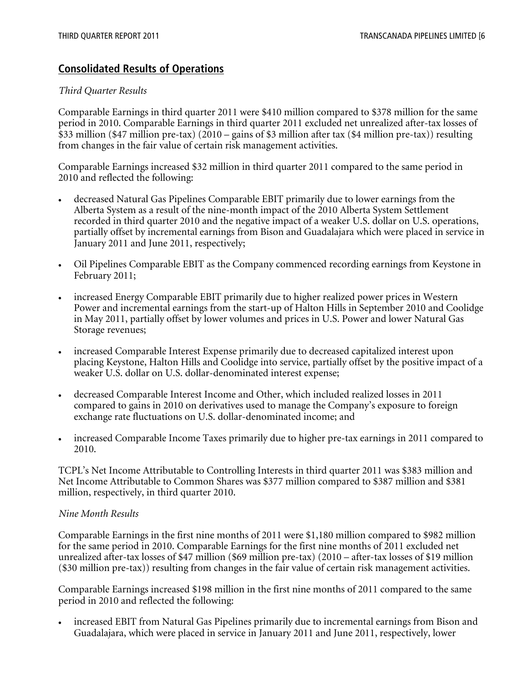## **Consolidated Results of Operations**

#### *Third Quarter Results*

Comparable Earnings in third quarter 2011 were \$410 million compared to \$378 million for the same period in 2010. Comparable Earnings in third quarter 2011 excluded net unrealized after-tax losses of \$33 million (\$47 million pre-tax) (2010 – gains of \$3 million after tax (\$4 million pre-tax)) resulting from changes in the fair value of certain risk management activities.

Comparable Earnings increased \$32 million in third quarter 2011 compared to the same period in 2010 and reflected the following:

- decreased Natural Gas Pipelines Comparable EBIT primarily due to lower earnings from the Alberta System as a result of the nine-month impact of the 2010 Alberta System Settlement recorded in third quarter 2010 and the negative impact of a weaker U.S. dollar on U.S. operations, partially offset by incremental earnings from Bison and Guadalajara which were placed in service in January 2011 and June 2011, respectively;
- Oil Pipelines Comparable EBIT as the Company commenced recording earnings from Keystone in February 2011;
- increased Energy Comparable EBIT primarily due to higher realized power prices in Western Power and incremental earnings from the start-up of Halton Hills in September 2010 and Coolidge in May 2011, partially offset by lower volumes and prices in U.S. Power and lower Natural Gas Storage revenues;
- increased Comparable Interest Expense primarily due to decreased capitalized interest upon placing Keystone, Halton Hills and Coolidge into service, partially offset by the positive impact of a weaker U.S. dollar on U.S. dollar-denominated interest expense;
- decreased Comparable Interest Income and Other, which included realized losses in 2011 compared to gains in 2010 on derivatives used to manage the Company's exposure to foreign exchange rate fluctuations on U.S. dollar-denominated income; and
- increased Comparable Income Taxes primarily due to higher pre-tax earnings in 2011 compared to 2010.

TCPL's Net Income Attributable to Controlling Interests in third quarter 2011 was \$383 million and Net Income Attributable to Common Shares was \$377 million compared to \$387 million and \$381 million, respectively, in third quarter 2010.

#### *Nine Month Results*

Comparable Earnings in the first nine months of 2011 were \$1,180 million compared to \$982 million for the same period in 2010. Comparable Earnings for the first nine months of 2011 excluded net unrealized after-tax losses of \$47 million (\$69 million pre-tax) (2010 – after-tax losses of \$19 million (\$30 million pre-tax)) resulting from changes in the fair value of certain risk management activities.

Comparable Earnings increased \$198 million in the first nine months of 2011 compared to the same period in 2010 and reflected the following:

• increased EBIT from Natural Gas Pipelines primarily due to incremental earnings from Bison and Guadalajara, which were placed in service in January 2011 and June 2011, respectively, lower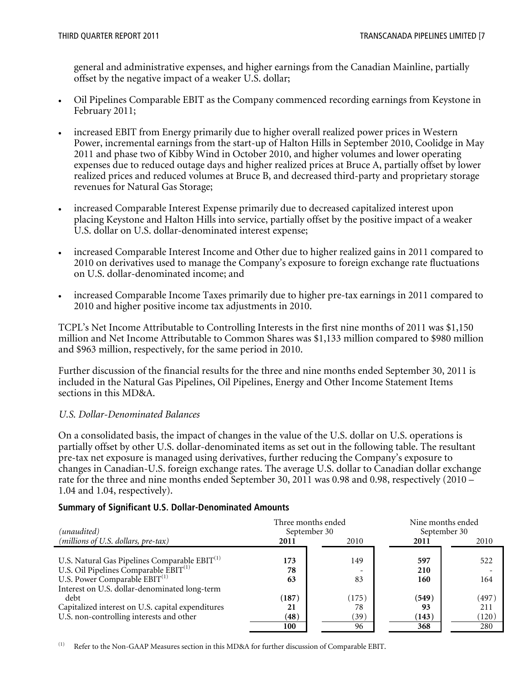general and administrative expenses, and higher earnings from the Canadian Mainline, partially offset by the negative impact of a weaker U.S. dollar;

- Oil Pipelines Comparable EBIT as the Company commenced recording earnings from Keystone in February 2011;
- increased EBIT from Energy primarily due to higher overall realized power prices in Western Power, incremental earnings from the start-up of Halton Hills in September 2010, Coolidge in May 2011 and phase two of Kibby Wind in October 2010, and higher volumes and lower operating expenses due to reduced outage days and higher realized prices at Bruce A, partially offset by lower realized prices and reduced volumes at Bruce B, and decreased third-party and proprietary storage revenues for Natural Gas Storage;
- increased Comparable Interest Expense primarily due to decreased capitalized interest upon placing Keystone and Halton Hills into service, partially offset by the positive impact of a weaker U.S. dollar on U.S. dollar-denominated interest expense;
- increased Comparable Interest Income and Other due to higher realized gains in 2011 compared to 2010 on derivatives used to manage the Company's exposure to foreign exchange rate fluctuations on U.S. dollar-denominated income; and
- increased Comparable Income Taxes primarily due to higher pre-tax earnings in 2011 compared to 2010 and higher positive income tax adjustments in 2010.

TCPL's Net Income Attributable to Controlling Interests in the first nine months of 2011 was \$1,150 million and Net Income Attributable to Common Shares was \$1,133 million compared to \$980 million and \$963 million, respectively, for the same period in 2010.

Further discussion of the financial results for the three and nine months ended September 30, 2011 is included in the Natural Gas Pipelines, Oil Pipelines, Energy and Other Income Statement Items sections in this MD&A.

#### *U.S. Dollar-Denominated Balances*

On a consolidated basis, the impact of changes in the value of the U.S. dollar on U.S. operations is partially offset by other U.S. dollar-denominated items as set out in the following table. The resultant pre-tax net exposure is managed using derivatives, further reducing the Company's exposure to changes in Canadian-U.S. foreign exchange rates. The average U.S. dollar to Canadian dollar exchange rate for the three and nine months ended September 30, 2011 was 0.98 and 0.98, respectively (2010 – 1.04 and 1.04, respectively).

#### **Summary of Significant U.S. Dollar-Denominated Amounts**

| (unaudited)                                               |       | Three months ended<br>September 30 |       | Nine months ended<br>September 30 |  |  |
|-----------------------------------------------------------|-------|------------------------------------|-------|-----------------------------------|--|--|
| (millions of U.S. dollars, pre-tax)                       | 2011  | 2010                               | 2011  | 2010                              |  |  |
|                                                           |       |                                    |       |                                   |  |  |
| U.S. Natural Gas Pipelines Comparable EBIT <sup>(1)</sup> | 173   | 149                                | 597   | 522                               |  |  |
| U.S. Oil Pipelines Comparable EBIT <sup>(1)</sup>         | 78    |                                    | 210   |                                   |  |  |
| U.S. Power Comparable EBIT <sup>(1)</sup>                 | 63    | 83                                 | 160   | 164                               |  |  |
| Interest on U.S. dollar-denominated long-term             |       |                                    |       |                                   |  |  |
| debt                                                      | (187) | (175)                              | (549) | (497)                             |  |  |
| Capitalized interest on U.S. capital expenditures         | 21    | 78                                 | 93    | 211                               |  |  |
| U.S. non-controlling interests and other                  | (48)  | (39)                               | (143) | (120)                             |  |  |
|                                                           | 100   | 96                                 | 368   | 280                               |  |  |

Refer to the Non-GAAP Measures section in this MD&A for further discussion of Comparable EBIT.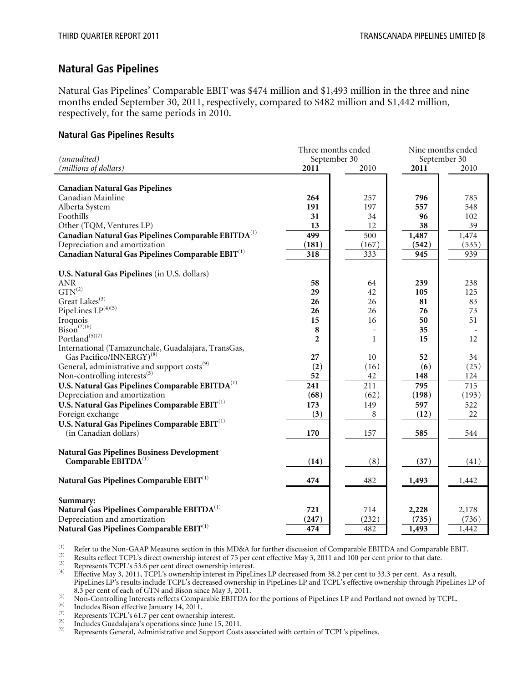## **Natural Gas Pipelines**

Natural Gas Pipelines' Comparable EBIT was \$474 million and \$1,493 million in the three and nine months ended September 30, 2011, respectively, compared to \$482 million and \$1,442 million, respectively, for the same periods in 2010.

#### **Natural Gas Pipelines Results**

|                                                                                             | Three months ended |                  |                  | Nine months ended |  |  |
|---------------------------------------------------------------------------------------------|--------------------|------------------|------------------|-------------------|--|--|
| (unaudited)                                                                                 | September 30       |                  |                  | September 30      |  |  |
| (millions of dollars)                                                                       | 2011               | 2010             | 2011             | 2010              |  |  |
|                                                                                             |                    |                  |                  |                   |  |  |
| <b>Canadian Natural Gas Pipelines</b>                                                       |                    |                  |                  |                   |  |  |
| Canadian Mainline                                                                           | 264                | 257              | 796              | 785               |  |  |
| Alberta System                                                                              | 191                | 197              | 557              | 548               |  |  |
| Foothills                                                                                   | 31                 | 34               | 96               | 102               |  |  |
| Other (TQM, Ventures LP)                                                                    | 13                 | 12               | 38               | 39                |  |  |
| Canadian Natural Gas Pipelines Comparable EBITDA <sup>(1)</sup>                             | 499                | 500              | 1,487            | 1,474             |  |  |
| Depreciation and amortization                                                               | (181)              | (167)            | (542)            | (535)             |  |  |
| Canadian Natural Gas Pipelines Comparable EBIT <sup>(1)</sup>                               | 318                | 333              | 945              | 939               |  |  |
|                                                                                             |                    |                  |                  |                   |  |  |
| U.S. Natural Gas Pipelines (in U.S. dollars)                                                |                    |                  |                  |                   |  |  |
| <b>ANR</b>                                                                                  | 58                 | 64               | 239              | 238               |  |  |
| $GTN^{(2)}$                                                                                 | 29                 | 42               | 105              | 125               |  |  |
| Great Lakes <sup>(3)</sup>                                                                  | 26                 | 26               | 81               | 83                |  |  |
| PipeLines $\mathrm{LP}^{(4)(5)}$                                                            | 26                 | 26               | 76               | 73                |  |  |
| Iroquois<br>Bison <sup>(2)(6)</sup>                                                         | 15                 | 16               | 50               | 51                |  |  |
|                                                                                             | 8                  |                  | 35               |                   |  |  |
| Portland <sup>(5)(7)</sup>                                                                  | $\overline{2}$     | 1                | 15               | 12                |  |  |
| International (Tamazunchale, Guadalajara, TransGas,<br>Gas Pacifico/INNERGY) <sup>(8)</sup> |                    | 10               | 52               | 34                |  |  |
|                                                                                             | 27                 |                  |                  |                   |  |  |
| General, administrative and support costs <sup>(9)</sup>                                    | (2)                | (16)             | (6)              | (25)              |  |  |
| Non-controlling interests <sup>(5)</sup>                                                    | 52                 | 42               | 148              | 124               |  |  |
| U.S. Natural Gas Pipelines Comparable EBITDA <sup>(1)</sup>                                 | 241                | $\overline{211}$ | 795              | 715               |  |  |
| Depreciation and amortization                                                               | (68)               | (62)             | (198)            | (193)             |  |  |
| U.S. Natural Gas Pipelines Comparable EBIT <sup>(1)</sup>                                   | 173                | 149              | $\overline{597}$ | 522               |  |  |
| Foreign exchange                                                                            | (3)                | 8                | (12)             | 22                |  |  |
| U.S. Natural Gas Pipelines Comparable EBIT <sup>(1)</sup>                                   |                    |                  |                  |                   |  |  |
| (in Canadian dollars)                                                                       | 170                | 157              | 585              | 544               |  |  |
| <b>Natural Gas Pipelines Business Development</b>                                           |                    |                  |                  |                   |  |  |
| Comparable EBITDA <sup>(1)</sup>                                                            | (14)               | (8)              | (37)             | (41)              |  |  |
|                                                                                             |                    |                  |                  |                   |  |  |
| Natural Gas Pipelines Comparable EBIT <sup>(1)</sup>                                        | 474                | 482              | 1,493            | 1,442             |  |  |
|                                                                                             |                    |                  |                  |                   |  |  |
| Summary:                                                                                    |                    |                  |                  |                   |  |  |
| Natural Gas Pipelines Comparable EBITDA <sup>(1)</sup>                                      | 721                | 714              | 2,228            | 2,178             |  |  |
| Depreciation and amortization                                                               | (247)              | (232)            | (735)            | (736)             |  |  |
| Natural Gas Pipelines Comparable EBIT <sup>(1)</sup>                                        | 474                | 482              | 1,493            | 1,442             |  |  |

<sup>(1)</sup> Refer to the Non-GAAP Measures section in this MD&A for further discussion of Comparable EBITDA and Comparable EBIT.<br><sup>(2)</sup> Results reflect TCPL's direct ownership interest of 75 per cent effective May 3, 2011 and 100 PipeLines LP's results include TCPL's decreased ownership in PipeLines LP and TCPL's effective ownership through PipeLines LP of

8.3 per cent of each of GTN and Bison since May 3, 2011.<br>
Non-Controlling Interests reflects Comparable EBITDA for the portions of PipeLines LP and Portland not owned by TCPL.<br>
Includes Bison effective January 14, 2011.<br>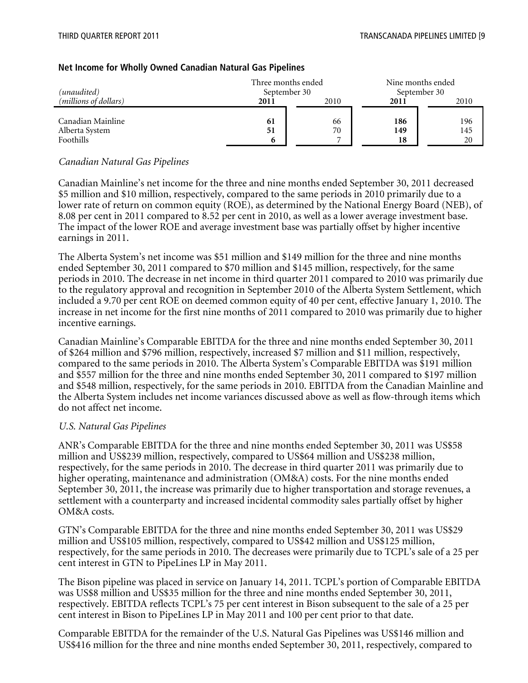| (unaudited)           | Three months ended<br>September 30 |      | Nine months ended<br>September 30 |      |  |
|-----------------------|------------------------------------|------|-----------------------------------|------|--|
| (millions of dollars) | 2011                               | 2010 | 2011                              | 2010 |  |
|                       |                                    |      |                                   |      |  |
| Canadian Mainline     | 61                                 | 66   | 186                               | 196  |  |
| Alberta System        | 51                                 | 70   | 149                               | 145  |  |
| Foothills             | 6                                  | ⇁    | 18                                | 20   |  |

#### **Net Income for Wholly Owned Canadian Natural Gas Pipelines**

#### *Canadian Natural Gas Pipelines*

Canadian Mainline's net income for the three and nine months ended September 30, 2011 decreased \$5 million and \$10 million, respectively, compared to the same periods in 2010 primarily due to a lower rate of return on common equity (ROE), as determined by the National Energy Board (NEB), of 8.08 per cent in 2011 compared to 8.52 per cent in 2010, as well as a lower average investment base. The impact of the lower ROE and average investment base was partially offset by higher incentive earnings in 2011.

The Alberta System's net income was \$51 million and \$149 million for the three and nine months ended September 30, 2011 compared to \$70 million and \$145 million, respectively, for the same periods in 2010. The decrease in net income in third quarter 2011 compared to 2010 was primarily due to the regulatory approval and recognition in September 2010 of the Alberta System Settlement, which included a 9.70 per cent ROE on deemed common equity of 40 per cent, effective January 1, 2010. The increase in net income for the first nine months of 2011 compared to 2010 was primarily due to higher incentive earnings.

Canadian Mainline's Comparable EBITDA for the three and nine months ended September 30, 2011 of \$264 million and \$796 million, respectively, increased \$7 million and \$11 million, respectively, compared to the same periods in 2010. The Alberta System's Comparable EBITDA was \$191 million and \$557 million for the three and nine months ended September 30, 2011 compared to \$197 million and \$548 million, respectively, for the same periods in 2010. EBITDA from the Canadian Mainline and the Alberta System includes net income variances discussed above as well as flow-through items which do not affect net income.

#### *U.S. Natural Gas Pipelines*

ANR's Comparable EBITDA for the three and nine months ended September 30, 2011 was US\$58 million and US\$239 million, respectively, compared to US\$64 million and US\$238 million, respectively, for the same periods in 2010. The decrease in third quarter 2011 was primarily due to higher operating, maintenance and administration (OM&A) costs. For the nine months ended September 30, 2011, the increase was primarily due to higher transportation and storage revenues, a settlement with a counterparty and increased incidental commodity sales partially offset by higher OM&A costs.

GTN's Comparable EBITDA for the three and nine months ended September 30, 2011 was US\$29 million and US\$105 million, respectively, compared to US\$42 million and US\$125 million, respectively, for the same periods in 2010. The decreases were primarily due to TCPL's sale of a 25 per cent interest in GTN to PipeLines LP in May 2011.

The Bison pipeline was placed in service on January 14, 2011. TCPL's portion of Comparable EBITDA was US\$8 million and US\$35 million for the three and nine months ended September 30, 2011, respectively. EBITDA reflects TCPL's 75 per cent interest in Bison subsequent to the sale of a 25 per cent interest in Bison to PipeLines LP in May 2011 and 100 per cent prior to that date.

Comparable EBITDA for the remainder of the U.S. Natural Gas Pipelines was US\$146 million and US\$416 million for the three and nine months ended September 30, 2011, respectively, compared to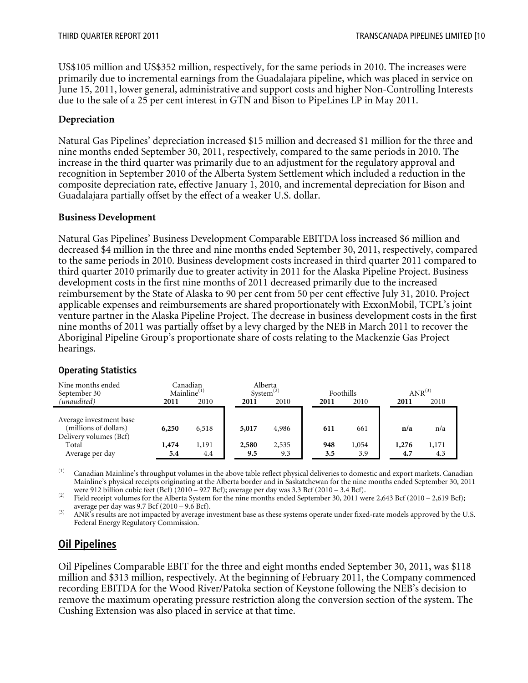US\$105 million and US\$352 million, respectively, for the same periods in 2010. The increases were primarily due to incremental earnings from the Guadalajara pipeline, which was placed in service on June 15, 2011, lower general, administrative and support costs and higher Non-Controlling Interests due to the sale of a 25 per cent interest in GTN and Bison to PipeLines LP in May 2011.

#### **Depreciation**

Natural Gas Pipelines' depreciation increased \$15 million and decreased \$1 million for the three and nine months ended September 30, 2011, respectively, compared to the same periods in 2010. The increase in the third quarter was primarily due to an adjustment for the regulatory approval and recognition in September 2010 of the Alberta System Settlement which included a reduction in the composite depreciation rate, effective January 1, 2010, and incremental depreciation for Bison and Guadalajara partially offset by the effect of a weaker U.S. dollar.

#### **Business Development**

Natural Gas Pipelines' Business Development Comparable EBITDA loss increased \$6 million and decreased \$4 million in the three and nine months ended September 30, 2011, respectively, compared to the same periods in 2010. Business development costs increased in third quarter 2011 compared to third quarter 2010 primarily due to greater activity in 2011 for the Alaska Pipeline Project. Business development costs in the first nine months of 2011 decreased primarily due to the increased reimbursement by the State of Alaska to 90 per cent from 50 per cent effective July 31, 2010. Project applicable expenses and reimbursements are shared proportionately with ExxonMobil, TCPL's joint venture partner in the Alaska Pipeline Project. The decrease in business development costs in the first nine months of 2011 was partially offset by a levy charged by the NEB in March 2011 to recover the Aboriginal Pipeline Group's proportionate share of costs relating to the Mackenzie Gas Project hearings.

#### **Operating Statistics**

| Nine months ended<br>September 30                                                                      | Canadian<br>Mainline <sup>(1)</sup> |                       | Alberta<br>System <sup>(2)</sup> |                       |                   |                     | <b>Foothills</b> |            |                     | $\text{ANR}^{\scriptscriptstyle{\text{(3)}}}$ |  |
|--------------------------------------------------------------------------------------------------------|-------------------------------------|-----------------------|----------------------------------|-----------------------|-------------------|---------------------|------------------|------------|---------------------|-----------------------------------------------|--|
| (unaudited)                                                                                            | 2011                                | 2010                  | 2011                             | 2010                  | 2011              | 2010                | 2011             |            | 2010                |                                               |  |
| Average investment base<br>(millions of dollars)<br>Delivery volumes (Bcf)<br>Total<br>Average per day | 6,250<br>1,474<br>5.4               | 6,518<br>1,191<br>4.4 | 5,017<br>2,580<br>9.5            | 4,986<br>2,535<br>9.3 | 611<br>948<br>3.5 | 661<br>1,054<br>3.9 | 1,276            | n/a<br>4.7 | n/a<br>1,171<br>4.3 |                                               |  |

(1) Canadian Mainline's throughput volumes in the above table reflect physical deliveries to domestic and export markets. Canadian Mainline's physical receipts originating at the Alberta border and in Saskatchewan for the nine months ended September 30, 2011 were 912 billion cubic feet (Bcf) (2010 – 927 Bcf); average per day was 3.3 Bcf (2010 – 3.4 B

 $^{(2)}$  Field receipt volumes for the Alberta System for the nine months ended September 30, 2011 were 2,643 Bcf (2010 – 2,619 Bcf);<br>average per day was 9.7 Bcf (2010 – 9.6 Bcf).

average per day was 9.7 Bef (2010 – 9.6 Bef).<br>
ANR's results are not impacted by average investment base as these systems operate under fixed-rate models approved by the U.S. Federal Energy Regulatory Commission.

## **Oil Pipelines**

Oil Pipelines Comparable EBIT for the three and eight months ended September 30, 2011, was \$118 million and \$313 million, respectively. At the beginning of February 2011, the Company commenced recording EBITDA for the Wood River/Patoka section of Keystone following the NEB's decision to remove the maximum operating pressure restriction along the conversion section of the system. The Cushing Extension was also placed in service at that time.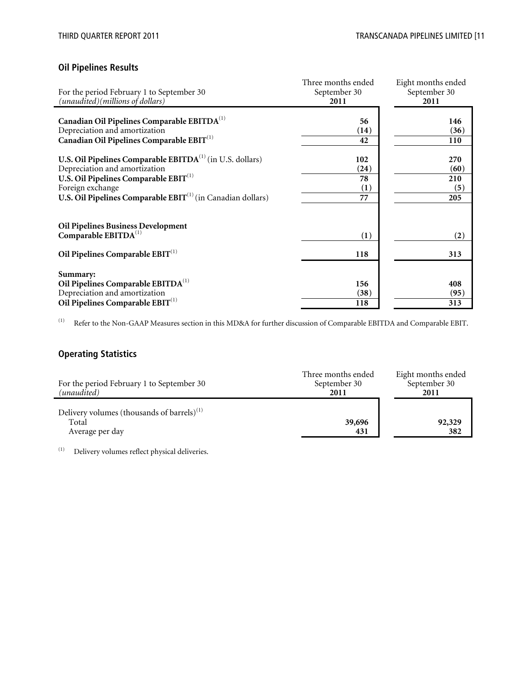#### **Oil Pipelines Results**

| For the period February 1 to September 30<br>(unaudited)(millions of dollars)                                                                                                                                                                                  | Three months ended<br>September 30<br>2011 | Eight months ended<br>September 30<br>2011 |
|----------------------------------------------------------------------------------------------------------------------------------------------------------------------------------------------------------------------------------------------------------------|--------------------------------------------|--------------------------------------------|
| Canadian Oil Pipelines Comparable EBITDA <sup>(1)</sup><br>Depreciation and amortization<br>Canadian Oil Pipelines Comparable EBIT <sup>(1)</sup>                                                                                                              | 56<br>(14)<br>42                           | 146<br>(36)<br>110                         |
| U.S. Oil Pipelines Comparable EBITDA <sup>(1)</sup> (in U.S. dollars)<br>Depreciation and amortization<br>U.S. Oil Pipelines Comparable $EBIT^{(1)}$<br>Foreign exchange<br><b>U.S. Oil Pipelines Comparable <math>EBIT^{(1)}</math> (in Canadian dollars)</b> | 102<br>(24)<br>78<br>(1)<br>77             | 270<br>(60)<br>210<br>(5)<br>205           |
| <b>Oil Pipelines Business Development</b><br>Comparable EBITDA <sup>(1)</sup>                                                                                                                                                                                  | (1)                                        | (2)                                        |
| Oil Pipelines Comparable EBIT <sup>(1)</sup>                                                                                                                                                                                                                   | 118                                        | 313                                        |
| Summary:<br>Oil Pipelines Comparable EBITDA <sup>(1)</sup><br>Depreciation and amortization<br>Oil Pipelines Comparable $EBIT^{(1)}$                                                                                                                           | 156<br>(38)<br>118                         | 408<br>(95)<br>313                         |

 $^{(1)}$  Refer to the Non-GAAP Measures section in this MD&A for further discussion of Comparable EBITDA and Comparable EBIT.

## **Operating Statistics**

| For the period February 1 to September 30<br>(unaudited)                           | Three months ended<br>September 30<br>2011 | Eight months ended<br>September 30<br>2011 |
|------------------------------------------------------------------------------------|--------------------------------------------|--------------------------------------------|
| Delivery volumes (thousands of barrels) <sup>(1)</sup><br>Total<br>Average per day | 39,696<br>431                              | 92,329<br>382                              |

(1) Delivery volumes reflect physical deliveries.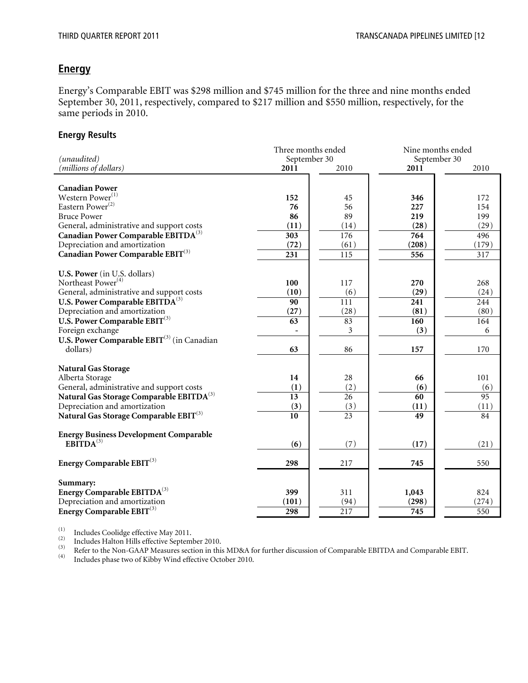## **Energy**

Energy's Comparable EBIT was \$298 million and \$745 million for the three and nine months ended September 30, 2011, respectively, compared to \$217 million and \$550 million, respectively, for the same periods in 2010.

#### **Energy Results**

|                                                                   | Three months ended           |                  |       | Nine months ended |
|-------------------------------------------------------------------|------------------------------|------------------|-------|-------------------|
| (unaudited)                                                       | September 30                 |                  |       | September 30      |
| (millions of dollars)                                             | 2011                         | 2010             | 2011  | 2010              |
|                                                                   |                              |                  |       |                   |
| <b>Canadian Power</b>                                             |                              |                  |       |                   |
| Western Power <sup>(1)</sup>                                      | 152                          | 45               | 346   | 172               |
| Eastern Power <sup>(2)</sup>                                      | 76                           | 56               | 227   | 154               |
| <b>Bruce Power</b>                                                | 86                           | 89               | 219   | 199               |
| General, administrative and support costs                         | (11)                         | (14)             | (28)  | (29)              |
| Canadian Power Comparable EBITDA(3)                               | 303                          | 176              | 764   | 496               |
| Depreciation and amortization                                     | (72)                         | (61)             | (208) | (179)             |
| Canadian Power Comparable $\mathrm{EBIT}^{(3)}$                   | 231                          | $\overline{115}$ | 556   | 317               |
|                                                                   |                              |                  |       |                   |
| U.S. Power (in U.S. dollars)                                      |                              |                  |       |                   |
| Northeast Power <sup>(4)</sup>                                    | 100                          | 117              | 270   | 268               |
| General, administrative and support costs                         | (10)                         | (6)              | (29)  | (24)              |
| U.S. Power Comparable EBITDA <sup>(3)</sup>                       | 90                           | $\overline{111}$ | 241   | 244               |
| Depreciation and amortization                                     | (27)                         | (28)             | (81)  | (80)              |
| U.S. Power Comparable EBIT <sup>(3)</sup>                         | 63                           | 83               | 160   | 164               |
| Foreign exchange                                                  | $\qquad \qquad \blacksquare$ | 3                | (3)   | 6                 |
| <b>U.S. Power Comparable <math>EBIT^{(3)}</math> (in Canadian</b> |                              |                  |       |                   |
| dollars)                                                          | 63                           | 86               | 157   | 170               |
|                                                                   |                              |                  |       |                   |
| <b>Natural Gas Storage</b>                                        |                              |                  |       |                   |
| Alberta Storage                                                   | 14                           | 28               | 66    | 101               |
| General, administrative and support costs                         | (1)                          | (2)              | (6)   | (6)               |
| Natural Gas Storage Comparable EBITDA <sup>(3)</sup>              | $\overline{13}$              | $\overline{26}$  | 60    | 95                |
| Depreciation and amortization                                     | (3)                          | (3)              | (11)  | (11)              |
| Natural Gas Storage Comparable EBIT <sup>(3)</sup>                | $\overline{10}$              | 23               | 49    | 84                |
|                                                                   |                              |                  |       |                   |
| <b>Energy Business Development Comparable</b>                     |                              |                  |       |                   |
| $EBITDA^{(3)}$                                                    | (6)                          | (7)              | (17)  | (21)              |
|                                                                   |                              |                  |       |                   |
| Energy Comparable EBIT <sup>(3)</sup>                             | 298                          | 217              | 745   | 550               |
|                                                                   |                              |                  |       |                   |
| Summary:                                                          |                              |                  |       |                   |
| Energy Comparable EBITDA <sup>(3)</sup>                           | 399                          | 311              | 1,043 | 824               |
| Depreciation and amortization                                     | (101)                        | (94)             | (298) | (274)             |
| Energy Comparable EBIT <sup>(3)</sup>                             | 298                          | $\overline{217}$ | 745   | 550               |

The United Scoolidge effective May 2011.<br>
(2) Includes Halton Hills effective September 2010.<br>
(3) Refer to the Non-GAAP Measures section in this MD&A for further discussion of Comparable EBITDA and Comparable EBIT.<br>
(4)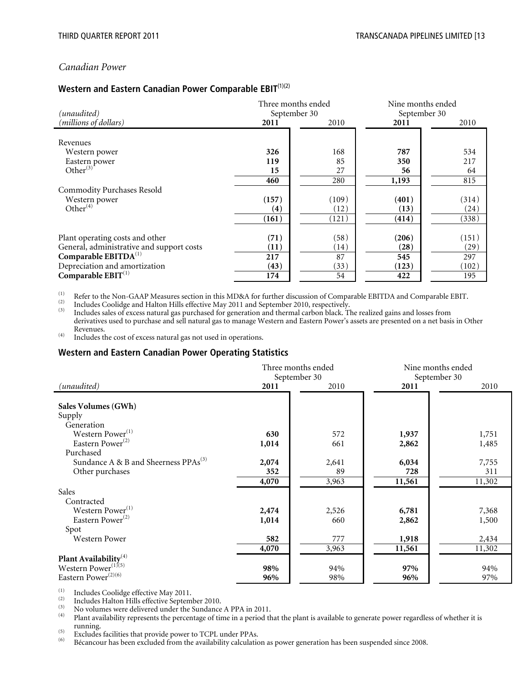#### *Canadian Power*

## **Western and Eastern Canadian Power Comparable EBIT**(1)(2)

| (unaudited)                               | Three months ended<br>September 30 |       | Nine months ended<br>September 30 |       |
|-------------------------------------------|------------------------------------|-------|-----------------------------------|-------|
| (millions of dollars)                     | 2011                               | 2010  | 2011                              | 2010  |
|                                           |                                    |       |                                   |       |
| Revenues                                  |                                    |       |                                   |       |
| Western power                             | 326                                | 168   | 787                               | 534   |
| Eastern power                             | 119                                | 85    | 350                               | 217   |
| Other $^{(3)}$                            | 15                                 | 27    | 56                                | 64    |
|                                           | 460                                | 280   | 1,193                             | 815   |
| <b>Commodity Purchases Resold</b>         |                                    |       |                                   |       |
| Western power                             | (157)                              | (109) | (401)                             | (314) |
| Other <sup>(4)</sup>                      | $\left( 4\right)$                  | (12)  | (13)                              | (24)  |
|                                           | (161)                              | (121) | (414)                             | (338) |
|                                           |                                    |       |                                   |       |
| Plant operating costs and other           | (71)                               | (58)  | (206)                             | (151) |
| General, administrative and support costs | (11)                               | (14)  | (28)                              | (29)  |
| Comparable $EBITDA(1)$                    | 217                                | 87    | 545                               | 297   |
| Depreciation and amortization             | (43)                               | (33)  | (123)                             | (102) |
| Comparable $EBIT^{(1)}$                   | 174                                | 54    | 422                               | 195   |

The US of the Non-GAAP Measures section in this MD&A for further discussion of Comparable EBITDA and Comparable EBIT.<br>Includes Coolidge and Halton Hills effective May 2011 and September 2010, respectively.<br>Includes sales derivatives used to purchase and sell natural gas to manage Western and Eastern Power's assets are presented on a net basis in Other Revenues.

 $(4)$  Includes the cost of excess natural gas not used in operations.

#### **Western and Eastern Canadian Power Operating Statistics**

|                                                                                                                | Three months ended<br>September 30 |                      | Nine months ended<br>September 30 |                        |  |
|----------------------------------------------------------------------------------------------------------------|------------------------------------|----------------------|-----------------------------------|------------------------|--|
| (unaudited)                                                                                                    | 2011                               | 2010                 | 2011                              | 2010                   |  |
| Sales Volumes (GWh)<br>Supply<br>Generation                                                                    |                                    |                      |                                   |                        |  |
| Western Power <sup>(1)</sup><br>Eastern Power <sup>(2)</sup><br>Purchased                                      | 630<br>1,014                       | 572<br>661           | 1,937<br>2,862                    | 1,751<br>1,485         |  |
| Sundance A & B and Sheerness PPAs <sup>(3)</sup><br>Other purchases                                            | 2,074<br>352<br>4,070              | 2,641<br>89<br>3,963 | 6,034<br>728<br>11,561            | 7,755<br>311<br>11,302 |  |
| Sales<br>Contracted                                                                                            |                                    |                      |                                   |                        |  |
| Western Power <sup>(1)</sup><br>Eastern Power <sup>(2)</sup><br>Spot                                           | 2,474<br>1,014                     | 2,526<br>660         | 6,781<br>2,862                    | 7,368<br>1,500         |  |
| <b>Western Power</b>                                                                                           | 582<br>4,070                       | 777<br>3,963         | 1,918<br>11,561                   | 2,434<br>11,302        |  |
| <b>Plant Availability</b> <sup>(4)</sup><br>Western Power <sup>(1)(5)</sup><br>Eastern Power <sup>(2)(6)</sup> | 98%<br>96%                         | 94%<br>98%           | 97%<br>96%                        | 94%<br>97%             |  |

(1) Includes Coolidge effective May 2011.<br>
(2) Includes Halton Hills effective September 2010.<br>
(3) No volumes were delivered under the Sundance A PPA in 2011.<br>
(4) Plant availability very detected under the Sundance A PP

Plant availability represents the percentage of time in a period that the plant is available to generate power regardless of whether it is running.

Funning. Excludes facilities that provide power to TCPL under PPAs.<br>
(6) Bécancour has been excluded from the availability calculation as power generation has been suspended since 2008.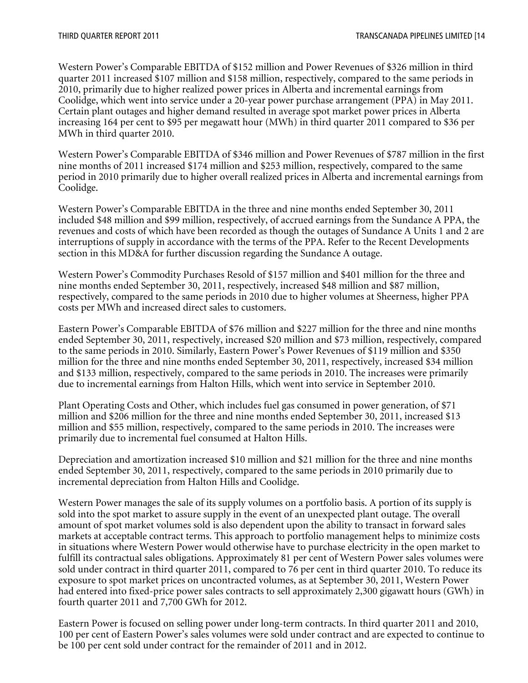Western Power's Comparable EBITDA of \$152 million and Power Revenues of \$326 million in third quarter 2011 increased \$107 million and \$158 million, respectively, compared to the same periods in 2010, primarily due to higher realized power prices in Alberta and incremental earnings from Coolidge, which went into service under a 20-year power purchase arrangement (PPA) in May 2011. Certain plant outages and higher demand resulted in average spot market power prices in Alberta increasing 164 per cent to \$95 per megawatt hour (MWh) in third quarter 2011 compared to \$36 per MWh in third quarter 2010.

Western Power's Comparable EBITDA of \$346 million and Power Revenues of \$787 million in the first nine months of 2011 increased \$174 million and \$253 million, respectively, compared to the same period in 2010 primarily due to higher overall realized prices in Alberta and incremental earnings from Coolidge.

Western Power's Comparable EBITDA in the three and nine months ended September 30, 2011 included \$48 million and \$99 million, respectively, of accrued earnings from the Sundance A PPA, the revenues and costs of which have been recorded as though the outages of Sundance A Units 1 and 2 are interruptions of supply in accordance with the terms of the PPA. Refer to the Recent Developments section in this MD&A for further discussion regarding the Sundance A outage.

Western Power's Commodity Purchases Resold of \$157 million and \$401 million for the three and nine months ended September 30, 2011, respectively, increased \$48 million and \$87 million, respectively, compared to the same periods in 2010 due to higher volumes at Sheerness, higher PPA costs per MWh and increased direct sales to customers.

Eastern Power's Comparable EBITDA of \$76 million and \$227 million for the three and nine months ended September 30, 2011, respectively, increased \$20 million and \$73 million, respectively, compared to the same periods in 2010. Similarly, Eastern Power's Power Revenues of \$119 million and \$350 million for the three and nine months ended September 30, 2011, respectively, increased \$34 million and \$133 million, respectively, compared to the same periods in 2010. The increases were primarily due to incremental earnings from Halton Hills, which went into service in September 2010.

Plant Operating Costs and Other, which includes fuel gas consumed in power generation, of \$71 million and \$206 million for the three and nine months ended September 30, 2011, increased \$13 million and \$55 million, respectively, compared to the same periods in 2010. The increases were primarily due to incremental fuel consumed at Halton Hills.

Depreciation and amortization increased \$10 million and \$21 million for the three and nine months ended September 30, 2011, respectively, compared to the same periods in 2010 primarily due to incremental depreciation from Halton Hills and Coolidge.

Western Power manages the sale of its supply volumes on a portfolio basis. A portion of its supply is sold into the spot market to assure supply in the event of an unexpected plant outage. The overall amount of spot market volumes sold is also dependent upon the ability to transact in forward sales markets at acceptable contract terms. This approach to portfolio management helps to minimize costs in situations where Western Power would otherwise have to purchase electricity in the open market to fulfill its contractual sales obligations. Approximately 81 per cent of Western Power sales volumes were sold under contract in third quarter 2011, compared to 76 per cent in third quarter 2010. To reduce its exposure to spot market prices on uncontracted volumes, as at September 30, 2011, Western Power had entered into fixed-price power sales contracts to sell approximately 2,300 gigawatt hours (GWh) in fourth quarter 2011 and 7,700 GWh for 2012.

Eastern Power is focused on selling power under long-term contracts. In third quarter 2011 and 2010, 100 per cent of Eastern Power's sales volumes were sold under contract and are expected to continue to be 100 per cent sold under contract for the remainder of 2011 and in 2012.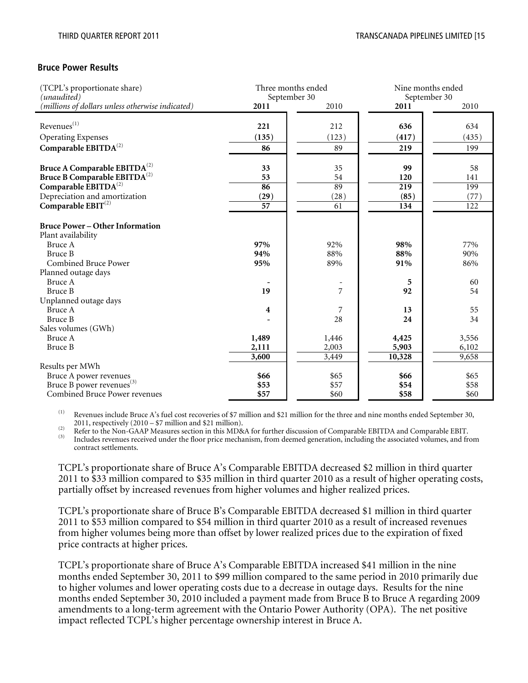#### **Bruce Power Results**

| (TCPL's proportionate share)                                                                                                             | Three months ended |                   |                   | Nine months ended |
|------------------------------------------------------------------------------------------------------------------------------------------|--------------------|-------------------|-------------------|-------------------|
| (unaudited)                                                                                                                              | September 30       |                   |                   | September 30      |
| (millions of dollars unless otherwise indicated)                                                                                         | 2011               | 2010              | 2011              | 2010              |
| Revenues <sup>(1)</sup>                                                                                                                  | 221                | 212               | 636               | 634               |
| <b>Operating Expenses</b>                                                                                                                | (135)              | (123)             | (417)             | (435)             |
| Comparable $\operatorname{EBITDA}^{(2)}$                                                                                                 | 86                 | 89                | 219               | 199               |
| Bruce A Comparable $EBITDA^{(2)}$                                                                                                        | 33                 | 35                | 99                | 58                |
| Bruce B Comparable EBITDA <sup>(2)</sup>                                                                                                 | 53                 | 54                | 120               | 141               |
| Comparable EBITDA <sup>(2)</sup>                                                                                                         | 86                 | 89                | 219               | 199               |
| Depreciation and amortization                                                                                                            | (29)               | (28)              | (85)              | (77)              |
| Comparable $EBIT^{(2)}$                                                                                                                  | 57                 | 61                | 134               | $\overline{122}$  |
| <b>Bruce Power - Other Information</b><br>Plant availability<br>Bruce A<br><b>Bruce B</b><br>Combined Bruce Power<br>Planned outage days | 97%<br>94%<br>95%  | 92%<br>88%<br>89% | 98%<br>88%<br>91% | 77%<br>90%<br>86% |
| Bruce A<br><b>Bruce B</b><br>Unplanned outage days<br>Bruce A                                                                            | 19<br>4            | 7<br>7            | 5<br>92<br>13     | 60<br>54<br>55    |
| <b>Bruce B</b><br>Sales volumes (GWh)<br>Bruce A                                                                                         | 1,489              | 28<br>1,446       | 24<br>4,425       | 34<br>3,556       |
| Bruce B                                                                                                                                  | 2,111              | 2,003             | 5,903             | 6,102             |
| Results per MWh                                                                                                                          | 3,600              | 3,449             | 10,328            | 9,658             |
| Bruce A power revenues                                                                                                                   | \$66               | \$65              | \$66              | \$65              |
| Bruce B power revenues <sup>(3)</sup>                                                                                                    | \$53               | \$57              | \$54              | \$58              |
| <b>Combined Bruce Power revenues</b>                                                                                                     | \$57               | \$60              | \$58              | \$60              |

(1) Revenues include Bruce A's fuel cost recoveries of \$7 million and \$21 million for the three and nine months ended September 30, 2011, respectively (2010 – \$7 million and \$21 million).

Exercise to the Non-GAAP Measures section in this MD&A for further discussion of Comparable EBITDA and Comparable EBIT.<br>Includes revenues received under the floor price mechanism, from deemed generation, including the asso

contract settlements.

TCPL's proportionate share of Bruce A's Comparable EBITDA decreased \$2 million in third quarter 2011 to \$33 million compared to \$35 million in third quarter 2010 as a result of higher operating costs, partially offset by increased revenues from higher volumes and higher realized prices.

TCPL's proportionate share of Bruce B's Comparable EBITDA decreased \$1 million in third quarter 2011 to \$53 million compared to \$54 million in third quarter 2010 as a result of increased revenues from higher volumes being more than offset by lower realized prices due to the expiration of fixed price contracts at higher prices.

TCPL's proportionate share of Bruce A's Comparable EBITDA increased \$41 million in the nine months ended September 30, 2011 to \$99 million compared to the same period in 2010 primarily due to higher volumes and lower operating costs due to a decrease in outage days. Results for the nine months ended September 30, 2010 included a payment made from Bruce B to Bruce A regarding 2009 amendments to a long-term agreement with the Ontario Power Authority (OPA). The net positive impact reflected TCPL's higher percentage ownership interest in Bruce A.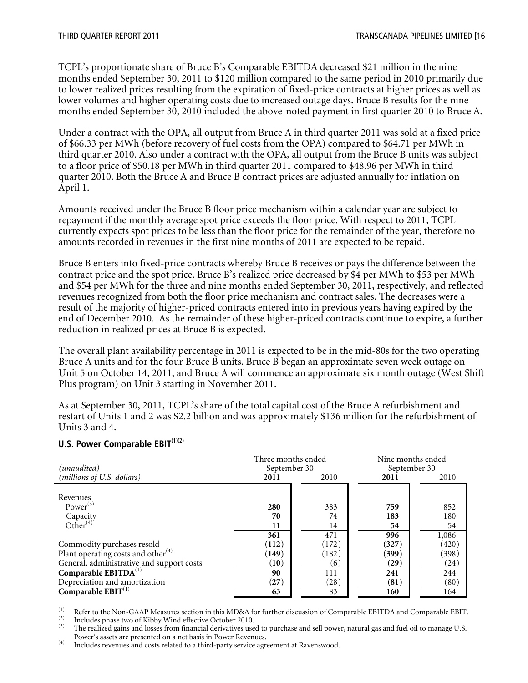TCPL's proportionate share of Bruce B's Comparable EBITDA decreased \$21 million in the nine months ended September 30, 2011 to \$120 million compared to the same period in 2010 primarily due to lower realized prices resulting from the expiration of fixed-price contracts at higher prices as well as lower volumes and higher operating costs due to increased outage days. Bruce B results for the nine months ended September 30, 2010 included the above-noted payment in first quarter 2010 to Bruce A.

Under a contract with the OPA, all output from Bruce A in third quarter 2011 was sold at a fixed price of \$66.33 per MWh (before recovery of fuel costs from the OPA) compared to \$64.71 per MWh in third quarter 2010. Also under a contract with the OPA, all output from the Bruce B units was subject to a floor price of \$50.18 per MWh in third quarter 2011 compared to \$48.96 per MWh in third quarter 2010. Both the Bruce A and Bruce B contract prices are adjusted annually for inflation on April 1.

Amounts received under the Bruce B floor price mechanism within a calendar year are subject to repayment if the monthly average spot price exceeds the floor price. With respect to 2011, TCPL currently expects spot prices to be less than the floor price for the remainder of the year, therefore no amounts recorded in revenues in the first nine months of 2011 are expected to be repaid.

Bruce B enters into fixed-price contracts whereby Bruce B receives or pays the difference between the contract price and the spot price. Bruce B's realized price decreased by \$4 per MWh to \$53 per MWh and \$54 per MWh for the three and nine months ended September 30, 2011, respectively, and reflected revenues recognized from both the floor price mechanism and contract sales. The decreases were a result of the majority of higher-priced contracts entered into in previous years having expired by the end of December 2010. As the remainder of these higher-priced contracts continue to expire, a further reduction in realized prices at Bruce B is expected.

The overall plant availability percentage in 2011 is expected to be in the mid-80s for the two operating Bruce A units and for the four Bruce B units. Bruce B began an approximate seven week outage on Unit 5 on October 14, 2011, and Bruce A will commence an approximate six month outage (West Shift Plus program) on Unit 3 starting in November 2011.

As at September 30, 2011, TCPL's share of the total capital cost of the Bruce A refurbishment and restart of Units 1 and 2 was \$2.2 billion and was approximately \$136 million for the refurbishment of Units 3 and 4.

#### **U.S. Power Comparable EBIT**<sup>(1)(2)</sup>

| (unaudited)                               | Three months ended<br>September 30 |       | Nine months ended<br>September 30 |       |  |
|-------------------------------------------|------------------------------------|-------|-----------------------------------|-------|--|
| (millions of U.S. dollars)                | 2011                               | 2010  | 2011                              | 2010  |  |
| Revenues                                  |                                    |       |                                   |       |  |
| Power $^{(3)}$                            | 280                                | 383   | 759                               | 852   |  |
| Capacity                                  | 70                                 | 74    | 183                               | 180   |  |
| Other $(4)$                               | 11                                 | 14    | 54                                | 54    |  |
|                                           | 361                                | 471   | 996                               | 1,086 |  |
| Commodity purchases resold                | (112)                              | (172) | (327)                             | (420) |  |
| Plant operating costs and other $(4)$     | (149)                              | (182) | (399)                             | (398) |  |
| General, administrative and support costs | (10)                               | (6)   | (29)                              | (24)  |  |
| Comparable $EBITDA(1)$                    | 90                                 | 111   | 241                               | 244   |  |
| Depreciation and amortization             | $\left( 27\right)$                 | (28)  | (81)                              | (80)  |  |
| Comparable $EBIT^{(1)}$                   | 63                                 | 83    | 160                               | 164   |  |

The mass of the Non-GAAP Measures section in this MD&A for further discussion of Comparable EBITDA and Comparable EBIT.<br>
The realized gains and losses from financial derivatives used to purchase and sell power, natural ga

Power's assets are presented on a net basis in Power Revenues. (4) Includes revenues and costs related to a third-party service agreement at Ravenswood.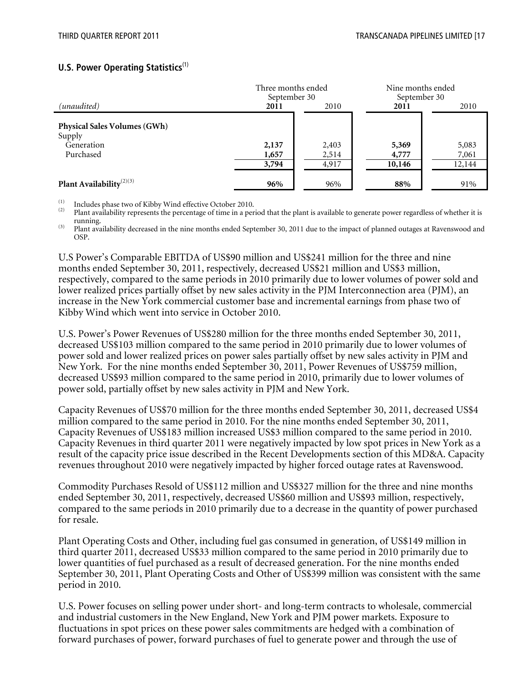#### **U.S. Power Operating Statistics**<sup>(1)</sup>

|                                                                          |                         | Three months ended<br>September 30 |                          | Nine months ended<br>September 30 |
|--------------------------------------------------------------------------|-------------------------|------------------------------------|--------------------------|-----------------------------------|
| (unaudited)                                                              | 2011                    | 2010                               | 2011                     | 2010                              |
| <b>Physical Sales Volumes (GWh)</b><br>Supply<br>Generation<br>Purchased | 2,137<br>1,657<br>3,794 | 2,403<br>2,514<br>4,917            | 5,369<br>4,777<br>10,146 | 5,083<br>7,061<br>12,144          |
| Plant Availability <sup>(2)(3)</sup>                                     | 96%                     | 96%                                | 88%                      | 91%                               |

The Uncludes phase two of Kibby Wind effective October 2010.<br>
Plant availability represents the percentage of time in a period that the plant is available to generate power regardless of whether it is<br>
running.

<sup>(3)</sup> Plant availability decreased in the nine months ended September 30, 2011 due to the impact of planned outages at Ravenswood and OSP.

U.S Power's Comparable EBITDA of US\$90 million and US\$241 million for the three and nine months ended September 30, 2011, respectively, decreased US\$21 million and US\$3 million, respectively, compared to the same periods in 2010 primarily due to lower volumes of power sold and lower realized prices partially offset by new sales activity in the PJM Interconnection area (PJM), an increase in the New York commercial customer base and incremental earnings from phase two of Kibby Wind which went into service in October 2010.

U.S. Power's Power Revenues of US\$280 million for the three months ended September 30, 2011, decreased US\$103 million compared to the same period in 2010 primarily due to lower volumes of power sold and lower realized prices on power sales partially offset by new sales activity in PJM and New York. For the nine months ended September 30, 2011, Power Revenues of US\$759 million, decreased US\$93 million compared to the same period in 2010, primarily due to lower volumes of power sold, partially offset by new sales activity in PJM and New York.

Capacity Revenues of US\$70 million for the three months ended September 30, 2011, decreased US\$4 million compared to the same period in 2010. For the nine months ended September 30, 2011, Capacity Revenues of US\$183 million increased US\$3 million compared to the same period in 2010. Capacity Revenues in third quarter 2011 were negatively impacted by low spot prices in New York as a result of the capacity price issue described in the Recent Developments section of this MD&A. Capacity revenues throughout 2010 were negatively impacted by higher forced outage rates at Ravenswood.

Commodity Purchases Resold of US\$112 million and US\$327 million for the three and nine months ended September 30, 2011, respectively, decreased US\$60 million and US\$93 million, respectively, compared to the same periods in 2010 primarily due to a decrease in the quantity of power purchased for resale.

Plant Operating Costs and Other, including fuel gas consumed in generation, of US\$149 million in third quarter 2011, decreased US\$33 million compared to the same period in 2010 primarily due to lower quantities of fuel purchased as a result of decreased generation. For the nine months ended September 30, 2011, Plant Operating Costs and Other of US\$399 million was consistent with the same period in 2010.

U.S. Power focuses on selling power under short- and long-term contracts to wholesale, commercial and industrial customers in the New England, New York and PJM power markets. Exposure to fluctuations in spot prices on these power sales commitments are hedged with a combination of forward purchases of power, forward purchases of fuel to generate power and through the use of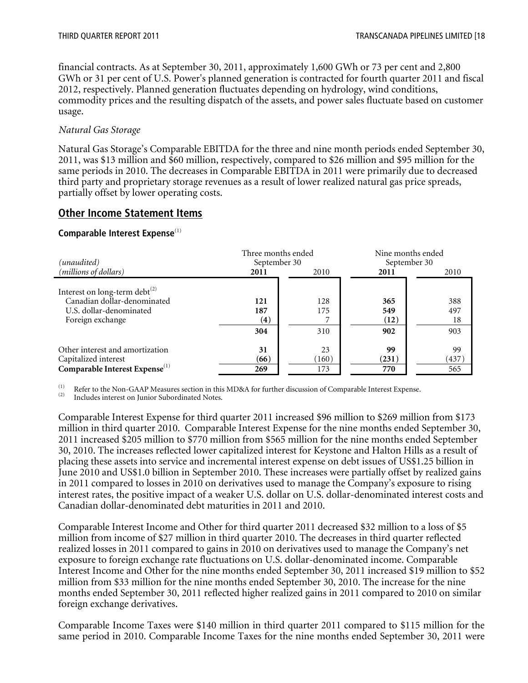financial contracts. As at September 30, 2011, approximately 1,600 GWh or 73 per cent and 2,800 GWh or 31 per cent of U.S. Power's planned generation is contracted for fourth quarter 2011 and fiscal 2012, respectively. Planned generation fluctuates depending on hydrology, wind conditions, commodity prices and the resulting dispatch of the assets, and power sales fluctuate based on customer usage.

#### *Natural Gas Storage*

Natural Gas Storage's Comparable EBITDA for the three and nine month periods ended September 30, 2011, was \$13 million and \$60 million, respectively, compared to \$26 million and \$95 million for the same periods in 2010. The decreases in Comparable EBITDA in 2011 were primarily due to decreased third party and proprietary storage revenues as a result of lower realized natural gas price spreads, partially offset by lower operating costs.

#### **Other Income Statement Items**

#### **Comparable Interest Expense**(1)

| (unaudited)                                                                                                       | Three months ended<br>September 30 |                    | Nine months ended<br>September 30 |                         |  |
|-------------------------------------------------------------------------------------------------------------------|------------------------------------|--------------------|-----------------------------------|-------------------------|--|
| (millions of dollars)                                                                                             | 2011                               | 2010               | 2011                              | 2010                    |  |
| Interest on long-term debt $^{(2)}$<br>Canadian dollar-denominated<br>U.S. dollar-denominated<br>Foreign exchange | 121<br>187<br>(4)<br>304           | 128<br>175<br>310  | 365<br>549<br>(12)<br>902         | 388<br>497<br>18<br>903 |  |
| Other interest and amortization<br>Capitalized interest<br>Comparable Interest Expense <sup>(1)</sup>             | 31<br>(66)<br>269                  | 23<br>(160)<br>173 | 99<br>(231)<br>770                | 99<br>(437)<br>565      |  |

(1) Refer to the Non-GAAP Measures section in this MD&A for further discussion of Comparable Interest Expense.<br>  $\frac{1}{2}$  Includes interest on Junior Subordinated Notes.

Comparable Interest Expense for third quarter 2011 increased \$96 million to \$269 million from \$173 million in third quarter 2010. Comparable Interest Expense for the nine months ended September 30, 2011 increased \$205 million to \$770 million from \$565 million for the nine months ended September 30, 2010. The increases reflected lower capitalized interest for Keystone and Halton Hills as a result of placing these assets into service and incremental interest expense on debt issues of US\$1.25 billion in June 2010 and US\$1.0 billion in September 2010. These increases were partially offset by realized gains in 2011 compared to losses in 2010 on derivatives used to manage the Company's exposure to rising interest rates, the positive impact of a weaker U.S. dollar on U.S. dollar-denominated interest costs and Canadian dollar-denominated debt maturities in 2011 and 2010.

Comparable Interest Income and Other for third quarter 2011 decreased \$32 million to a loss of \$5 million from income of \$27 million in third quarter 2010. The decreases in third quarter reflected realized losses in 2011 compared to gains in 2010 on derivatives used to manage the Company's net exposure to foreign exchange rate fluctuations on U.S. dollar-denominated income. Comparable Interest Income and Other for the nine months ended September 30, 2011 increased \$19 million to \$52 million from \$33 million for the nine months ended September 30, 2010. The increase for the nine months ended September 30, 2011 reflected higher realized gains in 2011 compared to 2010 on similar foreign exchange derivatives.

Comparable Income Taxes were \$140 million in third quarter 2011 compared to \$115 million for the same period in 2010. Comparable Income Taxes for the nine months ended September 30, 2011 were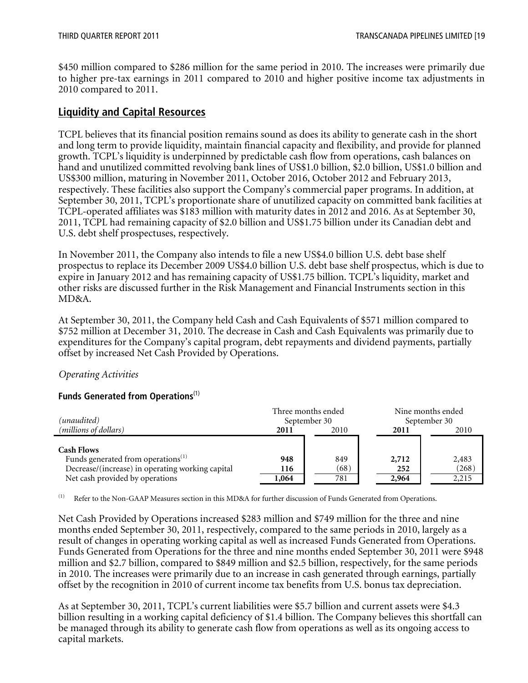\$450 million compared to \$286 million for the same period in 2010. The increases were primarily due to higher pre-tax earnings in 2011 compared to 2010 and higher positive income tax adjustments in 2010 compared to 2011.

## **Liquidity and Capital Resources**

TCPL believes that its financial position remains sound as does its ability to generate cash in the short and long term to provide liquidity, maintain financial capacity and flexibility, and provide for planned growth. TCPL's liquidity is underpinned by predictable cash flow from operations, cash balances on hand and unutilized committed revolving bank lines of US\$1.0 billion, \$2.0 billion, US\$1.0 billion and US\$300 million, maturing in November 2011, October 2016, October 2012 and February 2013, respectively. These facilities also support the Company's commercial paper programs. In addition, at September 30, 2011, TCPL's proportionate share of unutilized capacity on committed bank facilities at TCPL-operated affiliates was \$183 million with maturity dates in 2012 and 2016. As at September 30, 2011, TCPL had remaining capacity of \$2.0 billion and US\$1.75 billion under its Canadian debt and U.S. debt shelf prospectuses, respectively.

In November 2011, the Company also intends to file a new US\$4.0 billion U.S. debt base shelf prospectus to replace its December 2009 US\$4.0 billion U.S. debt base shelf prospectus, which is due to expire in January 2012 and has remaining capacity of US\$1.75 billion. TCPL's liquidity, market and other risks are discussed further in the Risk Management and Financial Instruments section in this MD&A.

At September 30, 2011, the Company held Cash and Cash Equivalents of \$571 million compared to \$752 million at December 31, 2010. The decrease in Cash and Cash Equivalents was primarily due to expenditures for the Company's capital program, debt repayments and dividend payments, partially offset by increased Net Cash Provided by Operations.

#### *Operating Activities*

#### **Funds Generated from Operations**(1)

| (unaudited)                                                                                                                                                | Three months ended<br>September 30 |                    | Nine months ended<br>September 30 |                         |  |
|------------------------------------------------------------------------------------------------------------------------------------------------------------|------------------------------------|--------------------|-----------------------------------|-------------------------|--|
| (millions of dollars)                                                                                                                                      | 2011                               | 2010               | 2011                              | 2010                    |  |
| <b>Cash Flows</b><br>Funds generated from operations <sup>(1)</sup><br>Decrease/(increase) in operating working capital<br>Net cash provided by operations | 948<br>116<br>1,064                | 849<br>(68)<br>781 | 2,712<br>252<br>2,964             | 2,483<br>(268)<br>2,215 |  |

(1) Refer to the Non-GAAP Measures section in this MD&A for further discussion of Funds Generated from Operations.

Net Cash Provided by Operations increased \$283 million and \$749 million for the three and nine months ended September 30, 2011, respectively, compared to the same periods in 2010, largely as a result of changes in operating working capital as well as increased Funds Generated from Operations. Funds Generated from Operations for the three and nine months ended September 30, 2011 were \$948 million and \$2.7 billion, compared to \$849 million and \$2.5 billion, respectively, for the same periods in 2010. The increases were primarily due to an increase in cash generated through earnings, partially offset by the recognition in 2010 of current income tax benefits from U.S. bonus tax depreciation.

As at September 30, 2011, TCPL's current liabilities were \$5.7 billion and current assets were \$4.3 billion resulting in a working capital deficiency of \$1.4 billion. The Company believes this shortfall can be managed through its ability to generate cash flow from operations as well as its ongoing access to capital markets.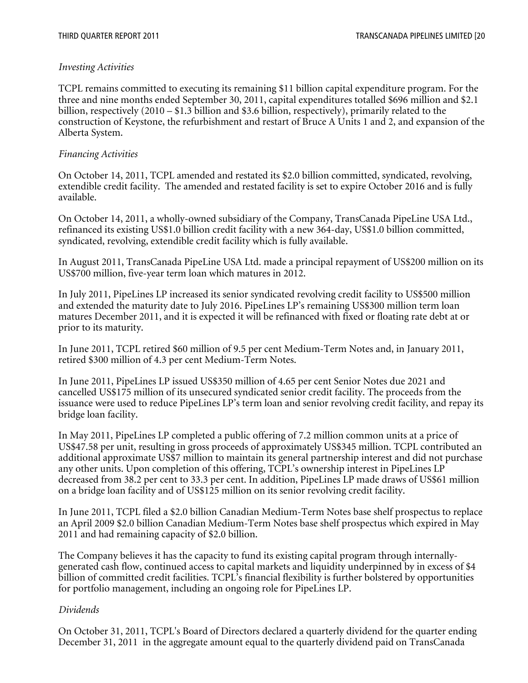#### *Investing Activities*

TCPL remains committed to executing its remaining \$11 billion capital expenditure program. For the three and nine months ended September 30, 2011, capital expenditures totalled \$696 million and \$2.1 billion, respectively (2010 – \$1.3 billion and \$3.6 billion, respectively), primarily related to the construction of Keystone, the refurbishment and restart of Bruce A Units 1 and 2, and expansion of the Alberta System.

#### *Financing Activities*

On October 14, 2011, TCPL amended and restated its \$2.0 billion committed, syndicated, revolving, extendible credit facility. The amended and restated facility is set to expire October 2016 and is fully available.

On October 14, 2011, a wholly-owned subsidiary of the Company, TransCanada PipeLine USA Ltd., refinanced its existing US\$1.0 billion credit facility with a new 364-day, US\$1.0 billion committed, syndicated, revolving, extendible credit facility which is fully available.

In August 2011, TransCanada PipeLine USA Ltd. made a principal repayment of US\$200 million on its US\$700 million, five-year term loan which matures in 2012.

In July 2011, PipeLines LP increased its senior syndicated revolving credit facility to US\$500 million and extended the maturity date to July 2016. PipeLines LP's remaining US\$300 million term loan matures December 2011, and it is expected it will be refinanced with fixed or floating rate debt at or prior to its maturity.

In June 2011, TCPL retired \$60 million of 9.5 per cent Medium-Term Notes and, in January 2011, retired \$300 million of 4.3 per cent Medium-Term Notes.

In June 2011, PipeLines LP issued US\$350 million of 4.65 per cent Senior Notes due 2021 and cancelled US\$175 million of its unsecured syndicated senior credit facility. The proceeds from the issuance were used to reduce PipeLines LP's term loan and senior revolving credit facility, and repay its bridge loan facility.

In May 2011, PipeLines LP completed a public offering of 7.2 million common units at a price of US\$47.58 per unit, resulting in gross proceeds of approximately US\$345 million. TCPL contributed an additional approximate US\$7 million to maintain its general partnership interest and did not purchase any other units. Upon completion of this offering, TCPL's ownership interest in PipeLines LP decreased from 38.2 per cent to 33.3 per cent. In addition, PipeLines LP made draws of US\$61 million on a bridge loan facility and of US\$125 million on its senior revolving credit facility.

In June 2011, TCPL filed a \$2.0 billion Canadian Medium-Term Notes base shelf prospectus to replace an April 2009 \$2.0 billion Canadian Medium-Term Notes base shelf prospectus which expired in May 2011 and had remaining capacity of \$2.0 billion.

The Company believes it has the capacity to fund its existing capital program through internallygenerated cash flow, continued access to capital markets and liquidity underpinned by in excess of \$4 billion of committed credit facilities. TCPL's financial flexibility is further bolstered by opportunities for portfolio management, including an ongoing role for PipeLines LP.

## *Dividends*

On October 31, 2011, TCPL's Board of Directors declared a quarterly dividend for the quarter ending December 31, 2011 in the aggregate amount equal to the quarterly dividend paid on TransCanada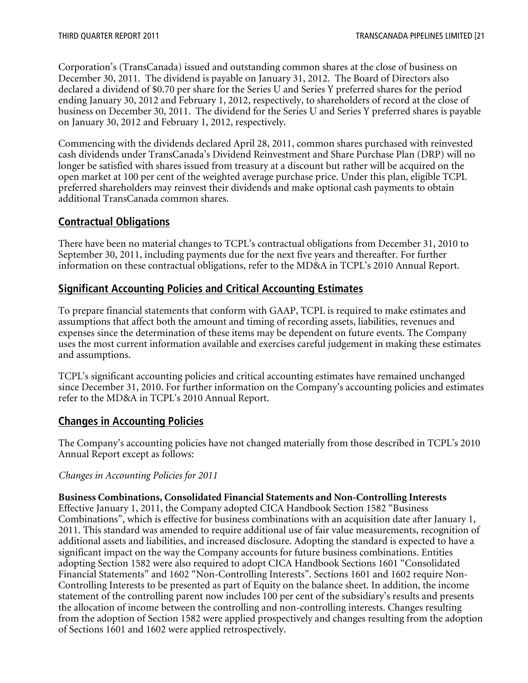Corporation's (TransCanada) issued and outstanding common shares at the close of business on December 30, 2011. The dividend is payable on January 31, 2012. The Board of Directors also declared a dividend of \$0.70 per share for the Series U and Series Y preferred shares for the period ending January 30, 2012 and February 1, 2012, respectively, to shareholders of record at the close of business on December 30, 2011. The dividend for the Series U and Series Y preferred shares is payable on January 30, 2012 and February 1, 2012, respectively.

Commencing with the dividends declared April 28, 2011, common shares purchased with reinvested cash dividends under TransCanada's Dividend Reinvestment and Share Purchase Plan (DRP) will no longer be satisfied with shares issued from treasury at a discount but rather will be acquired on the open market at 100 per cent of the weighted average purchase price. Under this plan, eligible TCPL preferred shareholders may reinvest their dividends and make optional cash payments to obtain additional TransCanada common shares.

## **Contractual Obligations**

There have been no material changes to TCPL's contractual obligations from December 31, 2010 to September 30, 2011, including payments due for the next five years and thereafter. For further information on these contractual obligations, refer to the MD&A in TCPL's 2010 Annual Report.

## **Significant Accounting Policies and Critical Accounting Estimates**

To prepare financial statements that conform with GAAP, TCPL is required to make estimates and assumptions that affect both the amount and timing of recording assets, liabilities, revenues and expenses since the determination of these items may be dependent on future events. The Company uses the most current information available and exercises careful judgement in making these estimates and assumptions.

TCPL's significant accounting policies and critical accounting estimates have remained unchanged since December 31, 2010. For further information on the Company's accounting policies and estimates refer to the MD&A in TCPL's 2010 Annual Report.

## **Changes in Accounting Policies**

The Company's accounting policies have not changed materially from those described in TCPL's 2010 Annual Report except as follows:

#### *Changes in Accounting Policies for 2011*

#### **Business Combinations, Consolidated Financial Statements and Non-Controlling Interests**

Effective January 1, 2011, the Company adopted CICA Handbook Section 1582 "Business Combinations", which is effective for business combinations with an acquisition date after January 1, 2011. This standard was amended to require additional use of fair value measurements, recognition of additional assets and liabilities, and increased disclosure. Adopting the standard is expected to have a significant impact on the way the Company accounts for future business combinations. Entities adopting Section 1582 were also required to adopt CICA Handbook Sections 1601 "Consolidated Financial Statements" and 1602 "Non-Controlling Interests". Sections 1601 and 1602 require Non-Controlling Interests to be presented as part of Equity on the balance sheet. In addition, the income statement of the controlling parent now includes 100 per cent of the subsidiary's results and presents the allocation of income between the controlling and non-controlling interests. Changes resulting from the adoption of Section 1582 were applied prospectively and changes resulting from the adoption of Sections 1601 and 1602 were applied retrospectively.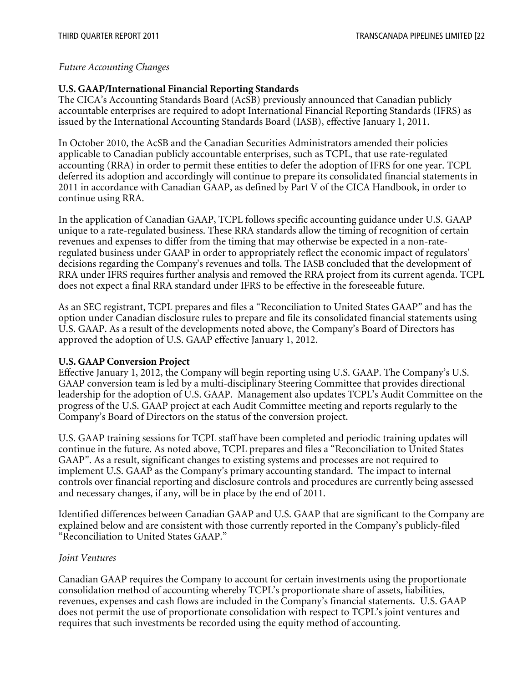#### *Future Accounting Changes*

## **U.S. GAAP/International Financial Reporting Standards**

The CICA's Accounting Standards Board (AcSB) previously announced that Canadian publicly accountable enterprises are required to adopt International Financial Reporting Standards (IFRS) as issued by the International Accounting Standards Board (IASB), effective January 1, 2011.

In October 2010, the AcSB and the Canadian Securities Administrators amended their policies applicable to Canadian publicly accountable enterprises, such as TCPL, that use rate-regulated accounting (RRA) in order to permit these entities to defer the adoption of IFRS for one year. TCPL deferred its adoption and accordingly will continue to prepare its consolidated financial statements in 2011 in accordance with Canadian GAAP, as defined by Part V of the CICA Handbook, in order to continue using RRA.

In the application of Canadian GAAP, TCPL follows specific accounting guidance under U.S. GAAP unique to a rate-regulated business. These RRA standards allow the timing of recognition of certain revenues and expenses to differ from the timing that may otherwise be expected in a non-rateregulated business under GAAP in order to appropriately reflect the economic impact of regulators' decisions regarding the Company's revenues and tolls. The IASB concluded that the development of RRA under IFRS requires further analysis and removed the RRA project from its current agenda. TCPL does not expect a final RRA standard under IFRS to be effective in the foreseeable future.

As an SEC registrant, TCPL prepares and files a "Reconciliation to United States GAAP" and has the option under Canadian disclosure rules to prepare and file its consolidated financial statements using U.S. GAAP. As a result of the developments noted above, the Company's Board of Directors has approved the adoption of U.S. GAAP effective January 1, 2012.

#### **U.S. GAAP Conversion Project**

Effective January 1, 2012, the Company will begin reporting using U.S. GAAP. The Company's U.S. GAAP conversion team is led by a multi-disciplinary Steering Committee that provides directional leadership for the adoption of U.S. GAAP. Management also updates TCPL's Audit Committee on the progress of the U.S. GAAP project at each Audit Committee meeting and reports regularly to the Company's Board of Directors on the status of the conversion project.

U.S. GAAP training sessions for TCPL staff have been completed and periodic training updates will continue in the future. As noted above, TCPL prepares and files a "Reconciliation to United States GAAP". As a result, significant changes to existing systems and processes are not required to implement U.S. GAAP as the Company's primary accounting standard. The impact to internal controls over financial reporting and disclosure controls and procedures are currently being assessed and necessary changes, if any, will be in place by the end of 2011.

Identified differences between Canadian GAAP and U.S. GAAP that are significant to the Company are explained below and are consistent with those currently reported in the Company's publicly-filed "Reconciliation to United States GAAP."

## *Joint Ventures*

Canadian GAAP requires the Company to account for certain investments using the proportionate consolidation method of accounting whereby TCPL's proportionate share of assets, liabilities, revenues, expenses and cash flows are included in the Company's financial statements. U.S. GAAP does not permit the use of proportionate consolidation with respect to TCPL's joint ventures and requires that such investments be recorded using the equity method of accounting.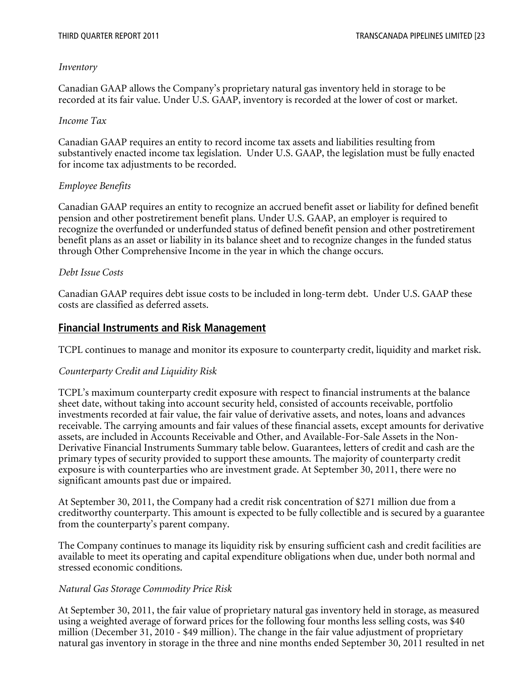#### *Inventory*

Canadian GAAP allows the Company's proprietary natural gas inventory held in storage to be recorded at its fair value. Under U.S. GAAP, inventory is recorded at the lower of cost or market.

#### *Income Tax*

Canadian GAAP requires an entity to record income tax assets and liabilities resulting from substantively enacted income tax legislation. Under U.S. GAAP, the legislation must be fully enacted for income tax adjustments to be recorded.

#### *Employee Benefits*

Canadian GAAP requires an entity to recognize an accrued benefit asset or liability for defined benefit pension and other postretirement benefit plans. Under U.S. GAAP, an employer is required to recognize the overfunded or underfunded status of defined benefit pension and other postretirement benefit plans as an asset or liability in its balance sheet and to recognize changes in the funded status through Other Comprehensive Income in the year in which the change occurs.

#### *Debt Issue Costs*

Canadian GAAP requires debt issue costs to be included in long-term debt. Under U.S. GAAP these costs are classified as deferred assets.

#### **Financial Instruments and Risk Management**

TCPL continues to manage and monitor its exposure to counterparty credit, liquidity and market risk.

#### *Counterparty Credit and Liquidity Risk*

TCPL's maximum counterparty credit exposure with respect to financial instruments at the balance sheet date, without taking into account security held, consisted of accounts receivable, portfolio investments recorded at fair value, the fair value of derivative assets, and notes, loans and advances receivable. The carrying amounts and fair values of these financial assets, except amounts for derivative assets, are included in Accounts Receivable and Other, and Available-For-Sale Assets in the Non-Derivative Financial Instruments Summary table below. Guarantees, letters of credit and cash are the primary types of security provided to support these amounts. The majority of counterparty credit exposure is with counterparties who are investment grade. At September 30, 2011, there were no significant amounts past due or impaired.

At September 30, 2011, the Company had a credit risk concentration of \$271 million due from a creditworthy counterparty. This amount is expected to be fully collectible and is secured by a guarantee from the counterparty's parent company.

The Company continues to manage its liquidity risk by ensuring sufficient cash and credit facilities are available to meet its operating and capital expenditure obligations when due, under both normal and stressed economic conditions.

#### *Natural Gas Storage Commodity Price Risk*

At September 30, 2011, the fair value of proprietary natural gas inventory held in storage, as measured using a weighted average of forward prices for the following four months less selling costs, was \$40 million (December 31, 2010 - \$49 million). The change in the fair value adjustment of proprietary natural gas inventory in storage in the three and nine months ended September 30, 2011 resulted in net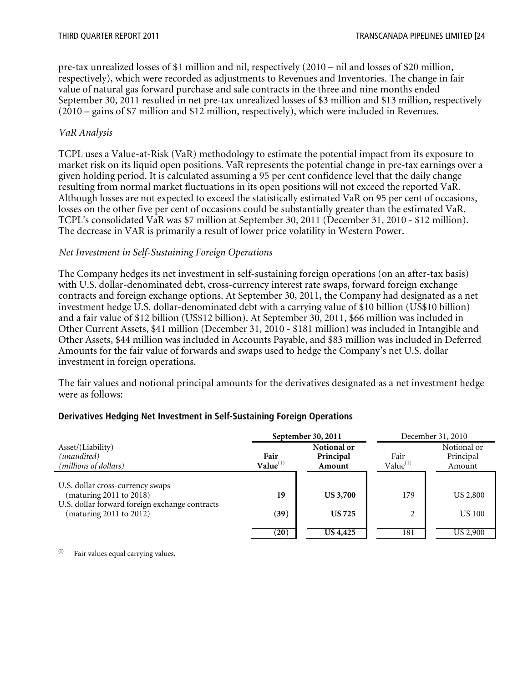pre-tax unrealized losses of \$1 million and nil, respectively (2010 – nil and losses of \$20 million, respectively), which were recorded as adjustments to Revenues and Inventories. The change in fair value of natural gas forward purchase and sale contracts in the three and nine months ended September 30, 2011 resulted in net pre-tax unrealized losses of \$3 million and \$13 million, respectively (2010 – gains of \$7 million and \$12 million, respectively), which were included in Revenues.

#### *VaR Analysis*

TCPL uses a Value-at-Risk (VaR) methodology to estimate the potential impact from its exposure to market risk on its liquid open positions. VaR represents the potential change in pre-tax earnings over a given holding period. It is calculated assuming a 95 per cent confidence level that the daily change resulting from normal market fluctuations in its open positions will not exceed the reported VaR. Although losses are not expected to exceed the statistically estimated VaR on 95 per cent of occasions, losses on the other five per cent of occasions could be substantially greater than the estimated VaR. TCPL's consolidated VaR was \$7 million at September 30, 2011 (December 31, 2010 - \$12 million). The decrease in VAR is primarily a result of lower price volatility in Western Power.

#### *Net Investment in Self-Sustaining Foreign Operations*

The Company hedges its net investment in self-sustaining foreign operations (on an after-tax basis) with U.S. dollar-denominated debt, cross-currency interest rate swaps, forward foreign exchange contracts and foreign exchange options. At September 30, 2011, the Company had designated as a net investment hedge U.S. dollar-denominated debt with a carrying value of \$10 billion (US\$10 billion) and a fair value of \$12 billion (US\$12 billion). At September 30, 2011, \$66 million was included in Other Current Assets, \$41 million (December 31, 2010 - \$181 million) was included in Intangible and Other Assets, \$44 million was included in Accounts Payable, and \$83 million was included in Deferred Amounts for the fair value of forwards and swaps used to hedge the Company's net U.S. dollar investment in foreign operations.

The fair values and notional principal amounts for the derivatives designated as a net investment hedge were as follows:

|                                                                                                               | September 30, 2011                                          |                 | December 31, 2010     |                                    |  |
|---------------------------------------------------------------------------------------------------------------|-------------------------------------------------------------|-----------------|-----------------------|------------------------------------|--|
| Asset/(Liability)<br>(unaudited)<br>(millions of dollars)                                                     | Notional or<br>Principal<br>Fair<br>$Value^{(1)}$<br>Amount |                 | Fair<br>$Value^{(1)}$ | Notional or<br>Principal<br>Amount |  |
| U.S. dollar cross-currency swaps<br>(maturing 2011 to 2018)<br>U.S. dollar forward foreign exchange contracts | 19                                                          | <b>US 3,700</b> | 179                   | US 2,800                           |  |
| $(\text{maturing } 2011 \text{ to } 2012)$                                                                    | (39)                                                        | <b>US 725</b>   | 2                     | <b>US 100</b>                      |  |
|                                                                                                               | (20)                                                        | <b>US 4,425</b> | 181                   | US 2,900                           |  |

#### **Derivatives Hedging Net Investment in Self-Sustaining Foreign Operations**

(1) Fair values equal carrying values.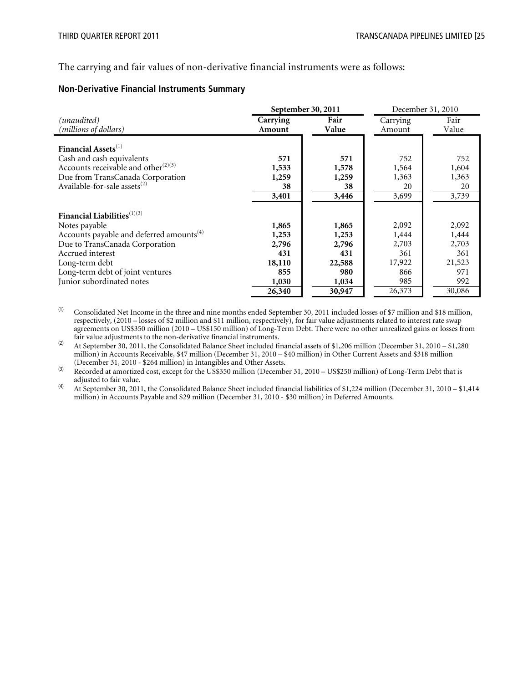#### The carrying and fair values of non-derivative financial instruments were as follows:

#### **Non-Derivative Financial Instruments Summary**

|                                                              |          | September 30, 2011 | December 31, 2010 |        |  |
|--------------------------------------------------------------|----------|--------------------|-------------------|--------|--|
| (unaudited)                                                  | Carrying | Fair               | Carrying          | Fair   |  |
| (millions of dollars)                                        | Amount   | Value              | Amount            | Value  |  |
| Financial Assets <sup>(1)</sup>                              | 571      | 571                | 752               | 752    |  |
| Cash and cash equivalents                                    | 1,533    | 1,578              | 1,564             | 1,604  |  |
| Accounts receivable and other <sup><math>(2)(3)</math></sup> | 1,259    | 1,259              | 1,363             | 1,363  |  |
| Due from TransCanada Corporation                             | 38       | 38                 | 20                | 20     |  |
| Available-for-sale assets <sup>(2)</sup>                     | 3,401    | 3,446              | 3,699             | 3,739  |  |
| Financial Liabilities <sup>(1)(3)</sup>                      | 1,865    | 1,865              | 2,092             | 2,092  |  |
| Notes payable                                                | 1,253    | 1,253              | 1,444             | 1,444  |  |
| Accounts payable and deferred amounts <sup>(4)</sup>         | 2,796    | 2,796              | 2,703             | 2,703  |  |
| Due to TransCanada Corporation                               | 431      | 431                | 361               | 361    |  |
| Accrued interest                                             | 18,110   | 22,588             | 17,922            | 21,523 |  |
| Long-term debt                                               | 855      | 980                | 866               | 971    |  |
| Long-term debt of joint ventures                             | 1,030    | 1,034              | 985               | 992    |  |
| Junior subordinated notes                                    | 26,340   | 30,947             | 26,373            | 30,086 |  |

(1) Consolidated Net Income in the three and nine months ended September 30, 2011 included losses of \$7 million and \$18 million, respectively, (2010 – losses of \$2 million and \$11 million, respectively), for fair value adjustments related to interest rate swap agreements on US\$350 million (2010 – US\$150 million) of Long-Term Debt. There were no other unrealized gains or losses from fair value adjustments to the non-derivative financial instruments.

(2) At September 30, 2011, the Consolidated Balance Sheet included financial assets of \$1,206 million (December 31, 2010 – \$1,280) million) in Accounts Receivable, \$47 million (December 31, 2010 – \$40 million) in Other Current Assets and \$318 million (December 31, 2010 - \$264 million) in Intangibles and Other Assets.

(3) Recorded at amortized cost, except for the US\$350 million (December 31, 2010 – US\$250 million) of Long-Term Debt that is adjusted to fair value.

<sup>(4)</sup> At September 30, 2011, the Consolidated Balance Sheet included financial liabilities of \$1,224 million (December 31, 2010 – \$1,414 million) in Accounts Payable and \$29 million (December 31, 2010 - \$30 million) in Deferred Amounts.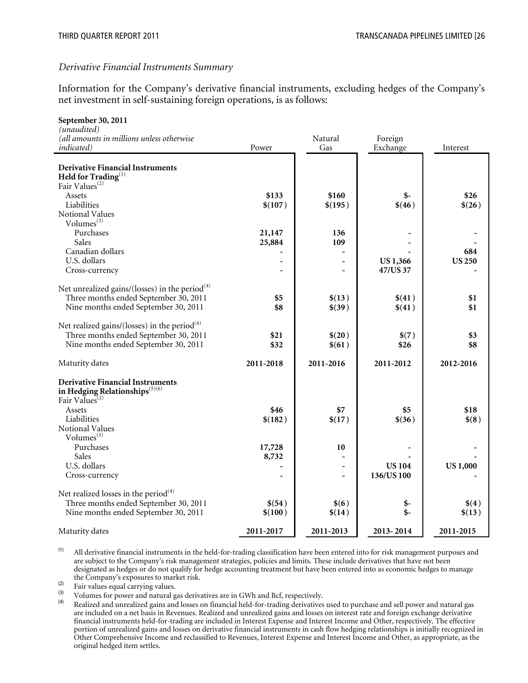#### *Derivative Financial Instruments Summary*

Information for the Company's derivative financial instruments, excluding hedges of the Company's net investment in self-sustaining foreign operations, is as follows:

| September 30, 2011                                                                        |           |                          |                |                |
|-------------------------------------------------------------------------------------------|-----------|--------------------------|----------------|----------------|
| (unaudited)<br>(all amounts in millions unless otherwise                                  |           | Natural                  | Foreign        |                |
| indicated)                                                                                | Power     | Gas                      | Exchange       | Interest       |
|                                                                                           |           |                          |                |                |
| <b>Derivative Financial Instruments</b>                                                   |           |                          |                |                |
| Held for $\mathrm{Trading}^{(1)}$                                                         |           |                          |                |                |
| Fair Values <sup>(2)</sup>                                                                |           |                          |                |                |
| Assets                                                                                    | \$133     | \$160                    | $$-$           | \$26           |
| Liabilities                                                                               | \$(107)   | \$(195)                  | \$(46)         | \$(26)         |
| Notional Values                                                                           |           |                          |                |                |
| Volumes <sup>(3)</sup>                                                                    |           |                          |                |                |
| Purchases                                                                                 | 21,147    | 136                      |                |                |
| <b>Sales</b>                                                                              | 25,884    | 109                      |                |                |
| Canadian dollars                                                                          |           | $\overline{\phantom{0}}$ |                | 684            |
| U.S. dollars                                                                              |           |                          | <b>US1,366</b> | <b>US 250</b>  |
| Cross-currency                                                                            |           |                          | 47/US 37       |                |
|                                                                                           |           |                          |                |                |
| Net unrealized gains/(losses) in the period <sup>(4)</sup>                                |           |                          |                |                |
| Three months ended September 30, 2011                                                     | \$5       | \$(13)                   | \$(41)         | \$1            |
| Nine months ended September 30, 2011                                                      | \$8       | \$(39)                   | \$(41)         | \$1            |
|                                                                                           |           |                          |                |                |
| Net realized gains/(losses) in the period $(4)$                                           |           |                          |                |                |
| Three months ended September 30, 2011                                                     | \$21      | \$(20)                   | \$(7)          | \$3            |
| Nine months ended September 30, 2011                                                      | \$32      | \$(61)                   | \$26           | \$8            |
|                                                                                           |           |                          |                |                |
| Maturity dates                                                                            | 2011-2018 | 2011-2016                | 2011-2012      | 2012-2016      |
|                                                                                           |           |                          |                |                |
| <b>Derivative Financial Instruments</b>                                                   |           |                          |                |                |
| in Hedging Relationships <sup>(5)(6)</sup>                                                |           |                          |                |                |
| Fair Values <sup>(2)</sup>                                                                |           |                          |                |                |
| Assets                                                                                    | \$46      | \$7                      | \$5            | \$18           |
| Liabilities                                                                               | \$(182)   | \$(17)                   | \$(36)         | \$(8)          |
| Notional Values                                                                           |           |                          |                |                |
| Volumes <sup>(3)</sup>                                                                    |           |                          |                |                |
| Purchases                                                                                 | 17,728    | 10                       |                |                |
| Sales                                                                                     | 8,732     |                          |                |                |
| U.S. dollars                                                                              |           |                          | <b>US 104</b>  | <b>US1,000</b> |
| Cross-currency                                                                            |           |                          | 136/US 100     |                |
|                                                                                           |           |                          |                |                |
| Net realized losses in the period <sup>(4)</sup><br>Three months ended September 30, 2011 | \$(54)    | \$(6)                    | $$-$           | \$(4)          |
| Nine months ended September 30, 2011                                                      |           |                          | \$-            |                |
|                                                                                           | \$(100)   | \$(14)                   |                | \$(13)         |
| Maturity dates                                                                            | 2011-2017 | 2011-2013                | 2013-2014      | 2011-2015      |

(1) All derivative financial instruments in the held-for-trading classification have been entered into for risk management purposes and are subject to the Company's risk management strategies, policies and limits. These include derivatives that have not been designated as hedges or do not qualify for hedge accounting treatment but have been entered into as economic hedges to manage the Company's exposures to market risk.

(2)<br>
Fair values equal carrying values.<br>
Volumes for power and natural gas derivatives are in GWh and Bcf, respectively.<br>
(4) Realized and unrealized gains and losses on financial held-for-trading derivatives used to purch are included on a net basis in Revenues. Realized and unrealized gains and losses on interest rate and foreign exchange derivative financial instruments held-for-trading are included in Interest Expense and Interest Income and Other, respectively. The effective portion of unrealized gains and losses on derivative financial instruments in cash flow hedging relationships is initially recognized in Other Comprehensive Income and reclassified to Revenues, Interest Expense and Interest Income and Other, as appropriate, as the original hedged item settles.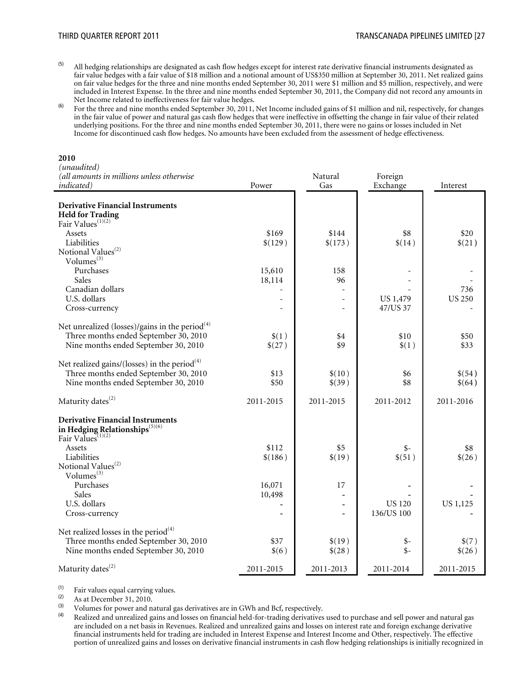- <sup>(5)</sup> All hedging relationships are designated as cash flow hedges except for interest rate derivative financial instruments designated as fair value hedges with a fair value of \$18 million and a notional amount of US\$350 million at September 30, 2011. Net realized gains on fair value hedges for the three and nine months ended September 30, 2011 were \$1 million and \$5 million, respectively, and were included in Interest Expense. In the three and nine months ended September 30, 2011, the Company did not record any amounts in
- <sup>(6)</sup> For the three and nine months ended September 30, 2011, Net Income included gains of \$1 million and nil, respectively, for changes in the fair value of power and natural gas cash flow hedges that were ineffective in offsetting the change in fair value of their related underlying positions. For the three and nine months ended September 30, 2011, there were no gains or losses included in Net Income for discontinued cash flow hedges. No amounts have been excluded from the assessment of hedge effectiveness.

#### **2010**

*(unaudited)* 

| (unauauea)<br>(all amounts in millions unless otherwise<br><i>indicated</i> )                                                               | Power            | Natural<br>Gas           | Foreign<br>Exchange          | Interest             |
|---------------------------------------------------------------------------------------------------------------------------------------------|------------------|--------------------------|------------------------------|----------------------|
|                                                                                                                                             |                  |                          |                              |                      |
| <b>Derivative Financial Instruments</b><br><b>Held for Trading</b><br>Fair Values <sup>(1)(2)</sup>                                         |                  |                          |                              |                      |
| Assets<br>Liabilities                                                                                                                       | \$169<br>\$(129) | \$144<br>\$(173)         | \$8<br>\$(14)                | \$20<br>\$(21)       |
| Notional Values <sup>(2)</sup><br>Volumes <sup>(3)</sup>                                                                                    |                  |                          |                              |                      |
| Purchases<br>Sales                                                                                                                          | 15,610<br>18,114 | 158<br>96                |                              |                      |
| Canadian dollars<br>U.S. dollars<br>Cross-currency                                                                                          |                  | L.                       | US 1,479<br>47/US 37         | 736<br><b>US 250</b> |
|                                                                                                                                             |                  |                          |                              |                      |
| Net unrealized (losses)/gains in the period <sup>(4)</sup><br>Three months ended September 30, 2010<br>Nine months ended September 30, 2010 | \$(1)<br>\$(27)  | \$4<br>\$9               | \$10<br>\$(1)                | \$50<br>\$33         |
| Net realized gains/(losses) in the period $(4)$<br>Three months ended September 30, 2010<br>Nine months ended September 30, 2010            | \$13<br>\$50     | \$(10)<br>\$(39)         | \$6<br>\$8                   | \$(54)<br>\$(64)     |
| Maturity dates <sup>(2)</sup>                                                                                                               | 2011-2015        | 2011-2015                | 2011-2012                    | 2011-2016            |
| <b>Derivative Financial Instruments</b><br>in Hedging Relationships <sup>(5)(6)</sup><br>Fair Values $^{(1)(2)}$                            |                  |                          |                              |                      |
| Assets<br>Liabilities                                                                                                                       | \$112<br>\$(186) | \$5<br>\$(19)            | $\frac{1}{2}$<br>\$(51)      | \$8<br>\$(26)        |
| Notional Values <sup>(2)</sup><br>Volumes <sup>(3)</sup><br>Purchases                                                                       | 16,071           | 17                       |                              |                      |
| Sales<br>U.S. dollars                                                                                                                       | 10,498           | $\overline{\phantom{a}}$ | <b>US 120</b>                | US 1,125             |
| Cross-currency                                                                                                                              |                  |                          | 136/US 100                   |                      |
| Net realized losses in the period <sup>(4)</sup>                                                                                            |                  |                          |                              |                      |
| Three months ended September 30, 2010<br>Nine months ended September 30, 2010                                                               | \$37<br>\$(6)    | \$(19)<br>\$(28)         | $$-$<br>$\hat{\mathbb{S}}$ - | \$(7)<br>\$(26)      |
| Maturity dates <sup>(2)</sup>                                                                                                               | 2011-2015        | 2011-2013                | 2011-2014                    | 2011-2015            |

(1) Fair values equal carrying values.<br>
As at December 31, 2010.<br>
(3) Volumes for nower and natural  $\alpha$ 

(3) Volumes for power and natural gas derivatives are in GWh and Bcf, respectively.<br>(4) Realized and unrealized gains and losses on financial held-for-trading derivatives used to purchase and sell power and natural gas are included on a net basis in Revenues. Realized and unrealized gains and losses on interest rate and foreign exchange derivative financial instruments held for trading are included in Interest Expense and Interest Income and Other, respectively. The effective portion of unrealized gains and losses on derivative financial instruments in cash flow hedging relationships is initially recognized in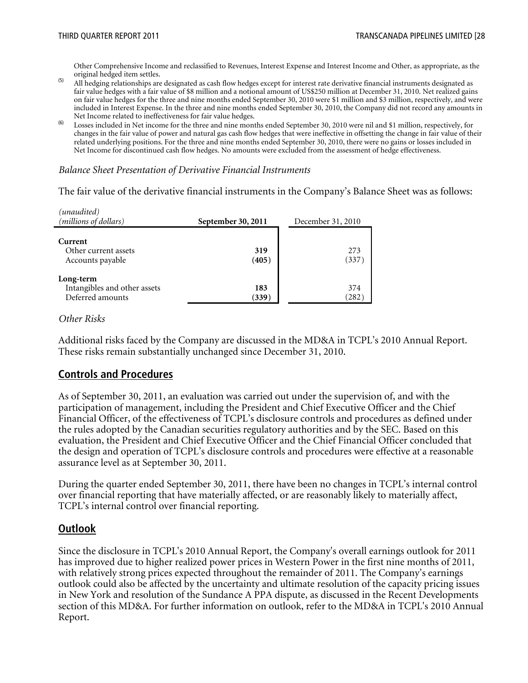Other Comprehensive Income and reclassified to Revenues, Interest Expense and Interest Income and Other, as appropriate, as the

- original hedged item settles.<br><sup>(5)</sup> All hedging relationships are designated as cash flow hedges except for interest rate derivative financial instruments designated as fair value hedges with a fair value of \$8 million and a notional amount of US\$250 million at December 31, 2010. Net realized gains on fair value hedges for the three and nine months ended September 30, 2010 were \$1 million and \$3 million, respectively, and were included in Interest Expense. In the three and nine months ended September 30, 2010, the Company did not record any amounts in
- Net Income related to ineffectiveness for fair value hedges.<br>Losses included in Net income for the three and nine months ended September 30, 2010 were nil and \$1 million, respectively, for changes in the fair value of power and natural gas cash flow hedges that were ineffective in offsetting the change in fair value of their related underlying positions. For the three and nine months ended September 30, 2010, there were no gains or losses included in Net Income for discontinued cash flow hedges. No amounts were excluded from the assessment of hedge effectiveness.

#### *Balance Sheet Presentation of Derivative Financial Instruments*

The fair value of the derivative financial instruments in the Company's Balance Sheet was as follows:

| (unaudited)<br>(millions of dollars)                          | September 30, 2011 | December 31, 2010 |
|---------------------------------------------------------------|--------------------|-------------------|
| Current<br>Other current assets<br>Accounts payable           | 319<br>(405)       | 273<br>(337)      |
| Long-term<br>Intangibles and other assets<br>Deferred amounts | 183<br>(339)       | 374<br>(282)      |

#### *Other Risks*

Additional risks faced by the Company are discussed in the MD&A in TCPL's 2010 Annual Report. These risks remain substantially unchanged since December 31, 2010.

#### **Controls and Procedures**

As of September 30, 2011, an evaluation was carried out under the supervision of, and with the participation of management, including the President and Chief Executive Officer and the Chief Financial Officer, of the effectiveness of TCPL's disclosure controls and procedures as defined under the rules adopted by the Canadian securities regulatory authorities and by the SEC. Based on this evaluation, the President and Chief Executive Officer and the Chief Financial Officer concluded that the design and operation of TCPL's disclosure controls and procedures were effective at a reasonable assurance level as at September 30, 2011.

During the quarter ended September 30, 2011, there have been no changes in TCPL's internal control over financial reporting that have materially affected, or are reasonably likely to materially affect, TCPL's internal control over financial reporting.

#### **Outlook**

Since the disclosure in TCPL's 2010 Annual Report, the Company's overall earnings outlook for 2011 has improved due to higher realized power prices in Western Power in the first nine months of 2011, with relatively strong prices expected throughout the remainder of 2011. The Company's earnings outlook could also be affected by the uncertainty and ultimate resolution of the capacity pricing issues in New York and resolution of the Sundance A PPA dispute, as discussed in the Recent Developments section of this MD&A. For further information on outlook, refer to the MD&A in TCPL's 2010 Annual Report.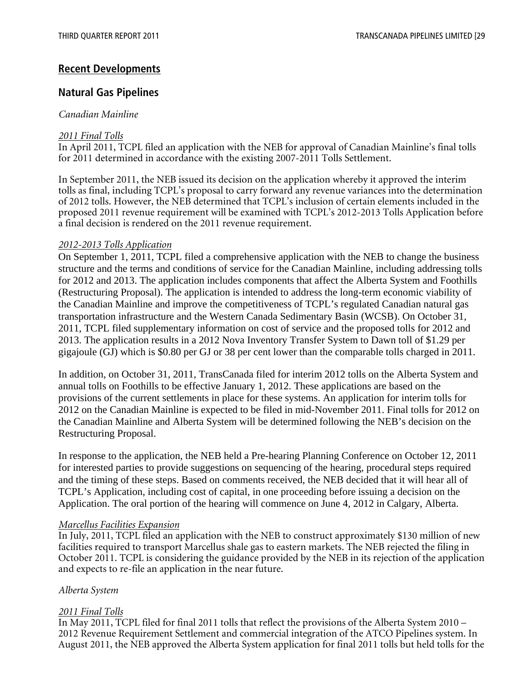## **Recent Developments**

## **Natural Gas Pipelines**

#### *Canadian Mainline*

#### *2011 Final Tolls*

In April 2011, TCPL filed an application with the NEB for approval of Canadian Mainline's final tolls for 2011 determined in accordance with the existing 2007-2011 Tolls Settlement.

In September 2011, the NEB issued its decision on the application whereby it approved the interim tolls as final, including TCPL's proposal to carry forward any revenue variances into the determination of 2012 tolls. However, the NEB determined that TCPL's inclusion of certain elements included in the proposed 2011 revenue requirement will be examined with TCPL's 2012-2013 Tolls Application before a final decision is rendered on the 2011 revenue requirement.

#### *2012-2013 Tolls Application*

On September 1, 2011, TCPL filed a comprehensive application with the NEB to change the business structure and the terms and conditions of service for the Canadian Mainline, including addressing tolls for 2012 and 2013. The application includes components that affect the Alberta System and Foothills (Restructuring Proposal). The application is intended to address the long-term economic viability of the Canadian Mainline and improve the competitiveness of TCPL's regulated Canadian natural gas transportation infrastructure and the Western Canada Sedimentary Basin (WCSB). On October 31, 2011, TCPL filed supplementary information on cost of service and the proposed tolls for 2012 and 2013. The application results in a 2012 Nova Inventory Transfer System to Dawn toll of \$1.29 per gigajoule (GJ) which is \$0.80 per GJ or 38 per cent lower than the comparable tolls charged in 2011.

In addition, on October 31, 2011, TransCanada filed for interim 2012 tolls on the Alberta System and annual tolls on Foothills to be effective January 1, 2012. These applications are based on the provisions of the current settlements in place for these systems. An application for interim tolls for 2012 on the Canadian Mainline is expected to be filed in mid-November 2011. Final tolls for 2012 on the Canadian Mainline and Alberta System will be determined following the NEB's decision on the Restructuring Proposal.

In response to the application, the NEB held a Pre-hearing Planning Conference on October 12, 2011 for interested parties to provide suggestions on sequencing of the hearing, procedural steps required and the timing of these steps. Based on comments received, the NEB decided that it will hear all of TCPL's Application, including cost of capital, in one proceeding before issuing a decision on the Application. The oral portion of the hearing will commence on June 4, 2012 in Calgary, Alberta.

#### *Marcellus Facilities Expansion*

In July, 2011, TCPL filed an application with the NEB to construct approximately \$130 million of new facilities required to transport Marcellus shale gas to eastern markets. The NEB rejected the filing in October 2011. TCPL is considering the guidance provided by the NEB in its rejection of the application and expects to re-file an application in the near future.

#### *Alberta System*

#### *2011 Final Tolls*

In May 2011, TCPL filed for final 2011 tolls that reflect the provisions of the Alberta System 2010 – 2012 Revenue Requirement Settlement and commercial integration of the ATCO Pipelines system. In August 2011, the NEB approved the Alberta System application for final 2011 tolls but held tolls for the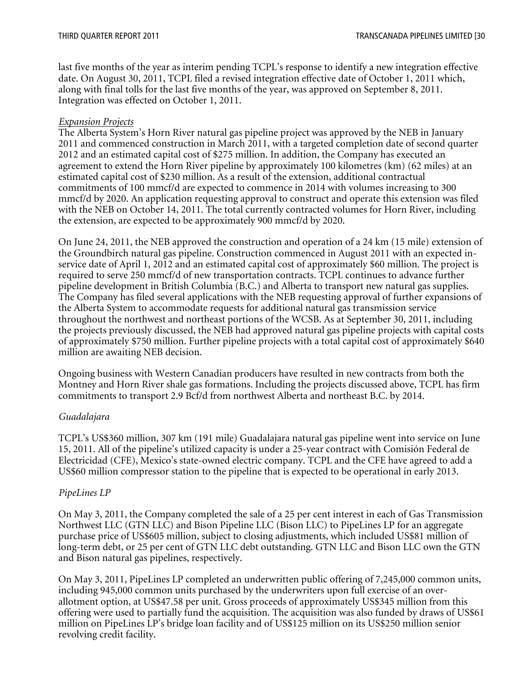last five months of the year as interim pending TCPL's response to identify a new integration effective date. On August 30, 2011, TCPL filed a revised integration effective date of October 1, 2011 which, along with final tolls for the last five months of the year, was approved on September 8, 2011. Integration was effected on October 1, 2011.

#### *Expansion Projects*

The Alberta System's Horn River natural gas pipeline project was approved by the NEB in January 2011 and commenced construction in March 2011, with a targeted completion date of second quarter 2012 and an estimated capital cost of \$275 million. In addition, the Company has executed an agreement to extend the Horn River pipeline by approximately 100 kilometres (km) (62 miles) at an estimated capital cost of \$230 million. As a result of the extension, additional contractual commitments of 100 mmcf/d are expected to commence in 2014 with volumes increasing to 300 mmcf/d by 2020. An application requesting approval to construct and operate this extension was filed with the NEB on October 14, 2011. The total currently contracted volumes for Horn River, including the extension, are expected to be approximately 900 mmcf/d by 2020.

On June 24, 2011, the NEB approved the construction and operation of a 24 km (15 mile) extension of the Groundbirch natural gas pipeline. Construction commenced in August 2011 with an expected inservice date of April 1, 2012 and an estimated capital cost of approximately \$60 million. The project is required to serve 250 mmcf/d of new transportation contracts. TCPL continues to advance further pipeline development in British Columbia (B.C.) and Alberta to transport new natural gas supplies. The Company has filed several applications with the NEB requesting approval of further expansions of the Alberta System to accommodate requests for additional natural gas transmission service throughout the northwest and northeast portions of the WCSB. As at September 30, 2011, including the projects previously discussed, the NEB had approved natural gas pipeline projects with capital costs of approximately \$750 million. Further pipeline projects with a total capital cost of approximately \$640 million are awaiting NEB decision.

Ongoing business with Western Canadian producers have resulted in new contracts from both the Montney and Horn River shale gas formations. Including the projects discussed above, TCPL has firm commitments to transport 2.9 Bcf/d from northwest Alberta and northeast B.C. by 2014.

#### *Guadalajara*

TCPL's US\$360 million, 307 km (191 mile) Guadalajara natural gas pipeline went into service on June 15, 2011. All of the pipeline's utilized capacity is under a 25-year contract with Comisión Federal de Electricidad (CFE), Mexico's state-owned electric company. TCPL and the CFE have agreed to add a US\$60 million compressor station to the pipeline that is expected to be operational in early 2013.

#### *PipeLines LP*

On May 3, 2011, the Company completed the sale of a 25 per cent interest in each of Gas Transmission Northwest LLC (GTN LLC) and Bison Pipeline LLC (Bison LLC) to PipeLines LP for an aggregate purchase price of US\$605 million, subject to closing adjustments, which included US\$81 million of long-term debt, or 25 per cent of GTN LLC debt outstanding. GTN LLC and Bison LLC own the GTN and Bison natural gas pipelines, respectively.

On May 3, 2011, PipeLines LP completed an underwritten public offering of 7,245,000 common units, including 945,000 common units purchased by the underwriters upon full exercise of an overallotment option, at US\$47.58 per unit. Gross proceeds of approximately US\$345 million from this offering were used to partially fund the acquisition. The acquisition was also funded by draws of US\$61 million on PipeLines LP's bridge loan facility and of US\$125 million on its US\$250 million senior revolving credit facility.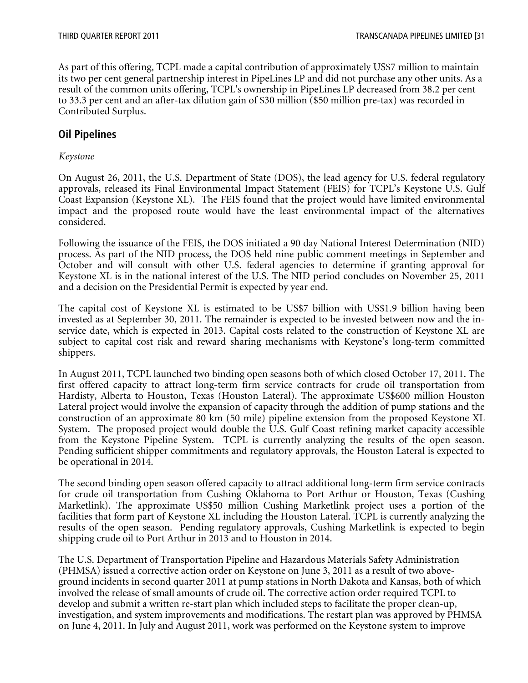As part of this offering, TCPL made a capital contribution of approximately US\$7 million to maintain its two per cent general partnership interest in PipeLines LP and did not purchase any other units. As a result of the common units offering, TCPL's ownership in PipeLines LP decreased from 38.2 per cent to 33.3 per cent and an after-tax dilution gain of \$30 million (\$50 million pre-tax) was recorded in Contributed Surplus.

## **Oil Pipelines**

#### *Keystone*

On August 26, 2011, the U.S. Department of State (DOS), the lead agency for U.S. federal regulatory approvals, released its Final Environmental Impact Statement (FEIS) for TCPL's Keystone U.S. Gulf Coast Expansion (Keystone XL). The FEIS found that the project would have limited environmental impact and the proposed route would have the least environmental impact of the alternatives considered.

Following the issuance of the FEIS, the DOS initiated a 90 day National Interest Determination (NID) process. As part of the NID process, the DOS held nine public comment meetings in September and October and will consult with other U.S. federal agencies to determine if granting approval for Keystone XL is in the national interest of the U.S. The NID period concludes on November 25, 2011 and a decision on the Presidential Permit is expected by year end.

The capital cost of Keystone XL is estimated to be US\$7 billion with US\$1.9 billion having been invested as at September 30, 2011. The remainder is expected to be invested between now and the inservice date, which is expected in 2013. Capital costs related to the construction of Keystone XL are subject to capital cost risk and reward sharing mechanisms with Keystone's long-term committed shippers.

In August 2011, TCPL launched two binding open seasons both of which closed October 17, 2011. The first offered capacity to attract long-term firm service contracts for crude oil transportation from Hardisty, Alberta to Houston, Texas (Houston Lateral). The approximate US\$600 million Houston Lateral project would involve the expansion of capacity through the addition of pump stations and the construction of an approximate 80 km (50 mile) pipeline extension from the proposed Keystone XL System. The proposed project would double the U.S. Gulf Coast refining market capacity accessible from the Keystone Pipeline System. TCPL is currently analyzing the results of the open season. Pending sufficient shipper commitments and regulatory approvals, the Houston Lateral is expected to be operational in 2014.

The second binding open season offered capacity to attract additional long-term firm service contracts for crude oil transportation from Cushing Oklahoma to Port Arthur or Houston, Texas (Cushing Marketlink). The approximate US\$50 million Cushing Marketlink project uses a portion of the facilities that form part of Keystone XL including the Houston Lateral. TCPL is currently analyzing the results of the open season. Pending regulatory approvals, Cushing Marketlink is expected to begin shipping crude oil to Port Arthur in 2013 and to Houston in 2014.

The U.S. Department of Transportation Pipeline and Hazardous Materials Safety Administration (PHMSA) issued a corrective action order on Keystone on June 3, 2011 as a result of two aboveground incidents in second quarter 2011 at pump stations in North Dakota and Kansas, both of which involved the release of small amounts of crude oil. The corrective action order required TCPL to develop and submit a written re-start plan which included steps to facilitate the proper clean-up, investigation, and system improvements and modifications. The restart plan was approved by PHMSA on June 4, 2011. In July and August 2011, work was performed on the Keystone system to improve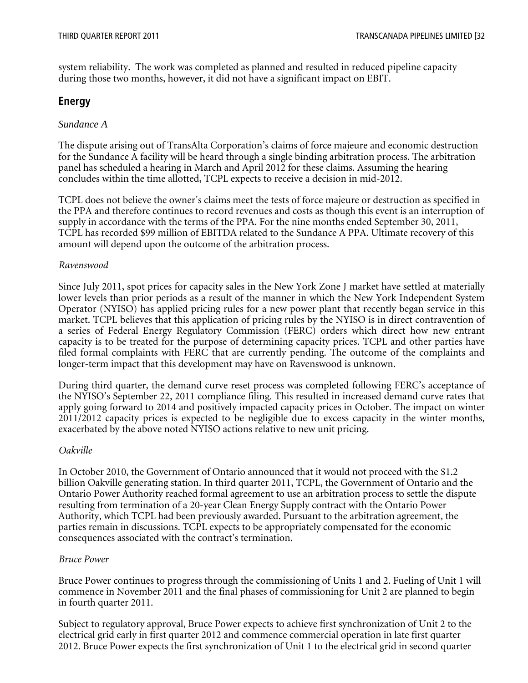system reliability. The work was completed as planned and resulted in reduced pipeline capacity during those two months, however, it did not have a significant impact on EBIT.

## **Energy**

#### *Sundance A*

The dispute arising out of TransAlta Corporation's claims of force majeure and economic destruction for the Sundance A facility will be heard through a single binding arbitration process. The arbitration panel has scheduled a hearing in March and April 2012 for these claims. Assuming the hearing concludes within the time allotted, TCPL expects to receive a decision in mid-2012.

TCPL does not believe the owner's claims meet the tests of force majeure or destruction as specified in the PPA and therefore continues to record revenues and costs as though this event is an interruption of supply in accordance with the terms of the PPA. For the nine months ended September 30, 2011, TCPL has recorded \$99 million of EBITDA related to the Sundance A PPA. Ultimate recovery of this amount will depend upon the outcome of the arbitration process.

#### *Ravenswood*

Since July 2011, spot prices for capacity sales in the New York Zone J market have settled at materially lower levels than prior periods as a result of the manner in which the New York Independent System Operator (NYISO) has applied pricing rules for a new power plant that recently began service in this market. TCPL believes that this application of pricing rules by the NYISO is in direct contravention of a series of Federal Energy Regulatory Commission (FERC) orders which direct how new entrant capacity is to be treated for the purpose of determining capacity prices. TCPL and other parties have filed formal complaints with FERC that are currently pending. The outcome of the complaints and longer-term impact that this development may have on Ravenswood is unknown.

During third quarter, the demand curve reset process was completed following FERC's acceptance of the NYISO's September 22, 2011 compliance filing. This resulted in increased demand curve rates that apply going forward to 2014 and positively impacted capacity prices in October. The impact on winter 2011/2012 capacity prices is expected to be negligible due to excess capacity in the winter months, exacerbated by the above noted NYISO actions relative to new unit pricing.

#### *Oakville*

In October 2010, the Government of Ontario announced that it would not proceed with the \$1.2 billion Oakville generating station. In third quarter 2011, TCPL, the Government of Ontario and the Ontario Power Authority reached formal agreement to use an arbitration process to settle the dispute resulting from termination of a 20-year Clean Energy Supply contract with the Ontario Power Authority, which TCPL had been previously awarded. Pursuant to the arbitration agreement, the parties remain in discussions. TCPL expects to be appropriately compensated for the economic consequences associated with the contract's termination.

#### *Bruce Power*

Bruce Power continues to progress through the commissioning of Units 1 and 2. Fueling of Unit 1 will commence in November 2011 and the final phases of commissioning for Unit 2 are planned to begin in fourth quarter 2011.

Subject to regulatory approval, Bruce Power expects to achieve first synchronization of Unit 2 to the electrical grid early in first quarter 2012 and commence commercial operation in late first quarter 2012. Bruce Power expects the first synchronization of Unit 1 to the electrical grid in second quarter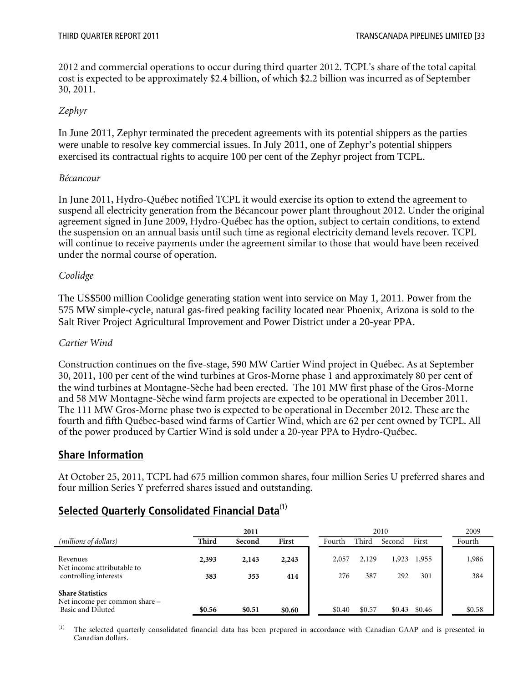2012 and commercial operations to occur during third quarter 2012. TCPL's share of the total capital cost is expected to be approximately \$2.4 billion, of which \$2.2 billion was incurred as of September 30, 2011.

#### *Zephyr*

In June 2011, Zephyr terminated the precedent agreements with its potential shippers as the parties were unable to resolve key commercial issues. In July 2011, one of Zephyr's potential shippers exercised its contractual rights to acquire 100 per cent of the Zephyr project from TCPL.

#### *Bécancour*

In June 2011, Hydro-Québec notified TCPL it would exercise its option to extend the agreement to suspend all electricity generation from the Bécancour power plant throughout 2012. Under the original agreement signed in June 2009, Hydro-Québec has the option, subject to certain conditions, to extend the suspension on an annual basis until such time as regional electricity demand levels recover. TCPL will continue to receive payments under the agreement similar to those that would have been received under the normal course of operation.

#### *Coolidge*

The US\$500 million Coolidge generating station went into service on May 1, 2011. Power from the 575 MW simple-cycle, natural gas-fired peaking facility located near Phoenix, Arizona is sold to the Salt River Project Agricultural Improvement and Power District under a 20-year PPA.

#### *Cartier Wind*

Construction continues on the five-stage, 590 MW Cartier Wind project in Québec. As at September 30, 2011, 100 per cent of the wind turbines at Gros-Morne phase 1 and approximately 80 per cent of the wind turbines at Montagne-Sèche had been erected. The 101 MW first phase of the Gros-Morne and 58 MW Montagne-Sèche wind farm projects are expected to be operational in December 2011. The 111 MW Gros-Morne phase two is expected to be operational in December 2012. These are the fourth and fifth Québec-based wind farms of Cartier Wind, which are 62 per cent owned by TCPL. All of the power produced by Cartier Wind is sold under a 20-year PPA to Hydro-Québec.

## **Share Information**

At October 25, 2011, TCPL had 675 million common shares, four million Series U preferred shares and four million Series Y preferred shares issued and outstanding.

## **Selected Quarterly Consolidated Financial Data**(1)

|                                                                               |              | 2011         |              |  | 2010         |              |              |              | 2009         |
|-------------------------------------------------------------------------------|--------------|--------------|--------------|--|--------------|--------------|--------------|--------------|--------------|
| (millions of dollars)                                                         | Third        | Second       | First        |  | Fourth       | Third        | Second       | First        | Fourth       |
| Revenues<br>Net income attributable to<br>controlling interests               | 2,393<br>383 | 2,143<br>353 | 2,243<br>414 |  | 2,057<br>276 | 2,129<br>387 | 1,923<br>292 | 1,955<br>301 | 1,986<br>384 |
| <b>Share Statistics</b><br>Net income per common share –<br>Basic and Diluted | \$0.56       | \$0.51       | \$0.60       |  | \$0.40       | \$0.57       | \$0.43       | \$0.46       | \$0.58       |

The selected quarterly consolidated financial data has been prepared in accordance with Canadian GAAP and is presented in Canadian dollars.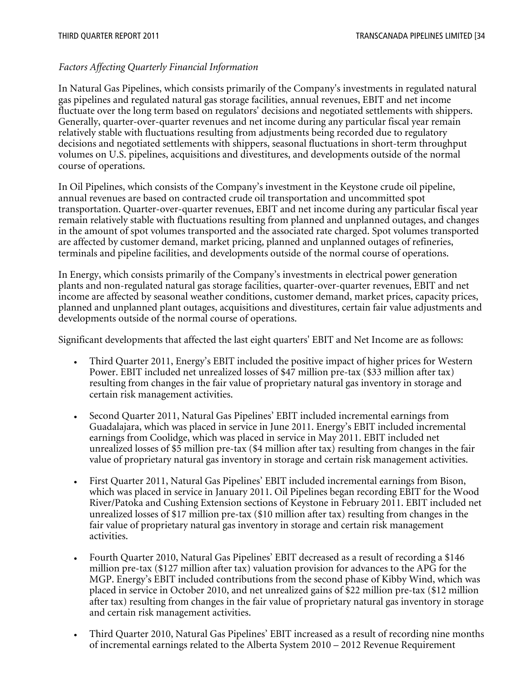#### *Factors Affecting Quarterly Financial Information*

In Natural Gas Pipelines, which consists primarily of the Company's investments in regulated natural gas pipelines and regulated natural gas storage facilities, annual revenues, EBIT and net income fluctuate over the long term based on regulators' decisions and negotiated settlements with shippers. Generally, quarter-over-quarter revenues and net income during any particular fiscal year remain relatively stable with fluctuations resulting from adjustments being recorded due to regulatory decisions and negotiated settlements with shippers, seasonal fluctuations in short-term throughput volumes on U.S. pipelines, acquisitions and divestitures, and developments outside of the normal course of operations.

In Oil Pipelines, which consists of the Company's investment in the Keystone crude oil pipeline, annual revenues are based on contracted crude oil transportation and uncommitted spot transportation. Quarter-over-quarter revenues, EBIT and net income during any particular fiscal year remain relatively stable with fluctuations resulting from planned and unplanned outages, and changes in the amount of spot volumes transported and the associated rate charged. Spot volumes transported are affected by customer demand, market pricing, planned and unplanned outages of refineries, terminals and pipeline facilities, and developments outside of the normal course of operations.

In Energy, which consists primarily of the Company's investments in electrical power generation plants and non-regulated natural gas storage facilities, quarter-over-quarter revenues, EBIT and net income are affected by seasonal weather conditions, customer demand, market prices, capacity prices, planned and unplanned plant outages, acquisitions and divestitures, certain fair value adjustments and developments outside of the normal course of operations.

Significant developments that affected the last eight quarters' EBIT and Net Income are as follows:

- Third Quarter 2011, Energy's EBIT included the positive impact of higher prices for Western Power. EBIT included net unrealized losses of \$47 million pre-tax (\$33 million after tax) resulting from changes in the fair value of proprietary natural gas inventory in storage and certain risk management activities.
- Second Quarter 2011, Natural Gas Pipelines' EBIT included incremental earnings from Guadalajara, which was placed in service in June 2011. Energy's EBIT included incremental earnings from Coolidge, which was placed in service in May 2011. EBIT included net unrealized losses of \$5 million pre-tax (\$4 million after tax) resulting from changes in the fair value of proprietary natural gas inventory in storage and certain risk management activities.
- First Quarter 2011, Natural Gas Pipelines' EBIT included incremental earnings from Bison, which was placed in service in January 2011. Oil Pipelines began recording EBIT for the Wood River/Patoka and Cushing Extension sections of Keystone in February 2011. EBIT included net unrealized losses of \$17 million pre-tax (\$10 million after tax) resulting from changes in the fair value of proprietary natural gas inventory in storage and certain risk management activities.
- Fourth Quarter 2010, Natural Gas Pipelines' EBIT decreased as a result of recording a \$146 million pre-tax (\$127 million after tax) valuation provision for advances to the APG for the MGP. Energy's EBIT included contributions from the second phase of Kibby Wind, which was placed in service in October 2010, and net unrealized gains of \$22 million pre-tax (\$12 million after tax) resulting from changes in the fair value of proprietary natural gas inventory in storage and certain risk management activities.
- Third Quarter 2010, Natural Gas Pipelines' EBIT increased as a result of recording nine months of incremental earnings related to the Alberta System 2010 – 2012 Revenue Requirement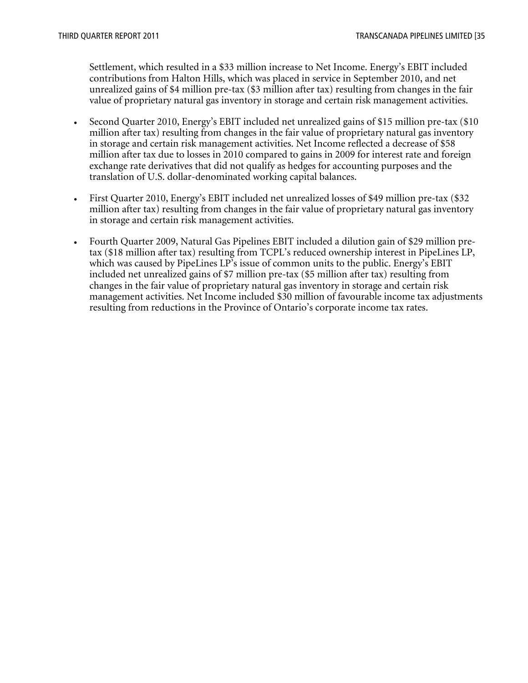Settlement, which resulted in a \$33 million increase to Net Income. Energy's EBIT included contributions from Halton Hills, which was placed in service in September 2010, and net unrealized gains of \$4 million pre-tax (\$3 million after tax) resulting from changes in the fair value of proprietary natural gas inventory in storage and certain risk management activities.

- Second Quarter 2010, Energy's EBIT included net unrealized gains of \$15 million pre-tax (\$10 million after tax) resulting from changes in the fair value of proprietary natural gas inventory in storage and certain risk management activities. Net Income reflected a decrease of \$58 million after tax due to losses in 2010 compared to gains in 2009 for interest rate and foreign exchange rate derivatives that did not qualify as hedges for accounting purposes and the translation of U.S. dollar-denominated working capital balances.
- First Quarter 2010, Energy's EBIT included net unrealized losses of \$49 million pre-tax (\$32 million after tax) resulting from changes in the fair value of proprietary natural gas inventory in storage and certain risk management activities.
- Fourth Quarter 2009, Natural Gas Pipelines EBIT included a dilution gain of \$29 million pretax (\$18 million after tax) resulting from TCPL's reduced ownership interest in PipeLines LP, which was caused by PipeLines LP's issue of common units to the public. Energy's EBIT included net unrealized gains of \$7 million pre-tax (\$5 million after tax) resulting from changes in the fair value of proprietary natural gas inventory in storage and certain risk management activities. Net Income included \$30 million of favourable income tax adjustments resulting from reductions in the Province of Ontario's corporate income tax rates.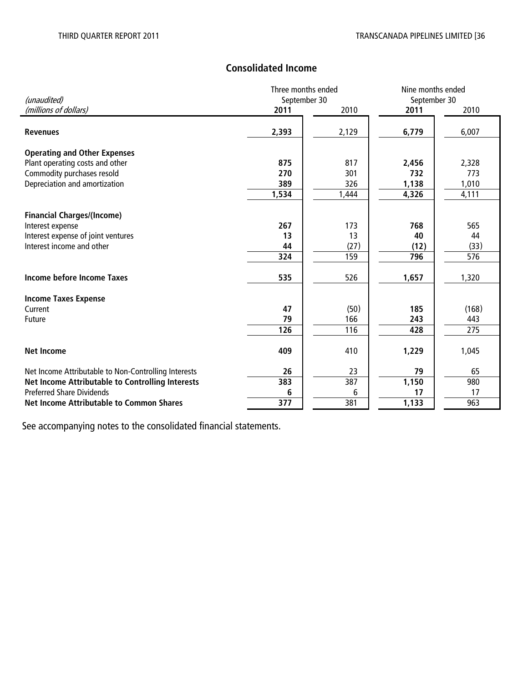## **Consolidated Income**

|                                                                 | Three months ended |       | Nine months ended |       |
|-----------------------------------------------------------------|--------------------|-------|-------------------|-------|
| (unaudited)                                                     | September 30       |       | September 30      |       |
| (millions of dollars)                                           | 2011               | 2010  | 2011              | 2010  |
|                                                                 |                    |       |                   |       |
| <b>Revenues</b>                                                 | 2,393              | 2,129 | 6,779             | 6,007 |
| <b>Operating and Other Expenses</b>                             |                    |       |                   |       |
| Plant operating costs and other                                 | 875                | 817   | 2,456             | 2,328 |
| Commodity purchases resold                                      | 270                | 301   | 732               | 773   |
| Depreciation and amortization                                   | 389                | 326   | 1,138             | 1,010 |
|                                                                 | 1,534              | 1,444 | 4,326             | 4,111 |
|                                                                 |                    |       |                   |       |
| <b>Financial Charges/(Income)</b>                               | 267                | 173   | 768               | 565   |
| Interest expense                                                | 13                 | 13    | 40                | 44    |
| Interest expense of joint ventures<br>Interest income and other | 44                 | (27)  | (12)              |       |
|                                                                 |                    | 159   |                   | (33)  |
|                                                                 | 324                |       | 796               | 576   |
| Income before Income Taxes                                      | 535                | 526   | 1,657             | 1,320 |
|                                                                 |                    |       |                   |       |
| <b>Income Taxes Expense</b>                                     |                    |       |                   |       |
| Current                                                         | 47                 | (50)  | 185               | (168) |
| Future                                                          | 79                 | 166   | 243               | 443   |
|                                                                 | 126                | 116   | 428               | 275   |
| <b>Net Income</b>                                               | 409                | 410   | 1,229             | 1,045 |
| Net Income Attributable to Non-Controlling Interests            | 26                 | 23    | 79                | 65    |
| <b>Net Income Attributable to Controlling Interests</b>         | 383                | 387   | 1,150             | 980   |
| <b>Preferred Share Dividends</b>                                | 6                  | 6     | 17                | 17    |
| <b>Net Income Attributable to Common Shares</b>                 | 377                | 381   | 1,133             | 963   |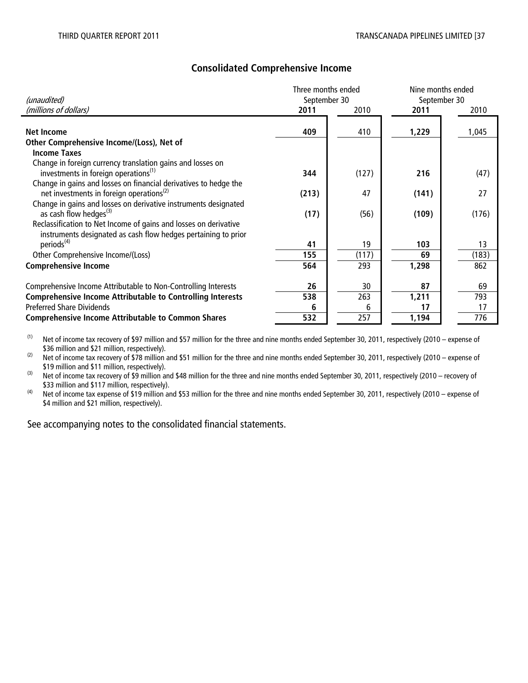|                                                                   | Three months ended   |       | Nine months ended<br>September 30 |       |  |
|-------------------------------------------------------------------|----------------------|-------|-----------------------------------|-------|--|
| (unaudited)<br>(millions of dollars)                              | September 30<br>2011 | 2010  | 2011                              | 2010  |  |
|                                                                   |                      |       |                                   |       |  |
| Net Income                                                        | 409                  | 410   | 1,229                             | 1,045 |  |
| Other Comprehensive Income/(Loss), Net of                         |                      |       |                                   |       |  |
| <b>Income Taxes</b>                                               |                      |       |                                   |       |  |
| Change in foreign currency translation gains and losses on        |                      |       |                                   |       |  |
| investments in foreign operations <sup>(1)</sup>                  | 344                  | (127) | 216                               | (47)  |  |
| Change in gains and losses on financial derivatives to hedge the  |                      |       |                                   |       |  |
| net investments in foreign operations <sup>(2)</sup>              | (213)                | 47    | (141)                             | 27    |  |
| Change in gains and losses on derivative instruments designated   |                      |       |                                   |       |  |
| as cash flow hedges <sup>(3)</sup>                                | (17)                 | (56)  | (109)                             | (176) |  |
| Reclassification to Net Income of gains and losses on derivative  |                      |       |                                   |       |  |
| instruments designated as cash flow hedges pertaining to prior    |                      |       |                                   |       |  |
| periods <sup>(4)</sup>                                            | 41                   | 19    | 103                               | 13    |  |
| Other Comprehensive Income/(Loss)                                 | 155                  | (117) | 69                                | (183) |  |
| <b>Comprehensive Income</b>                                       | 564                  | 293   | 1,298                             | 862   |  |
|                                                                   |                      |       |                                   |       |  |
| Comprehensive Income Attributable to Non-Controlling Interests    | 26                   | 30    | 87                                | 69    |  |
| <b>Comprehensive Income Attributable to Controlling Interests</b> | 538                  | 263   | 1,211                             | 793   |  |
| <b>Preferred Share Dividends</b>                                  | 6                    | 6     | 17                                | 17    |  |
| <b>Comprehensive Income Attributable to Common Shares</b>         | 532                  | 257   | 1,194                             | 776   |  |

## **Consolidated Comprehensive Income**

(1) Net of income tax recovery of \$97 million and \$57 million for the three and nine months ended September 30, 2011, respectively (2010 – expense of \$36 million and \$21 million, respectively).

(2) Net of income tax recovery of \$78 million and \$51 million for the three and nine months ended September 30, 2011, respectively (2010 – expense of \$19 million and \$11 million, respectively).

(3) Net of income tax recovery of \$9 million and \$48 million for the three and nine months ended September 30, 2011, respectively (2010 – recovery of \$33 million and \$117 million, respectively).

(4) Net of income tax expense of \$19 million and \$53 million for the three and nine months ended September 30, 2011, respectively (2010 – expense of \$4 million and \$21 million, respectively).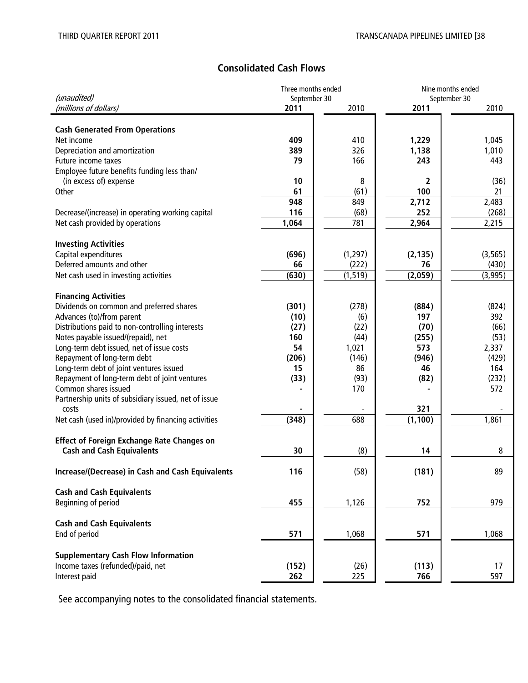## **Consolidated Cash Flows**

|                                                         | Three months ended |          |          | Nine months ended |  |  |
|---------------------------------------------------------|--------------------|----------|----------|-------------------|--|--|
| (unaudited)                                             | September 30       |          |          | September 30      |  |  |
| (millions of dollars)                                   | 2011               | 2010     | 2011     | 2010              |  |  |
|                                                         |                    |          |          |                   |  |  |
| <b>Cash Generated From Operations</b>                   |                    |          |          |                   |  |  |
| Net income                                              | 409                | 410      | 1,229    | 1,045             |  |  |
| Depreciation and amortization                           | 389                | 326      | 1,138    | 1,010             |  |  |
| Future income taxes                                     | 79                 | 166      | 243      | 443               |  |  |
| Employee future benefits funding less than/             |                    |          |          |                   |  |  |
| (in excess of) expense                                  | 10                 | 8        | 2        | (36)              |  |  |
| Other                                                   | 61                 | (61)     | 100      | 21                |  |  |
|                                                         | 948                | 849      | 2,712    | 2,483             |  |  |
| Decrease/(increase) in operating working capital        | 116                | (68)     | 252      | (268)             |  |  |
| Net cash provided by operations                         | 1,064              | 781      | 2,964    | 2,215             |  |  |
|                                                         |                    |          |          |                   |  |  |
| <b>Investing Activities</b>                             |                    |          |          |                   |  |  |
| Capital expenditures                                    | (696)              | (1, 297) | (2, 135) | (3, 565)          |  |  |
| Deferred amounts and other                              | 66                 | (222)    | 76       | (430)             |  |  |
| Net cash used in investing activities                   | (630)              | (1, 519) | (2,059)  | (3,995)           |  |  |
|                                                         |                    |          |          |                   |  |  |
| <b>Financing Activities</b>                             |                    |          |          |                   |  |  |
| Dividends on common and preferred shares                | (301)              | (278)    | (884)    | (824)             |  |  |
| Advances (to)/from parent                               |                    |          | 197      | 392               |  |  |
|                                                         | (10)               | (6)      |          |                   |  |  |
| Distributions paid to non-controlling interests         | (27)               | (22)     | (70)     | (66)              |  |  |
| Notes payable issued/(repaid), net                      | 160                | (44)     | (255)    | (53)              |  |  |
| Long-term debt issued, net of issue costs               | 54                 | 1,021    | 573      | 2,337             |  |  |
| Repayment of long-term debt                             | (206)              | (146)    | (946)    | (429)             |  |  |
| Long-term debt of joint ventures issued                 | 15                 | 86       | 46       | 164               |  |  |
| Repayment of long-term debt of joint ventures           | (33)               | (93)     | (82)     | (232)             |  |  |
| Common shares issued                                    |                    | 170      |          | 572               |  |  |
| Partnership units of subsidiary issued, net of issue    |                    |          |          |                   |  |  |
| costs                                                   |                    |          | 321      |                   |  |  |
| Net cash (used in)/provided by financing activities     | (348)              | 688      | (1, 100) | 1,861             |  |  |
|                                                         |                    |          |          |                   |  |  |
| <b>Effect of Foreign Exchange Rate Changes on</b>       |                    |          |          |                   |  |  |
| <b>Cash and Cash Equivalents</b>                        | 30                 | (8)      | 14       | 8                 |  |  |
|                                                         |                    |          |          |                   |  |  |
| <b>Increase/(Decrease) in Cash and Cash Equivalents</b> | 116                | (58)     | (181)    | 89                |  |  |
|                                                         |                    |          |          |                   |  |  |
| <b>Cash and Cash Equivalents</b>                        |                    |          |          |                   |  |  |
| Beginning of period                                     | 455                | 1,126    | 752      | 979               |  |  |
|                                                         |                    |          |          |                   |  |  |
| <b>Cash and Cash Equivalents</b>                        |                    |          |          |                   |  |  |
| End of period                                           | 571                | 1,068    | 571      | 1,068             |  |  |
|                                                         |                    |          |          |                   |  |  |
| <b>Supplementary Cash Flow Information</b>              |                    |          |          |                   |  |  |
| Income taxes (refunded)/paid, net                       | (152)              | (26)     | (113)    | 17                |  |  |
|                                                         | 262                | 225      | 766      | 597               |  |  |
| Interest paid                                           |                    |          |          |                   |  |  |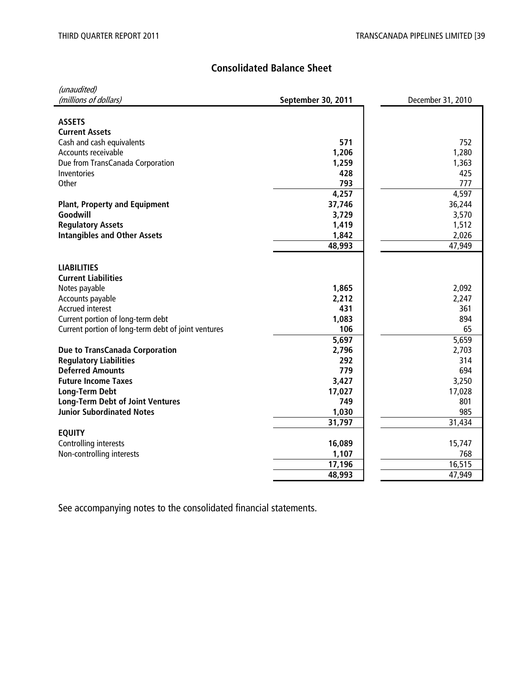## **Consolidated Balance Sheet**

| (unaudited)                                         |                    |                   |
|-----------------------------------------------------|--------------------|-------------------|
| (millions of dollars)                               | September 30, 2011 | December 31, 2010 |
|                                                     |                    |                   |
| <b>ASSETS</b>                                       |                    |                   |
| <b>Current Assets</b>                               |                    |                   |
| Cash and cash equivalents                           | 571                | 752               |
| Accounts receivable                                 | 1,206              | 1,280             |
| Due from TransCanada Corporation                    | 1,259              | 1,363             |
| Inventories                                         | 428                | 425               |
| Other                                               | 793                | 777               |
|                                                     | 4,257              | 4,597             |
| <b>Plant, Property and Equipment</b>                | 37,746             | 36,244            |
| Goodwill                                            | 3,729              | 3,570             |
| <b>Regulatory Assets</b>                            | 1,419              | 1,512             |
| <b>Intangibles and Other Assets</b>                 | 1,842              | 2,026             |
|                                                     | 48,993             | 47,949            |
|                                                     |                    |                   |
| <b>LIABILITIES</b>                                  |                    |                   |
| <b>Current Liabilities</b>                          |                    |                   |
| Notes payable                                       | 1,865              | 2,092             |
| Accounts payable                                    | 2,212              | 2,247             |
| <b>Accrued interest</b>                             | 431                | 361               |
| Current portion of long-term debt                   | 1,083              | 894               |
| Current portion of long-term debt of joint ventures | 106                | 65                |
|                                                     | 5,697              | 5,659             |
| <b>Due to TransCanada Corporation</b>               | 2,796              | 2,703             |
| <b>Regulatory Liabilities</b>                       | 292                | 314               |
| <b>Deferred Amounts</b>                             | 779                | 694               |
| <b>Future Income Taxes</b>                          | 3,427              | 3,250             |
| <b>Long-Term Debt</b>                               | 17,027             | 17,028            |
| <b>Long-Term Debt of Joint Ventures</b>             | 749                | 801               |
| <b>Junior Subordinated Notes</b>                    | 1,030              | 985               |
|                                                     | 31,797             | 31,434            |
| <b>EQUITY</b>                                       |                    |                   |
| Controlling interests                               | 16,089             | 15,747            |
| Non-controlling interests                           | 1,107              | 768               |
|                                                     | 17,196             | 16,515            |
|                                                     | 48,993             | 47,949            |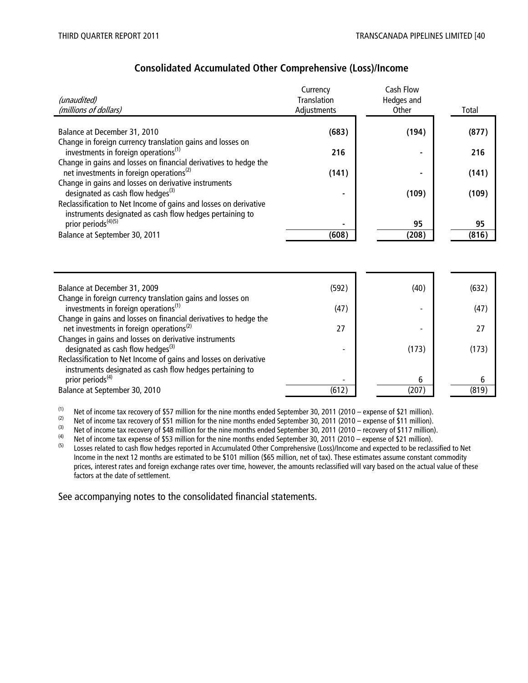| (unaudited)                                                                                                                  | Currency<br><b>Translation</b> | Cash Flow<br>Hedges and |             |
|------------------------------------------------------------------------------------------------------------------------------|--------------------------------|-------------------------|-------------|
| (millions of dollars)                                                                                                        | Adjustments                    | Other                   | Total       |
| Balance at December 31, 2010<br>Change in foreign currency translation gains and losses on                                   | (683)                          | (194)                   | (877)       |
| investments in foreign operations <sup>(1)</sup>                                                                             | 216                            |                         | 216         |
| Change in gains and losses on financial derivatives to hedge the                                                             |                                |                         |             |
| net investments in foreign operations <sup>(2)</sup>                                                                         | (141)                          |                         | (141)       |
| Change in gains and losses on derivative instruments<br>designated as cash flow hedges <sup>(3)</sup>                        |                                | (109)                   | (109)       |
| Reclassification to Net Income of gains and losses on derivative<br>instruments designated as cash flow hedges pertaining to |                                |                         |             |
| prior periods <sup>(4)(5)</sup><br>Balance at September 30, 2011                                                             | (608)                          | 95<br>(208)             | 95<br>(816) |
|                                                                                                                              |                                |                         |             |
|                                                                                                                              |                                |                         |             |
| Balance at December 31, 2009                                                                                                 | (592)                          | (40)                    | (632)       |
| Change in foreign currency translation gains and losses on                                                                   |                                |                         |             |
| investments in foreign operations <sup>(1)</sup><br>Change in gains and losses on financial derivatives to hedge the         | (47)                           |                         | (47)        |
| net investments in foreign operations <sup>(2)</sup>                                                                         | 27                             |                         | 27          |
| Changes in gains and losses on derivative instruments                                                                        |                                |                         |             |

#### **Consolidated Accumulated Other Comprehensive (Loss)/Income**

| change in foreign carrency translation gams and losses on        |       |       |       |
|------------------------------------------------------------------|-------|-------|-------|
| investments in foreign operations <sup>(1)</sup>                 | (47)  |       | (47)  |
| Change in gains and losses on financial derivatives to hedge the |       |       |       |
| net investments in foreign operations <sup>(2)</sup>             | 27    |       | 27    |
| Changes in gains and losses on derivative instruments            |       |       |       |
| designated as cash flow hedges $^{(3)}$                          |       | (173) | (173) |
| Reclassification to Net Income of gains and losses on derivative |       |       |       |
| instruments designated as cash flow hedges pertaining to         |       |       |       |
| prior periods <sup>(4)</sup>                                     |       | 6     |       |
| Balance at September 30, 2010                                    | (612) | (207) | (819) |
|                                                                  |       |       |       |

(1) Net of income tax recovery of \$57 million for the nine months ended September 30, 2011 (2010 – expense of \$21 million).<br>(2) Net of income tax recovery of \$51 million for the nine months ended September 30, 2011 (2010

(2) Net of income tax recovery of \$51 million for the nine months ended September 30, 2011 (2010 – expense of \$11 million).<br>(3) Net of income tax recovery of \$48 million for the nine months ended September 30, 2011 (2010

(3) Net of income tax recovery of \$48 million for the nine months ended September 30, 2011 (2010 – recovery of \$117 million).<br>(4) Net of income tax expense of \$53 million for the nine months ended September 30, 2011 (2010

(4) Net of income tax expense of \$53 million for the nine months ended September 30, 2011 (2010 – expense of \$21 million).<br>(5) Losses related to cash flow bedges reported in Accumulated Other Comprehensive (Loss)/Income a

Losses related to cash flow hedges reported in Accumulated Other Comprehensive (Loss)/Income and expected to be reclassified to Net Income in the next 12 months are estimated to be \$101 million (\$65 million, net of tax). These estimates assume constant commodity prices, interest rates and foreign exchange rates over time, however, the amounts reclassified will vary based on the actual value of these factors at the date of settlement.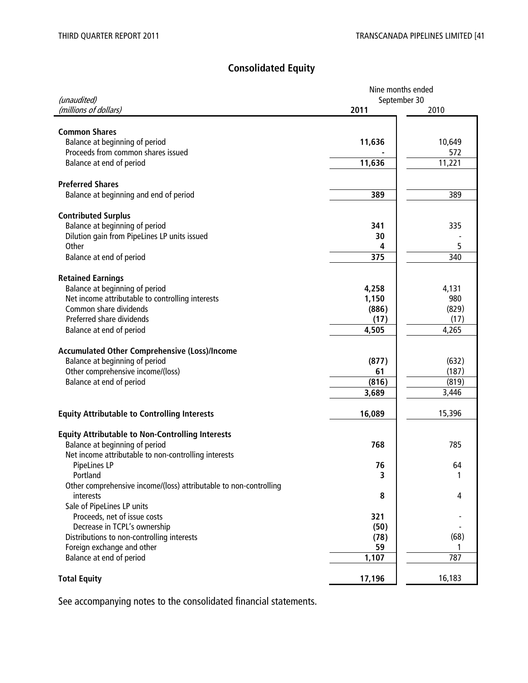## **Consolidated Equity**

|                                                                   | Nine months ended |        |  |
|-------------------------------------------------------------------|-------------------|--------|--|
| (unaudited)                                                       | September 30      |        |  |
| (millions of dollars)                                             | 2011              | 2010   |  |
|                                                                   |                   |        |  |
| <b>Common Shares</b>                                              |                   |        |  |
| Balance at beginning of period                                    | 11,636            | 10,649 |  |
| Proceeds from common shares issued                                |                   | 572    |  |
| Balance at end of period                                          | 11,636            | 11,221 |  |
|                                                                   |                   |        |  |
| <b>Preferred Shares</b>                                           |                   |        |  |
| Balance at beginning and end of period                            | 389               | 389    |  |
|                                                                   |                   |        |  |
| <b>Contributed Surplus</b>                                        |                   |        |  |
| Balance at beginning of period                                    | 341               | 335    |  |
| Dilution gain from PipeLines LP units issued                      | 30                |        |  |
| Other                                                             | 4                 | 5      |  |
| Balance at end of period                                          | 375               | 340    |  |
|                                                                   |                   |        |  |
| <b>Retained Earnings</b>                                          |                   |        |  |
| Balance at beginning of period                                    | 4,258             | 4,131  |  |
| Net income attributable to controlling interests                  | 1,150             | 980    |  |
| Common share dividends                                            | (886)             | (829)  |  |
| Preferred share dividends                                         | (17)              | (17)   |  |
| Balance at end of period                                          | 4,505             | 4,265  |  |
|                                                                   |                   |        |  |
| Accumulated Other Comprehensive (Loss)/Income                     |                   |        |  |
| Balance at beginning of period                                    | (877)             | (632)  |  |
| Other comprehensive income/(loss)                                 | 61                | (187)  |  |
| Balance at end of period                                          | (816)             | (819)  |  |
|                                                                   | 3,689             | 3,446  |  |
|                                                                   |                   |        |  |
| <b>Equity Attributable to Controlling Interests</b>               | 16,089            | 15,396 |  |
|                                                                   |                   |        |  |
| <b>Equity Attributable to Non-Controlling Interests</b>           |                   |        |  |
| Balance at beginning of period                                    | 768               | 785    |  |
| Net income attributable to non-controlling interests              |                   |        |  |
| PipeLines LP                                                      | 76                | 64     |  |
| Portland                                                          | 3                 |        |  |
| Other comprehensive income/(loss) attributable to non-controlling |                   |        |  |
| interests                                                         | 8                 | 4      |  |
| Sale of PipeLines LP units                                        |                   |        |  |
| Proceeds, net of issue costs                                      | 321               |        |  |
| Decrease in TCPL's ownership                                      | (50)              |        |  |
| Distributions to non-controlling interests                        | (78)              | (68)   |  |
| Foreign exchange and other                                        | 59                |        |  |
| Balance at end of period                                          | 1,107             | 787    |  |
|                                                                   |                   |        |  |
| <b>Total Equity</b>                                               | 17,196            | 16,183 |  |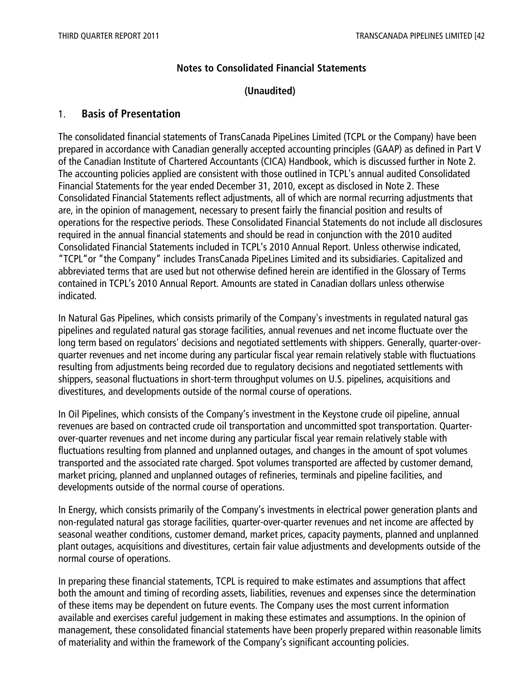## **Notes to Consolidated Financial Statements**

## **(Unaudited)**

## 1. **Basis of Presentation**

The consolidated financial statements of TransCanada PipeLines Limited (TCPL or the Company) have been prepared in accordance with Canadian generally accepted accounting principles (GAAP) as defined in Part V of the Canadian Institute of Chartered Accountants (CICA) Handbook, which is discussed further in Note 2. The accounting policies applied are consistent with those outlined in TCPL's annual audited Consolidated Financial Statements for the year ended December 31, 2010, except as disclosed in Note 2. These Consolidated Financial Statements reflect adjustments, all of which are normal recurring adjustments that are, in the opinion of management, necessary to present fairly the financial position and results of operations for the respective periods. These Consolidated Financial Statements do not include all disclosures required in the annual financial statements and should be read in conjunction with the 2010 audited Consolidated Financial Statements included in TCPL's 2010 Annual Report. Unless otherwise indicated, "TCPL"or "the Company" includes TransCanada PipeLines Limited and its subsidiaries. Capitalized and abbreviated terms that are used but not otherwise defined herein are identified in the Glossary of Terms contained in TCPL's 2010 Annual Report. Amounts are stated in Canadian dollars unless otherwise indicated.

In Natural Gas Pipelines, which consists primarily of the Company's investments in regulated natural gas pipelines and regulated natural gas storage facilities, annual revenues and net income fluctuate over the long term based on regulators' decisions and negotiated settlements with shippers. Generally, quarter-overquarter revenues and net income during any particular fiscal year remain relatively stable with fluctuations resulting from adjustments being recorded due to regulatory decisions and negotiated settlements with shippers, seasonal fluctuations in short-term throughput volumes on U.S. pipelines, acquisitions and divestitures, and developments outside of the normal course of operations.

In Oil Pipelines, which consists of the Company's investment in the Keystone crude oil pipeline, annual revenues are based on contracted crude oil transportation and uncommitted spot transportation. Quarterover-quarter revenues and net income during any particular fiscal year remain relatively stable with fluctuations resulting from planned and unplanned outages, and changes in the amount of spot volumes transported and the associated rate charged. Spot volumes transported are affected by customer demand, market pricing, planned and unplanned outages of refineries, terminals and pipeline facilities, and developments outside of the normal course of operations.

In Energy, which consists primarily of the Company's investments in electrical power generation plants and non-regulated natural gas storage facilities, quarter-over-quarter revenues and net income are affected by seasonal weather conditions, customer demand, market prices, capacity payments, planned and unplanned plant outages, acquisitions and divestitures, certain fair value adjustments and developments outside of the normal course of operations.

In preparing these financial statements, TCPL is required to make estimates and assumptions that affect both the amount and timing of recording assets, liabilities, revenues and expenses since the determination of these items may be dependent on future events. The Company uses the most current information available and exercises careful judgement in making these estimates and assumptions. In the opinion of management, these consolidated financial statements have been properly prepared within reasonable limits of materiality and within the framework of the Company's significant accounting policies.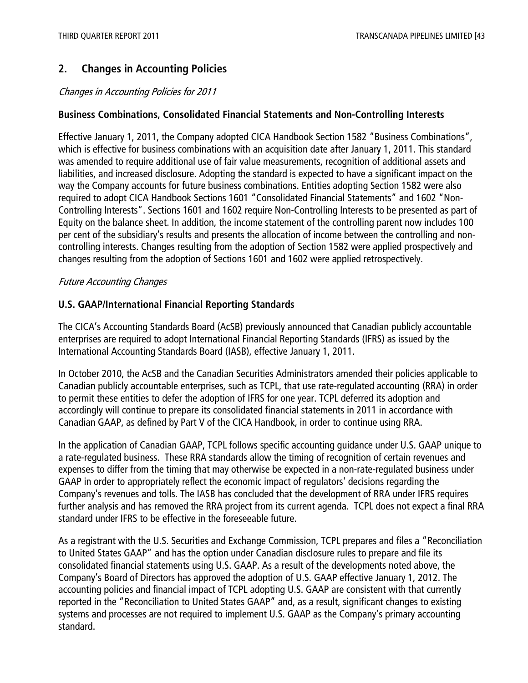## **2. Changes in Accounting Policies**

#### Changes in Accounting Policies for 2011

#### **Business Combinations, Consolidated Financial Statements and Non-Controlling Interests**

Effective January 1, 2011, the Company adopted CICA Handbook Section 1582 "Business Combinations", which is effective for business combinations with an acquisition date after January 1, 2011. This standard was amended to require additional use of fair value measurements, recognition of additional assets and liabilities, and increased disclosure. Adopting the standard is expected to have a significant impact on the way the Company accounts for future business combinations. Entities adopting Section 1582 were also required to adopt CICA Handbook Sections 1601 "Consolidated Financial Statements" and 1602 "Non-Controlling Interests". Sections 1601 and 1602 require Non-Controlling Interests to be presented as part of Equity on the balance sheet. In addition, the income statement of the controlling parent now includes 100 per cent of the subsidiary's results and presents the allocation of income between the controlling and noncontrolling interests. Changes resulting from the adoption of Section 1582 were applied prospectively and changes resulting from the adoption of Sections 1601 and 1602 were applied retrospectively.

#### Future Accounting Changes

#### **U.S. GAAP/International Financial Reporting Standards**

The CICA's Accounting Standards Board (AcSB) previously announced that Canadian publicly accountable enterprises are required to adopt International Financial Reporting Standards (IFRS) as issued by the International Accounting Standards Board (IASB), effective January 1, 2011.

In October 2010, the AcSB and the Canadian Securities Administrators amended their policies applicable to Canadian publicly accountable enterprises, such as TCPL, that use rate-regulated accounting (RRA) in order to permit these entities to defer the adoption of IFRS for one year. TCPL deferred its adoption and accordingly will continue to prepare its consolidated financial statements in 2011 in accordance with Canadian GAAP, as defined by Part V of the CICA Handbook, in order to continue using RRA.

In the application of Canadian GAAP, TCPL follows specific accounting guidance under U.S. GAAP unique to a rate-regulated business. These RRA standards allow the timing of recognition of certain revenues and expenses to differ from the timing that may otherwise be expected in a non-rate-regulated business under GAAP in order to appropriately reflect the economic impact of regulators' decisions regarding the Company's revenues and tolls. The IASB has concluded that the development of RRA under IFRS requires further analysis and has removed the RRA project from its current agenda. TCPL does not expect a final RRA standard under IFRS to be effective in the foreseeable future.

As a registrant with the U.S. Securities and Exchange Commission, TCPL prepares and files a "Reconciliation to United States GAAP" and has the option under Canadian disclosure rules to prepare and file its consolidated financial statements using U.S. GAAP. As a result of the developments noted above, the Company's Board of Directors has approved the adoption of U.S. GAAP effective January 1, 2012. The accounting policies and financial impact of TCPL adopting U.S. GAAP are consistent with that currently reported in the "Reconciliation to United States GAAP" and, as a result, significant changes to existing systems and processes are not required to implement U.S. GAAP as the Company's primary accounting standard.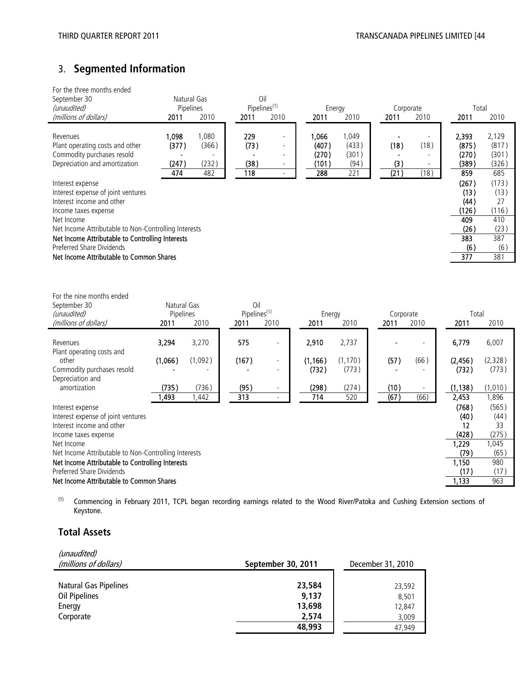## 3. **Segmented Information**

| For the three months ended<br>September 30<br>(unaudited)<br>(millions of dollars)                          | Natural Gas<br>Pipelines<br>2011 | 2010                           | Oil<br>Pipelines <sup>(1)</sup><br>2011 | 2010                                                                                  | 2011                                    | Energy<br>2010                         | Corporate<br>2011   | 2010         | Total<br>2011                           | 2010                                    |
|-------------------------------------------------------------------------------------------------------------|----------------------------------|--------------------------------|-----------------------------------------|---------------------------------------------------------------------------------------|-----------------------------------------|----------------------------------------|---------------------|--------------|-----------------------------------------|-----------------------------------------|
| Revenues<br>Plant operating costs and other<br>Commodity purchases resold<br>Depreciation and amortization  | 1,098<br>(377)<br>(247)<br>474   | 1,080<br>(366)<br>(232)<br>482 | 229<br>(73)<br>(38)<br>118              | $\overline{\phantom{a}}$<br>$\overline{\phantom{a}}$<br>٠<br>$\overline{\phantom{a}}$ | 1,066<br>(407)<br>(270)<br>(101)<br>288 | 1,049<br>(433)<br>(301)<br>(94)<br>221 | (18)<br>(3)<br>(21) | (18)<br>(18) | 2,393<br>(875)<br>(270)<br>(389)<br>859 | 2,129<br>(817)<br>(301)<br>(326)<br>685 |
| Interest expense<br>Interest expense of joint ventures<br>Interest income and other<br>Income taxes expense |                                  |                                |                                         |                                                                                       |                                         |                                        |                     |              | (267)<br>(13)<br>(44)<br>(126)          | (173)<br>(13)<br>27<br>(116)            |
| Net Income<br>Net Income Attributable to Non-Controlling Interests                                          |                                  |                                |                                         |                                                                                       |                                         |                                        |                     |              | 409<br>(26)                             | 410<br>(23)                             |
| Net Income Attributable to Controlling Interests<br>Preferred Share Dividends                               |                                  |                                |                                         |                                                                                       |                                         |                                        |                     |              | 383<br>(6)                              | 387<br>(6)                              |
| Net Income Attributable to Common Shares                                                                    |                                  |                                |                                         |                                                                                       |                                         |                                        |                     |              | 377                                     | 381                                     |

| For the nine months ended<br>September 30<br>(unaudited) | Natural Gas<br>Pipelines |         | Oil<br>Pipelines <sup>(1)</sup> |                          | Energy   |          | Corporate |      | Total    |         |
|----------------------------------------------------------|--------------------------|---------|---------------------------------|--------------------------|----------|----------|-----------|------|----------|---------|
| (millions of dollars)                                    | 2011                     | 2010    | 2011                            | 2010                     | 2011     | 2010     | 2011      | 2010 | 2011     | 2010    |
| Revenues<br>Plant operating costs and                    | 3,294                    | 3,270   | 575                             | ۰                        | 2,910    | 2,737    |           |      | 6,779    | 6,007   |
| other                                                    | (1,066)                  | (1,092) | (167)                           | ۰.                       | (1, 166) | (1, 170) | (57)      | (66) | (2,456)  | (2,328) |
| Commodity purchases resold                               |                          |         |                                 | ۰                        | (732)    | (773)    |           |      | (732)    | (773)   |
| Depreciation and                                         |                          |         |                                 |                          |          |          |           |      |          |         |
| amortization                                             | (735)                    | (736)   | (95)                            | ۰.                       | (298)    | (274)    | (10)      | ۰.   | (1, 138) | (1,010) |
|                                                          | 1,493                    | 1,442   | 313                             | $\overline{\phantom{a}}$ | 714      | 520      | (67)      | (66) | 2,453    | 1,896   |
| Interest expense                                         |                          |         |                                 |                          |          |          |           |      | (768)    | (565)   |
| Interest expense of joint ventures                       |                          |         |                                 |                          |          |          |           |      | (40)     | (44)    |
| Interest income and other                                |                          |         |                                 |                          |          |          |           |      | 12       | 33      |
| Income taxes expense                                     |                          |         |                                 |                          |          |          |           |      | (428)    | (275)   |
| Net Income                                               |                          |         |                                 |                          |          |          |           |      | 1,229    | 1,045   |
| Net Income Attributable to Non-Controlling Interests     |                          |         |                                 |                          |          |          |           |      | (79)     | (65)    |
| Net Income Attributable to Controlling Interests         |                          |         |                                 |                          |          |          |           |      | 1,150    | 980     |
| <b>Preferred Share Dividends</b>                         |                          |         |                                 |                          |          |          |           |      | (17)     | (17)    |
| Net Income Attributable to Common Shares                 |                          |         |                                 |                          |          |          |           |      | 1,133    | 963     |
|                                                          |                          |         |                                 |                          |          |          |           |      |          |         |

(1) Commencing in February 2011, TCPL began recording earnings related to the Wood River/Patoka and Cushing Extension sections of Keystone.

### **Total Assets**

| (unaudited)<br>(millions of dollars)                                 | September 30, 2011                 | December 31, 2010                  |
|----------------------------------------------------------------------|------------------------------------|------------------------------------|
| <b>Natural Gas Pipelines</b><br>Oil Pipelines<br>Energy<br>Corporate | 23,584<br>9,137<br>13,698<br>2,574 | 23,592<br>8,501<br>12.847<br>3,009 |
|                                                                      | 48,993                             | 47.949                             |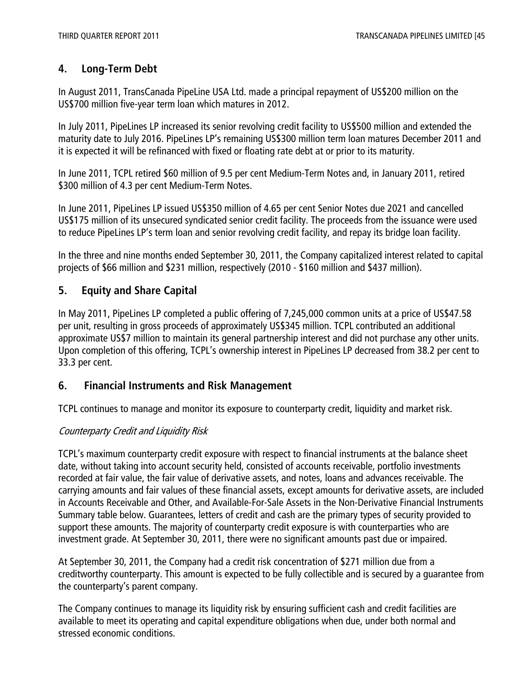## **4. Long-Term Debt**

In August 2011, TransCanada PipeLine USA Ltd. made a principal repayment of US\$200 million on the US\$700 million five-year term loan which matures in 2012.

In July 2011, PipeLines LP increased its senior revolving credit facility to US\$500 million and extended the maturity date to July 2016. PipeLines LP's remaining US\$300 million term loan matures December 2011 and it is expected it will be refinanced with fixed or floating rate debt at or prior to its maturity.

In June 2011, TCPL retired \$60 million of 9.5 per cent Medium-Term Notes and, in January 2011, retired \$300 million of 4.3 per cent Medium-Term Notes.

In June 2011, PipeLines LP issued US\$350 million of 4.65 per cent Senior Notes due 2021 and cancelled US\$175 million of its unsecured syndicated senior credit facility. The proceeds from the issuance were used to reduce PipeLines LP's term loan and senior revolving credit facility, and repay its bridge loan facility.

In the three and nine months ended September 30, 2011, the Company capitalized interest related to capital projects of \$66 million and \$231 million, respectively (2010 - \$160 million and \$437 million).

## **5. Equity and Share Capital**

In May 2011, PipeLines LP completed a public offering of 7,245,000 common units at a price of US\$47.58 per unit, resulting in gross proceeds of approximately US\$345 million. TCPL contributed an additional approximate US\$7 million to maintain its general partnership interest and did not purchase any other units. Upon completion of this offering, TCPL's ownership interest in PipeLines LP decreased from 38.2 per cent to 33.3 per cent.

## **6. Financial Instruments and Risk Management**

TCPL continues to manage and monitor its exposure to counterparty credit, liquidity and market risk.

## Counterparty Credit and Liquidity Risk

TCPL's maximum counterparty credit exposure with respect to financial instruments at the balance sheet date, without taking into account security held, consisted of accounts receivable, portfolio investments recorded at fair value, the fair value of derivative assets, and notes, loans and advances receivable. The carrying amounts and fair values of these financial assets, except amounts for derivative assets, are included in Accounts Receivable and Other, and Available-For-Sale Assets in the Non-Derivative Financial Instruments Summary table below. Guarantees, letters of credit and cash are the primary types of security provided to support these amounts. The majority of counterparty credit exposure is with counterparties who are investment grade. At September 30, 2011, there were no significant amounts past due or impaired.

At September 30, 2011, the Company had a credit risk concentration of \$271 million due from a creditworthy counterparty. This amount is expected to be fully collectible and is secured by a guarantee from the counterparty's parent company.

The Company continues to manage its liquidity risk by ensuring sufficient cash and credit facilities are available to meet its operating and capital expenditure obligations when due, under both normal and stressed economic conditions.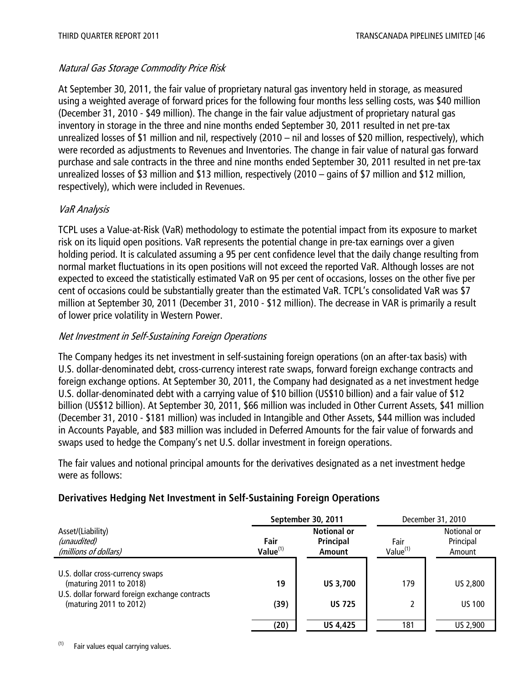## Natural Gas Storage Commodity Price Risk

At September 30, 2011, the fair value of proprietary natural gas inventory held in storage, as measured using a weighted average of forward prices for the following four months less selling costs, was \$40 million (December 31, 2010 - \$49 million). The change in the fair value adjustment of proprietary natural gas inventory in storage in the three and nine months ended September 30, 2011 resulted in net pre-tax unrealized losses of \$1 million and nil, respectively (2010 – nil and losses of \$20 million, respectively), which were recorded as adjustments to Revenues and Inventories. The change in fair value of natural gas forward purchase and sale contracts in the three and nine months ended September 30, 2011 resulted in net pre-tax unrealized losses of \$3 million and \$13 million, respectively (2010 – gains of \$7 million and \$12 million, respectively), which were included in Revenues.

## VaR Analysis

TCPL uses a Value-at-Risk (VaR) methodology to estimate the potential impact from its exposure to market risk on its liquid open positions. VaR represents the potential change in pre-tax earnings over a given holding period. It is calculated assuming a 95 per cent confidence level that the daily change resulting from normal market fluctuations in its open positions will not exceed the reported VaR. Although losses are not expected to exceed the statistically estimated VaR on 95 per cent of occasions, losses on the other five per cent of occasions could be substantially greater than the estimated VaR. TCPL's consolidated VaR was \$7 million at September 30, 2011 (December 31, 2010 - \$12 million). The decrease in VAR is primarily a result of lower price volatility in Western Power.

## Net Investment in Self-Sustaining Foreign Operations

The Company hedges its net investment in self-sustaining foreign operations (on an after-tax basis) with U.S. dollar-denominated debt, cross-currency interest rate swaps, forward foreign exchange contracts and foreign exchange options. At September 30, 2011, the Company had designated as a net investment hedge U.S. dollar-denominated debt with a carrying value of \$10 billion (US\$10 billion) and a fair value of \$12 billion (US\$12 billion). At September 30, 2011, \$66 million was included in Other Current Assets, \$41 million (December 31, 2010 - \$181 million) was included in Intangible and Other Assets, \$44 million was included in Accounts Payable, and \$83 million was included in Deferred Amounts for the fair value of forwards and swaps used to hedge the Company's net U.S. dollar investment in foreign operations.

The fair values and notional principal amounts for the derivatives designated as a net investment hedge were as follows:

## **Derivatives Hedging Net Investment in Self-Sustaining Foreign Operations**

|                                                                                                               |                              | September 30, 2011                               | December 31, 2010 |                                    |  |
|---------------------------------------------------------------------------------------------------------------|------------------------------|--------------------------------------------------|-------------------|------------------------------------|--|
| Asset/(Liability)<br>(unaudited)<br>(millions of dollars)                                                     | Fair<br>Value <sup>(1)</sup> | <b>Notional or</b><br>Principal<br><b>Amount</b> |                   | Notional or<br>Principal<br>Amount |  |
| U.S. dollar cross-currency swaps<br>(maturing 2011 to 2018)<br>U.S. dollar forward foreign exchange contracts | 19                           | <b>US 3,700</b>                                  | 179               | US 2,800                           |  |
| (maturing 2011 to 2012)                                                                                       | (39)                         | <b>US 725</b>                                    | 2                 | <b>US 100</b>                      |  |
|                                                                                                               | (20)                         | <b>US 4,425</b>                                  | 181               | US 2,900                           |  |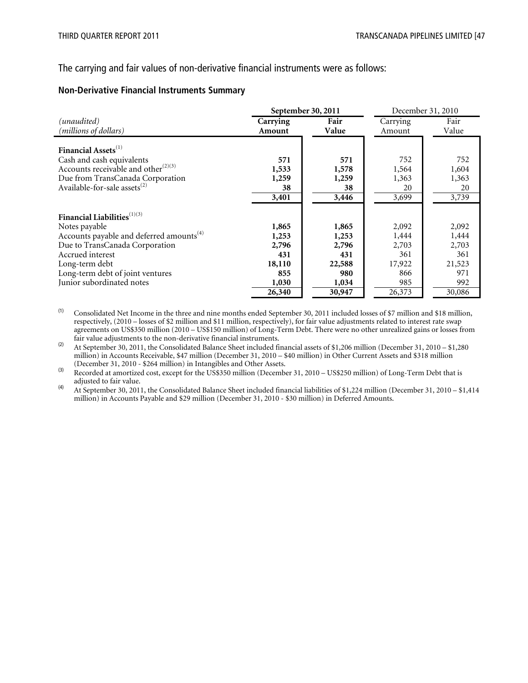#### The carrying and fair values of non-derivative financial instruments were as follows:

#### **Non-Derivative Financial Instruments Summary**

|                                                                                                                                                                                                 |                                      | September 30, 2011                   | December 31, 2010                    |                                      |
|-------------------------------------------------------------------------------------------------------------------------------------------------------------------------------------------------|--------------------------------------|--------------------------------------|--------------------------------------|--------------------------------------|
| (unaudited)                                                                                                                                                                                     | Carrying                             | Fair                                 | Carrying                             | Fair                                 |
| (millions of dollars)                                                                                                                                                                           | Amount                               | Value                                | Amount                               | Value                                |
| Financial Assets <sup>(1)</sup><br>Cash and cash equivalents<br>Accounts receivable and other <sup>(2)(3)</sup><br>Due from TransCanada Corporation<br>Available-for-sale assets <sup>(2)</sup> | 571<br>1,533<br>1,259<br>38<br>3,401 | 571<br>1,578<br>1,259<br>38<br>3,446 | 752<br>1,564<br>1,363<br>20<br>3,699 | 752<br>1,604<br>1,363<br>20<br>3,739 |
| Financial Liabilities $^{(1)(3)}$                                                                                                                                                               |                                      |                                      |                                      |                                      |
| Notes payable<br>Accounts payable and deferred amounts <sup>(4)</sup>                                                                                                                           | 1,865<br>1,253                       | 1,865<br>1,253                       | 2,092<br>1,444                       | 2,092<br>1,444                       |
| Due to TransCanada Corporation                                                                                                                                                                  | 2,796                                | 2,796                                | 2,703                                | 2,703                                |
| Accrued interest                                                                                                                                                                                | 431                                  | 431                                  | 361                                  | 361                                  |
| Long-term debt                                                                                                                                                                                  | 18,110                               | 22,588                               | 17,922                               | 21,523                               |
| Long-term debt of joint ventures                                                                                                                                                                | 855                                  | 980                                  | 866                                  | 971                                  |
| Junior subordinated notes                                                                                                                                                                       | 1,030                                | 1,034                                | 985                                  | 992                                  |
|                                                                                                                                                                                                 | 26,340                               | 30,947                               | 26,373                               | 30,086                               |

(1) Consolidated Net Income in the three and nine months ended September 30, 2011 included losses of \$7 million and \$18 million, respectively, (2010 – losses of \$2 million and \$11 million, respectively), for fair value adjustments related to interest rate swap agreements on US\$350 million (2010 – US\$150 million) of Long-Term Debt. There were no other unrealized gains or losses from fair value adjustments to the non-derivative financial instruments.

(2) At September 30, 2011, the Consolidated Balance Sheet included financial assets of \$1,206 million (December 31, 2010 – \$1,280) million) in Accounts Receivable, \$47 million (December 31, 2010 – \$40 million) in Other Current Assets and \$318 million

(3) Recorded at amortized cost, except for the US\$350 million (December 31, 2010 – US\$250 million) of Long-Term Debt that is adjusted to fair value.

<sup>(4)</sup> At September 30, 2011, the Consolidated Balance Sheet included financial liabilities of \$1,224 million (December 31, 2010 – \$1,414 million) in Accounts Payable and \$29 million (December 31, 2010 - \$30 million) in Deferred Amounts.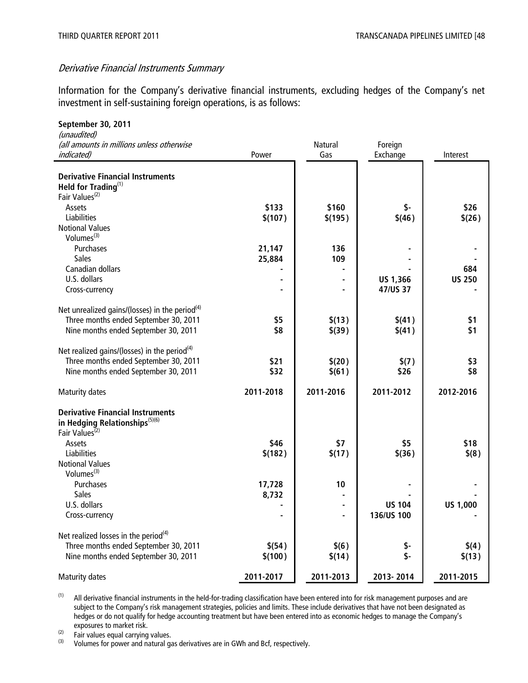#### Derivative Financial Instruments Summary

Information for the Company's derivative financial instruments, excluding hedges of the Company's net investment in self-sustaining foreign operations, is as follows:

| September 30, 2011                                         |           |           |                 |               |
|------------------------------------------------------------|-----------|-----------|-----------------|---------------|
| (unaudited)<br>(all amounts in millions unless otherwise   |           | Natural   | Foreign         |               |
| <i>indicated)</i>                                          | Power     | Gas       | Exchange        | Interest      |
|                                                            |           |           |                 |               |
| <b>Derivative Financial Instruments</b>                    |           |           |                 |               |
| Held for Trading <sup>(1)</sup>                            |           |           |                 |               |
| Fair Values <sup>(2)</sup>                                 |           |           |                 |               |
| Assets                                                     | \$133     | \$160     | \$-             | \$26          |
| <b>Liabilities</b>                                         | \$(107)   | \$(195)   | \$(46)          | \$(26)        |
| <b>Notional Values</b>                                     |           |           |                 |               |
| Volumes $(3)$                                              |           |           |                 |               |
| Purchases                                                  | 21,147    | 136       |                 |               |
| <b>Sales</b>                                               | 25,884    | 109       |                 |               |
| Canadian dollars                                           |           |           |                 | 684           |
| U.S. dollars                                               |           |           | <b>US 1,366</b> | <b>US 250</b> |
| Cross-currency                                             |           |           | 47/US 37        |               |
|                                                            |           |           |                 |               |
| Net unrealized gains/(losses) in the period <sup>(4)</sup> |           |           |                 |               |
| Three months ended September 30, 2011                      | \$5       | \$(13)    | \$(41)          | \$1           |
| Nine months ended September 30, 2011                       | \$8       | \$(39)    | \$(41)          | \$1           |
|                                                            |           |           |                 |               |
| Net realized gains/(losses) in the period <sup>(4)</sup>   |           |           |                 |               |
| Three months ended September 30, 2011                      | \$21      | \$(20)    | \$(7)           | \$3           |
| Nine months ended September 30, 2011                       | \$32      | \$(61)    | \$26            | \$8           |
|                                                            |           |           |                 |               |
| Maturity dates                                             | 2011-2018 | 2011-2016 | 2011-2012       | 2012-2016     |
| <b>Derivative Financial Instruments</b>                    |           |           |                 |               |
| in Hedging Relationships <sup>(5)(6)</sup>                 |           |           |                 |               |
| Fair Values <sup>(2)</sup>                                 |           |           |                 |               |
| Assets                                                     | \$46      | \$7       | \$5             | \$18          |
| <b>Liabilities</b>                                         | \$(182)   | \$(17)    | \$(36)          | \$(8)         |
| <b>Notional Values</b>                                     |           |           |                 |               |
| Volumes $(3)$                                              |           |           |                 |               |
| Purchases                                                  | 17,728    | 10        |                 |               |
| <b>Sales</b>                                               | 8,732     |           |                 |               |
| U.S. dollars                                               |           |           | <b>US 104</b>   | US 1,000      |
| Cross-currency                                             |           |           | 136/US 100      |               |
|                                                            |           |           |                 |               |
| Net realized losses in the period <sup>(4)</sup>           |           |           |                 |               |
| Three months ended September 30, 2011                      | \$(54)    | \$(6)     | \$-             | \$(4)         |
| Nine months ended September 30, 2011                       | \$(100)   | \$(14)    | $\mathsf{S}$ -  | \$(13)        |
|                                                            |           |           |                 |               |
| Maturity dates                                             | 2011-2017 | 2011-2013 | 2013-2014       | 2011-2015     |

<sup>(1)</sup> All derivative financial instruments in the held-for-trading classification have been entered into for risk management purposes and are subject to the Company's risk management strategies, policies and limits. These include derivatives that have not been designated as hedges or do not qualify for hedge accounting treatment but have been entered into as economic hedges to manage the Company's exposures to market risk.

 $\begin{bmatrix} \n\text{(2)} & \text{Fair values equal carrying values.} \\
\text{(3)} & \text{Volumes for power and natural case.}\n\end{bmatrix}$ 

Volumes for power and natural gas derivatives are in GWh and Bcf, respectively.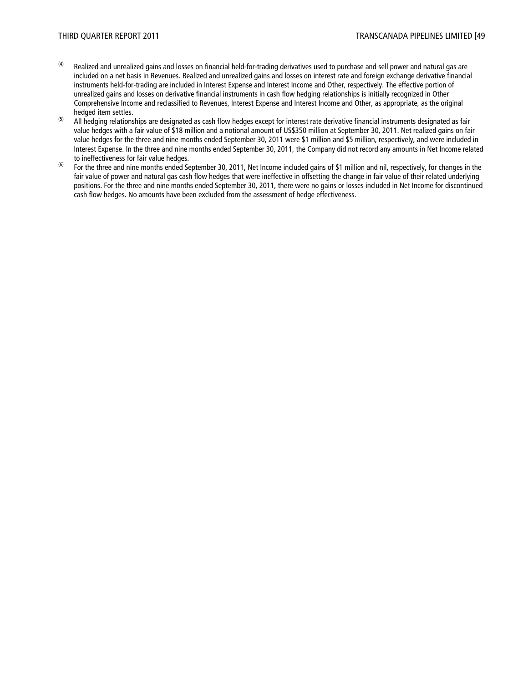- $(4)$  Realized and unrealized gains and losses on financial held-for-trading derivatives used to purchase and sell power and natural gas are included on a net basis in Revenues. Realized and unrealized gains and losses on interest rate and foreign exchange derivative financial instruments held-for-trading are included in Interest Expense and Interest Income and Other, respectively. The effective portion of unrealized gains and losses on derivative financial instruments in cash flow hedging relationships is initially recognized in Other Comprehensive Income and reclassified to Revenues, Interest Expense and Interest Income and Other, as appropriate, as the original hedged item settles.
- <sup>(5)</sup> All hedging relationships are designated as cash flow hedges except for interest rate derivative financial instruments designated as fair value hedges with a fair value of \$18 million and a notional amount of US\$350 million at September 30, 2011. Net realized gains on fair value hedges for the three and nine months ended September 30, 2011 were \$1 million and \$5 million, respectively, and were included in Interest Expense. In the three and nine months ended September 30, 2011, the Company did not record any amounts in Net Income related to ineffectiveness for fair value hedges.
- (6) For the three and nine months ended September 30, 2011, Net Income included gains of \$1 million and nil, respectively, for changes in the fair value of power and natural gas cash flow hedges that were ineffective in offsetting the change in fair value of their related underlying positions. For the three and nine months ended September 30, 2011, there were no gains or losses included in Net Income for discontinued cash flow hedges. No amounts have been excluded from the assessment of hedge effectiveness.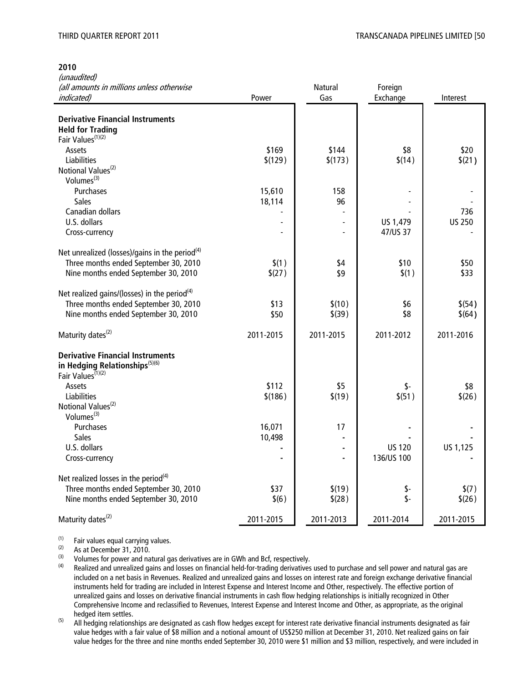#### (unaudited)

| (all amounts in millions unless otherwise<br><i>indicated)</i>                                                         | Power     | Natural<br>Gas | Foreign<br>Exchange | Interest      |
|------------------------------------------------------------------------------------------------------------------------|-----------|----------------|---------------------|---------------|
|                                                                                                                        |           |                |                     |               |
| <b>Derivative Financial Instruments</b><br><b>Held for Trading</b>                                                     |           |                |                     |               |
| Fair Values <sup>(1)(2)</sup>                                                                                          |           |                |                     |               |
| Assets                                                                                                                 | \$169     | \$144          | \$8                 | \$20          |
| <b>Liabilities</b>                                                                                                     | \$(129)   | \$(173)        | \$(14)              | \$(21)        |
| Notional Values <sup>(2)</sup>                                                                                         |           |                |                     |               |
| Volumes <sup>(3)</sup>                                                                                                 |           |                |                     |               |
| Purchases                                                                                                              | 15,610    | 158            |                     |               |
| <b>Sales</b>                                                                                                           | 18,114    | 96             |                     |               |
| Canadian dollars                                                                                                       |           |                |                     | 736           |
| U.S. dollars                                                                                                           |           |                | US 1,479            | <b>US 250</b> |
| Cross-currency                                                                                                         |           | $\overline{a}$ | 47/US 37            |               |
| Net unrealized (losses)/gains in the period <sup>(4)</sup>                                                             |           |                |                     |               |
| Three months ended September 30, 2010                                                                                  | \$(1)     | \$4            | \$10                | \$50          |
| Nine months ended September 30, 2010                                                                                   | \$(27)    | \$9            | \$(1)               | \$33          |
| Net realized gains/(losses) in the period <sup>(4)</sup>                                                               |           |                |                     |               |
| Three months ended September 30, 2010                                                                                  | \$13      | \$(10)         | \$6                 | \$(54)        |
| Nine months ended September 30, 2010                                                                                   | \$50      | \$(39)         | \$8                 | \$(64)        |
|                                                                                                                        |           |                |                     |               |
| Maturity dates <sup>(2)</sup>                                                                                          | 2011-2015 | 2011-2015      | 2011-2012           | 2011-2016     |
| <b>Derivative Financial Instruments</b><br>in Hedging Relationships <sup>(5)(6)</sup><br>Fair Values <sup>(1)(2)</sup> |           |                |                     |               |
| Assets                                                                                                                 | \$112     | \$5            | $\frac{2}{3}$       | \$8           |
| Liabilities                                                                                                            | \$(186)   | \$(19)         | \$(51)              | \$(26)        |
| Notional Values <sup>(2)</sup><br>Volumes $(3)$                                                                        |           |                |                     |               |
|                                                                                                                        |           |                |                     |               |
| Purchases                                                                                                              | 16,071    | 17             |                     |               |
| <b>Sales</b>                                                                                                           | 10,498    | $\blacksquare$ |                     |               |
| U.S. dollars                                                                                                           |           |                | <b>US 120</b>       | US 1,125      |
| Cross-currency                                                                                                         |           |                | 136/US 100          |               |
| Net realized losses in the period <sup>(4)</sup>                                                                       |           |                |                     |               |
| Three months ended September 30, 2010                                                                                  | \$37      | \$(19)         | \$-<br>\$-          | \$(7)         |
| Nine months ended September 30, 2010                                                                                   | \$(6)     | \$(28)         |                     | \$(26)        |
| Maturity dates <sup>(2)</sup>                                                                                          | 2011-2015 | 2011-2013      | 2011-2014           | 2011-2015     |

 $(1)$  Fair values equal carrying values.<br> $(2)$  As at Desember 21, 2010.

 $\frac{(2)}{(3)}$  As at December 31, 2010.

 $\frac{(3)}{(4)}$  Volumes for power and natural gas derivatives are in GWh and Bcf, respectively.

Realized and unrealized gains and losses on financial held-for-trading derivatives used to purchase and sell power and natural gas are included on a net basis in Revenues. Realized and unrealized gains and losses on interest rate and foreign exchange derivative financial instruments held for trading are included in Interest Expense and Interest Income and Other, respectively. The effective portion of unrealized gains and losses on derivative financial instruments in cash flow hedging relationships is initially recognized in Other Comprehensive Income and reclassified to Revenues, Interest Expense and Interest Income and Other, as appropriate, as the original hedged item settles.

(5) All hedging relationships are designated as cash flow hedges except for interest rate derivative financial instruments designated as fair value hedges with a fair value of \$8 million and a notional amount of US\$250 million at December 31, 2010. Net realized gains on fair value hedges for the three and nine months ended September 30, 2010 were \$1 million and \$3 million, respectively, and were included in

**<sup>2010</sup>**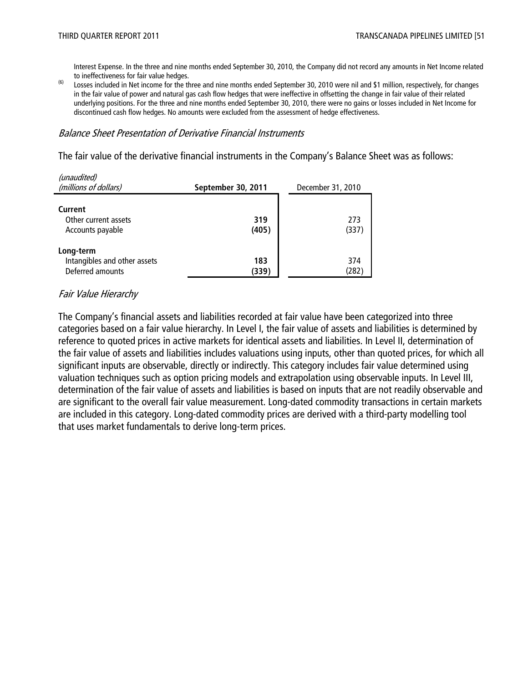Interest Expense. In the three and nine months ended September 30, 2010, the Company did not record any amounts in Net Income related to ineffectiveness for fair value hedges.

(6) Losses included in Net income for the three and nine months ended September 30, 2010 were nil and \$1 million, respectively, for changes in the fair value of power and natural gas cash flow hedges that were ineffective in offsetting the change in fair value of their related underlying positions. For the three and nine months ended September 30, 2010, there were no gains or losses included in Net Income for discontinued cash flow hedges. No amounts were excluded from the assessment of hedge effectiveness.

#### Balance Sheet Presentation of Derivative Financial Instruments

The fair value of the derivative financial instruments in the Company's Balance Sheet was as follows:

| (unaudited)<br>(millions of dollars)                          | September 30, 2011 | December 31, 2010 |  |
|---------------------------------------------------------------|--------------------|-------------------|--|
| Current<br>Other current assets<br>Accounts payable           | 319<br>(405)       | 273<br>(337)      |  |
| Long-term<br>Intangibles and other assets<br>Deferred amounts | 183<br>(339)       | 374<br>(282)      |  |

#### Fair Value Hierarchy

The Company's financial assets and liabilities recorded at fair value have been categorized into three categories based on a fair value hierarchy. In Level I, the fair value of assets and liabilities is determined by reference to quoted prices in active markets for identical assets and liabilities. In Level II, determination of the fair value of assets and liabilities includes valuations using inputs, other than quoted prices, for which all significant inputs are observable, directly or indirectly. This category includes fair value determined using valuation techniques such as option pricing models and extrapolation using observable inputs. In Level III, determination of the fair value of assets and liabilities is based on inputs that are not readily observable and are significant to the overall fair value measurement. Long-dated commodity transactions in certain markets are included in this category. Long-dated commodity prices are derived with a third-party modelling tool that uses market fundamentals to derive long-term prices.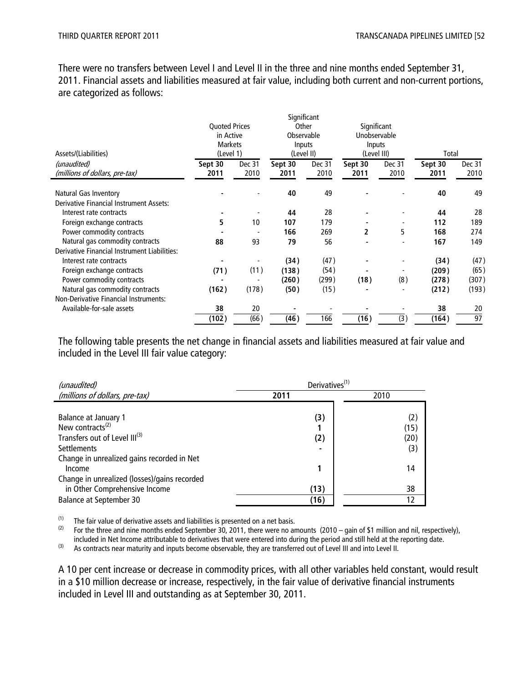There were no transfers between Level I and Level II in the three and nine months ended September 31, 2011. Financial assets and liabilities measured at fair value, including both current and non-current portions, are categorized as follows:

| Assets/(Liabilities)                         | Significant<br><b>Quoted Prices</b><br><b>Other</b><br>in Active<br>Observable<br><b>Markets</b><br><b>Inputs</b><br>(Level 1)<br>(Level II) |                              |         | Significant<br>Unobservable<br><b>Inputs</b><br>(Level III) |         | Total  |         |        |
|----------------------------------------------|----------------------------------------------------------------------------------------------------------------------------------------------|------------------------------|---------|-------------------------------------------------------------|---------|--------|---------|--------|
| (unaudited)                                  | Sept 30                                                                                                                                      | Dec 31                       | Sept 30 | Dec 31                                                      | Sept 30 | Dec 31 | Sept 30 | Dec 31 |
| (millions of dollars, pre-tax)               | 2011                                                                                                                                         | 2010                         | 2011    | 2010                                                        | 2011    | 2010   | 2011    | 2010   |
| Natural Gas Inventory                        |                                                                                                                                              |                              | 40      | 49                                                          |         |        | 40      | 49     |
| Derivative Financial Instrument Assets:      |                                                                                                                                              |                              |         |                                                             |         |        |         |        |
| Interest rate contracts                      |                                                                                                                                              |                              | 44      | 28                                                          |         |        | 44      | 28     |
| Foreign exchange contracts                   | 5                                                                                                                                            | 10                           | 107     | 179                                                         |         |        | 112     | 189    |
| Power commodity contracts                    |                                                                                                                                              | $\overline{\phantom{a}}$     | 166     | 269                                                         | 2       | 5      | 168     | 274    |
| Natural gas commodity contracts              | 88                                                                                                                                           | 93                           | 79      | 56                                                          |         |        | 167     | 149    |
| Derivative Financial Instrument Liabilities: |                                                                                                                                              |                              |         |                                                             |         |        |         |        |
| Interest rate contracts                      |                                                                                                                                              |                              | (34)    | (47)                                                        |         |        | (34)    | (47)   |
| Foreign exchange contracts                   | (71)                                                                                                                                         | (11)                         | (138)   | (54)                                                        |         |        | (209)   | (65)   |
| Power commodity contracts                    |                                                                                                                                              | $\qquad \qquad \blacksquare$ | (260)   | (299)                                                       | (18)    | (8)    | (278)   | (307)  |
| Natural gas commodity contracts              | (162)                                                                                                                                        | (178)                        | (50)    | (15)                                                        |         |        | (212)   | (193)  |
| <b>Non-Derivative Financial Instruments:</b> |                                                                                                                                              |                              |         |                                                             |         |        |         |        |
| Available-for-sale assets                    | 38                                                                                                                                           | 20                           |         |                                                             |         |        | 38      | 20     |
|                                              | (102)                                                                                                                                        | (66)                         | (46)    | 166                                                         | (16)    | (3)    | (164)   | 97     |

The following table presents the net change in financial assets and liabilities measured at fair value and included in the Level III fair value category:

| (unaudited)                                  | Derivatives <sup>(1)</sup> |      |  |  |
|----------------------------------------------|----------------------------|------|--|--|
| (millions of dollars, pre-tax)               | 2011                       | 2010 |  |  |
|                                              |                            |      |  |  |
| <b>Balance at January 1</b>                  | (3)                        | (2)  |  |  |
| New contracts <sup><math>(2)</math></sup>    |                            | (15) |  |  |
| Transfers out of Level III(3)                | (2)                        | (20) |  |  |
| <b>Settlements</b>                           |                            | (3)  |  |  |
| Change in unrealized gains recorded in Net   |                            |      |  |  |
| Income                                       |                            | 14   |  |  |
| Change in unrealized (losses)/gains recorded |                            |      |  |  |
| in Other Comprehensive Income                | (13)                       | 38   |  |  |
| <b>Balance at September 30</b>               | (16)                       | 12   |  |  |

(1) The fair value of derivative assets and liabilities is presented on a net basis.<br>(2) Eor the three and nine months ended Sentember 30, 2011, there were no an

(2) For the three and nine months ended September 30, 2011, there were no amounts (2010 – gain of \$1 million and nil, respectively), included in Net Income attributable to derivatives that were entered into during the period and still held at the reporting date.

(3) As contracts near maturity and inputs become observable, they are transferred out of Level III and into Level II.

A 10 per cent increase or decrease in commodity prices, with all other variables held constant, would result in a \$10 million decrease or increase, respectively, in the fair value of derivative financial instruments included in Level III and outstanding as at September 30, 2011.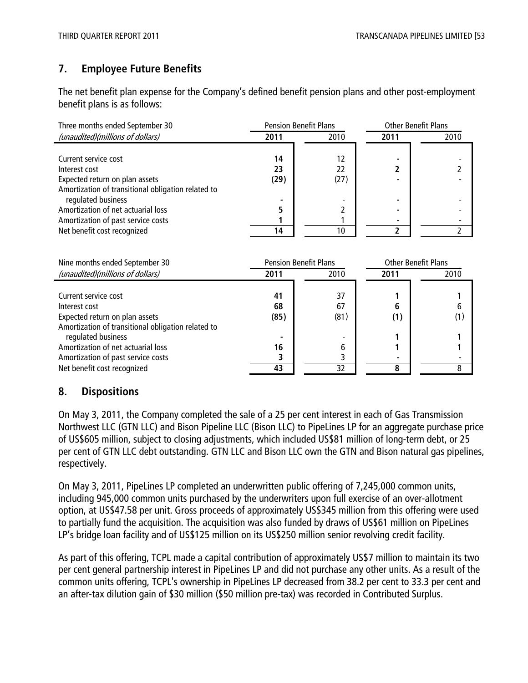## **7. Employee Future Benefits**

The net benefit plan expense for the Company's defined benefit pension plans and other post-employment benefit plans is as follows:

| Three months ended September 30                                          | <b>Pension Benefit Plans</b> |      | <b>Other Benefit Plans</b> |                |  |
|--------------------------------------------------------------------------|------------------------------|------|----------------------------|----------------|--|
| (unaudited)(millions of dollars)                                         | 2011                         | 2010 | 2011                       | 2010           |  |
|                                                                          |                              |      |                            |                |  |
| Current service cost                                                     | 14                           | 12   |                            |                |  |
| Interest cost                                                            | 23                           | 22   | 2                          | $\overline{2}$ |  |
| Expected return on plan assets                                           | (29)                         | (27) |                            |                |  |
| Amortization of transitional obligation related to<br>regulated business |                              |      |                            |                |  |
| Amortization of net actuarial loss                                       | 5                            | 2    |                            |                |  |
| Amortization of past service costs                                       |                              |      |                            |                |  |
| Net benefit cost recognized                                              | 14                           | 10   | 2                          | 2              |  |
|                                                                          |                              |      |                            |                |  |
|                                                                          |                              |      |                            |                |  |
| Nine months ended September 30                                           | <b>Pension Benefit Plans</b> |      | <b>Other Benefit Plans</b> |                |  |
| (unaudited)(millions of dollars)                                         | 2011<br>2010                 |      | 2011                       | 2010           |  |
|                                                                          |                              |      |                            |                |  |
| Current service cost                                                     | 41                           | 37   |                            |                |  |
| Interest cost                                                            | 68                           | 67   | 6                          | 6              |  |
| Expected return on plan assets                                           | (85)                         | (81) | (1)                        | (1)            |  |
| Amortization of transitional obligation related to<br>regulated business |                              |      |                            |                |  |
| Amortization of net actuarial loss                                       | 16                           | 6    |                            |                |  |
| Amortization of past service costs                                       | 3                            | 3    |                            |                |  |
| Net benefit cost recognized                                              | 43                           | 32   | 8                          | 8              |  |
|                                                                          |                              |      |                            |                |  |

## **8. Dispositions**

On May 3, 2011, the Company completed the sale of a 25 per cent interest in each of Gas Transmission Northwest LLC (GTN LLC) and Bison Pipeline LLC (Bison LLC) to PipeLines LP for an aggregate purchase price of US\$605 million, subject to closing adjustments, which included US\$81 million of long-term debt, or 25 per cent of GTN LLC debt outstanding. GTN LLC and Bison LLC own the GTN and Bison natural gas pipelines, respectively.

On May 3, 2011, PipeLines LP completed an underwritten public offering of 7,245,000 common units, including 945,000 common units purchased by the underwriters upon full exercise of an over-allotment option, at US\$47.58 per unit. Gross proceeds of approximately US\$345 million from this offering were used to partially fund the acquisition. The acquisition was also funded by draws of US\$61 million on PipeLines LP's bridge loan facility and of US\$125 million on its US\$250 million senior revolving credit facility.

As part of this offering, TCPL made a capital contribution of approximately US\$7 million to maintain its two per cent general partnership interest in PipeLines LP and did not purchase any other units. As a result of the common units offering, TCPL's ownership in PipeLines LP decreased from 38.2 per cent to 33.3 per cent and an after-tax dilution gain of \$30 million (\$50 million pre-tax) was recorded in Contributed Surplus.